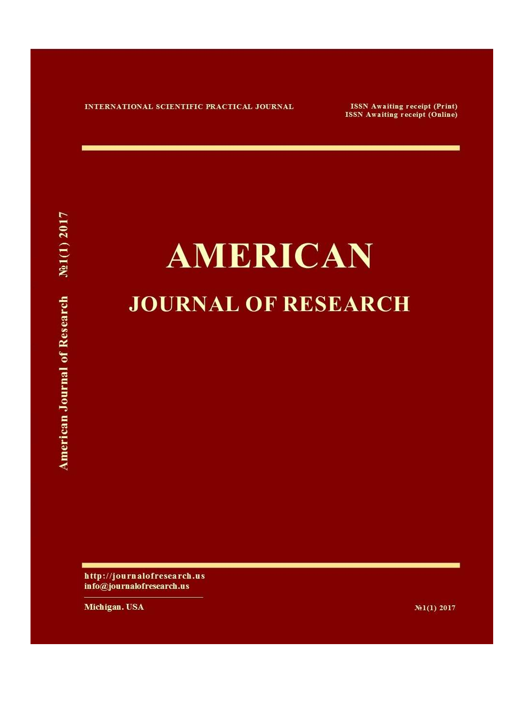INTERNATIONAL SCIENTIFIC PRACTICAL JOURNAL

**ISSN Awaiting receipt (Print) ISSN Awaiting receipt (Online)** 

## **AMERICAN JOURNAL OF RESEARCH**

http://journalofresearch.us info@journalofresearch.us

Michigan. USA

 $N_{21}(1)$  2017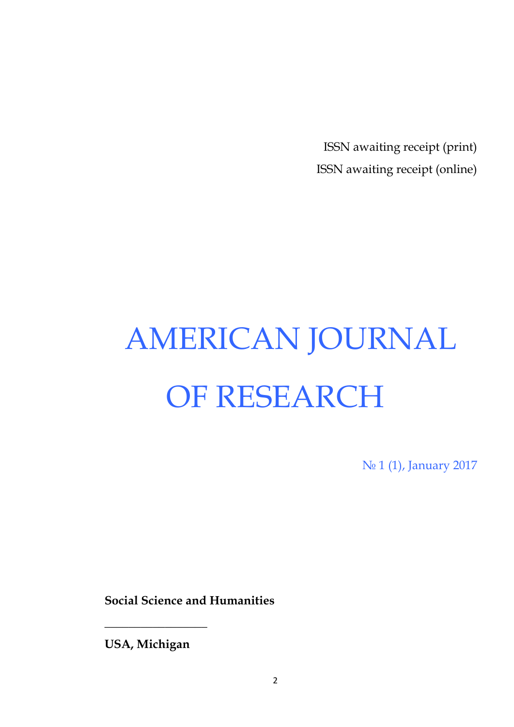ISSN awaiting receipt (print) ISSN awaiting receipt (online)

# AMERICAN JOURNAL OF RESEARCH

No 1 (1), January 2017

**Social Science and Humanities**

**USA, Michigan**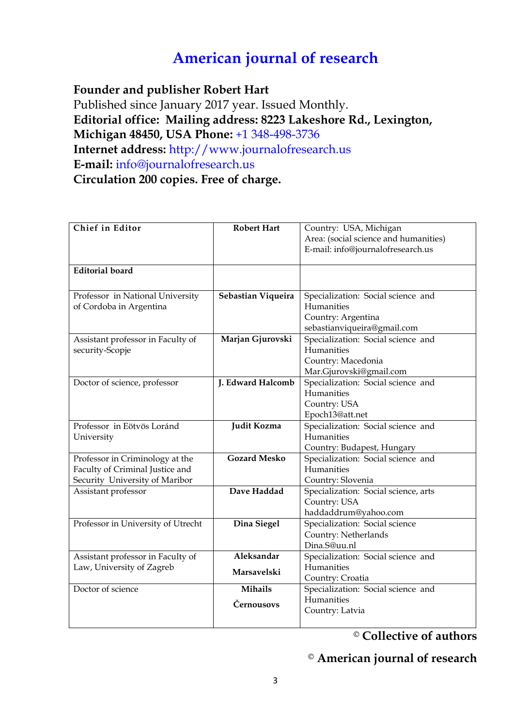### **American journal of research**

**Founder and publisher Robert Hart** 

Published since January 2017 year. Issued Monthly. **Editorial office: Mailing address: 8223 Lakeshore Rd., Lexington, Michigan 48450, USA Phone:** +1 348-498-3736 **Internet address:** http://www.journalofresearch.us **E-mail:** info@journalofresearch.us **Circulation 200 copies. Free of charge.**

| Chief in Editor                    | <b>Robert Hart</b>  | Country: USA, Michigan                |
|------------------------------------|---------------------|---------------------------------------|
|                                    |                     | Area: (social science and humanities) |
|                                    |                     | E-mail: info@journalofresearch.us     |
|                                    |                     |                                       |
| <b>Editorial</b> board             |                     |                                       |
|                                    |                     |                                       |
| Professor in National University   | Sebastian Viqueira  | Specialization: Social science and    |
| of Cordoba in Argentina            |                     | Humanities                            |
|                                    |                     | Country: Argentina                    |
|                                    |                     | sebastianviqueira@gmail.com           |
| Assistant professor in Faculty of  | Marjan Gjurovski    | Specialization: Social science and    |
| security-Scopje                    |                     | Humanities                            |
|                                    |                     | Country: Macedonia                    |
|                                    |                     | Mar.Gjurovski@gmail.com               |
| Doctor of science, professor       | J. Edward Halcomb   | Specialization: Social science and    |
|                                    |                     | Humanities                            |
|                                    |                     | Country: USA                          |
|                                    |                     | Epoch13@att.net                       |
| Professor in Eötvös Loránd         | Judit Kozma         | Specialization: Social science and    |
| University                         |                     | Humanities                            |
|                                    |                     | Country: Budapest, Hungary            |
| Professor in Criminology at the    | <b>Gozard Mesko</b> | Specialization: Social science and    |
| Faculty of Criminal Justice and    |                     | Humanities                            |
| Security University of Maribor     |                     | Country: Slovenia                     |
| Assistant professor                | Dave Haddad         | Specialization: Social science, arts  |
|                                    |                     | Country: USA                          |
|                                    |                     | haddaddrum@yahoo.com                  |
| Professor in University of Utrecht | Dina Siegel         | Specialization: Social science        |
|                                    |                     | Country: Netherlands                  |
|                                    |                     | Dina.S@uu.nl                          |
| Assistant professor in Faculty of  | Aleksandar          | Specialization: Social science and    |
| Law, University of Zagreb          | Marsavelski         | Humanities                            |
|                                    |                     | Country: Croatia                      |
| Doctor of science                  | <b>Mihails</b>      | Specialization: Social science and    |
|                                    | Černousovs          | Humanities                            |
|                                    |                     | Country: Latvia                       |
|                                    |                     |                                       |

© **Collective of authors** 

### © **American journal of research**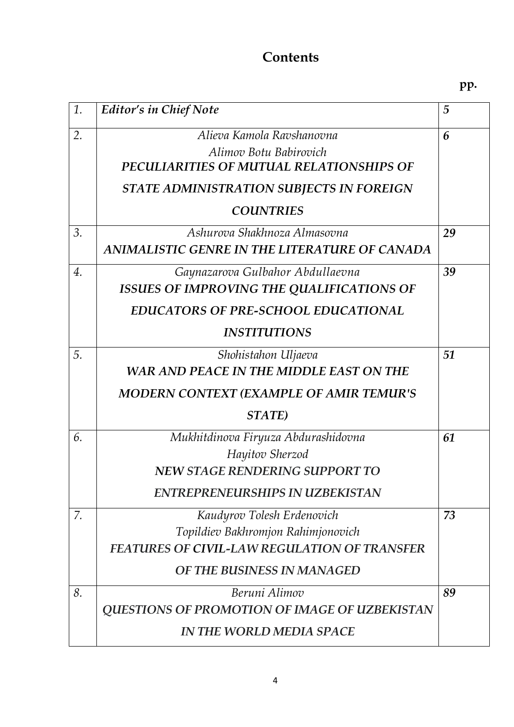### **Contents**

**pp.**

| 1. | <b>Editor's in Chief Note</b>                                                                                                                                                                                     | $\overline{5}$ |
|----|-------------------------------------------------------------------------------------------------------------------------------------------------------------------------------------------------------------------|----------------|
| 2. | Alieva Kamola Ravshanovna<br>Alimov Botu Babirovich<br>PECULIARITIES OF MUTUAL RELATIONSHIPS OF<br><b>STATE ADMINISTRATION SUBJECTS IN FOREIGN</b><br><b>COUNTRIES</b>                                            | 6              |
| 3. | Ashurova Shakhnoza Almasovna                                                                                                                                                                                      | 29             |
| 4. | ANIMALISTIC GENRE IN THE LITERATURE OF CANADA<br>Gaynazarova Gulbahor Abdullaevna<br><b>ISSUES OF IMPROVING THE QUALIFICATIONS OF</b><br><b>EDUCATORS OF PRE-SCHOOL EDUCATIONAL</b><br><i><b>INSTITUTIONS</b></i> | 39             |
| 5. | Shohistahon Uljaeva<br><b>WAR AND PEACE IN THE MIDDLE EAST ON THE</b><br><b>MODERN CONTEXT (EXAMPLE OF AMIR TEMUR'S</b><br>STATE)                                                                                 | 51             |
| 6. | Mukhitdinova Firyuza Abdurashidovna<br>Hayitov Sherzod<br><b>NEW STAGE RENDERING SUPPORT TO</b><br><b>ENTREPRENEURSHIPS IN UZBEKISTAN</b>                                                                         | 61             |
| 7. | Kaudyrov Tolesh Erdenovich<br>Topildiev Bakhromjon Rahimjonovich<br><b>FEATURES OF CIVIL-LAW REGULATION OF TRANSFER</b><br>OF THE BUSINESS IN MANAGED                                                             | 73             |
| 8. | Beruni Alimov<br><b>QUESTIONS OF PROMOTION OF IMAGE OF UZBEKISTAN</b><br><b>IN THE WORLD MEDIA SPACE</b>                                                                                                          | 89             |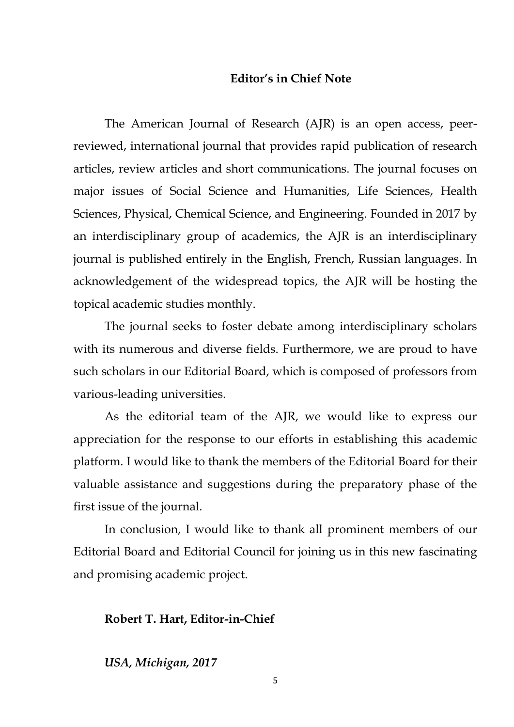### **Editor's in Chief Note**

The American Journal of Research (AJR) is an open access, peerreviewed, international journal that provides rapid publication of research articles, review articles and short communications. The journal focuses on major issues of Social Science and Humanities, Life Sciences, Health Sciences, Physical, Chemical Science, and Engineering. Founded in 2017 by an interdisciplinary group of academics, the AJR is an interdisciplinary journal is published entirely in the English, French, Russian languages. In acknowledgement of the widespread topics, the AJR will be hosting the topical academic studies monthly.

The journal seeks to foster debate among interdisciplinary scholars with its numerous and diverse fields. Furthermore, we are proud to have such scholars in our Editorial Board, which is composed of professors from various-leading universities.

As the editorial team of the AJR, we would like to express our appreciation for the response to our efforts in establishing this academic platform. I would like to thank the members of the Editorial Board for their valuable assistance and suggestions during the preparatory phase of the first issue of the journal.

In conclusion, I would like to thank all prominent members of our Editorial Board and Editorial Council for joining us in this new fascinating and promising academic project.

### **Robert T. Hart, Editor-in-Chief**

### *USA, Michigan, 2017*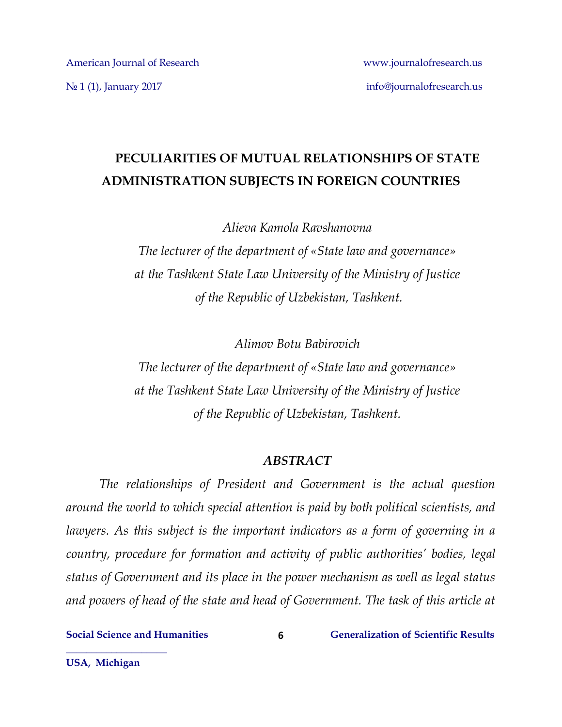### **PECULIARITIES OF MUTUAL RELATIONSHIPS OF STATE ADMINISTRATION SUBJECTS IN FOREIGN COUNTRIES**

*Alieva Kamola Ravshanovna* 

*The lecturer of the department of «State law and governance» at the Tashkent State Law University of the Ministry of Justice of the Republic of Uzbekistan, Tashkent.*

*Alimov Botu Babirovich*

*The lecturer of the department of «State law and governance» at the Tashkent State Law University of the Ministry of Justice of the Republic of Uzbekistan, Tashkent.*

### *ABSTRACT*

*The relationships of President and Government is the actual question around the world to which special attention is paid by both political scientists, and lawyers. As this subject is the important indicators as a form of governing in a country, procedure for formation and activity of public authorities' bodies, legal status of Government and its place in the power mechanism as well as legal status and powers of head of the state and head of Government. The task of this article at* 

**6**

**Social Science and Humanities Generalization of Scientific Results**

**USA, Michigan**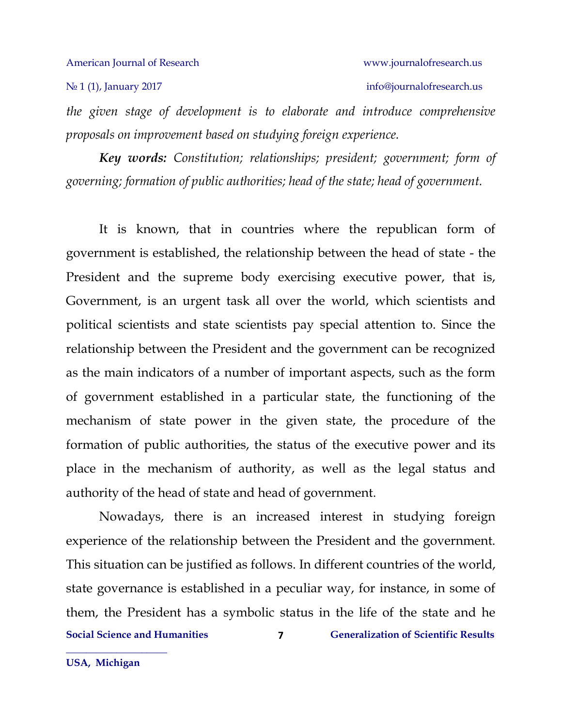### No 1 (1), January 2017 info[@journalofresearch.u](http://journalofresearch.asia/)s

*the given stage of development is to elaborate and introduce comprehensive proposals on improvement based on studying foreign experience.*

*Key words: Constitution; relationships; president; government; form of governing; formation of public authorities; head of the state; head of government.*

It is known, that in countries where the republican form of government is established, the relationship between the head of state - the President and the supreme body exercising executive power, that is, Government, is an urgent task all over the world, which scientists and political scientists and state scientists pay special attention to. Since the relationship between the President and the government can be recognized as the main indicators of a number of important aspects, such as the form of government established in a particular state, the functioning of the mechanism of state power in the given state, the procedure of the formation of public authorities, the status of the executive power and its place in the mechanism of authority, as well as the legal status and authority of the head of state and head of government.

**Social Science and Humanities**  $\overline{z}$  **Generalization of Scientific Results 7** Nowadays, there is an increased interest in studying foreign experience of the relationship between the President and the government. This situation can be justified as follows. In different countries of the world, state governance is established in a peculiar way, for instance, in some of them, the President has a symbolic status in the life of the state and he

**USA, Michigan**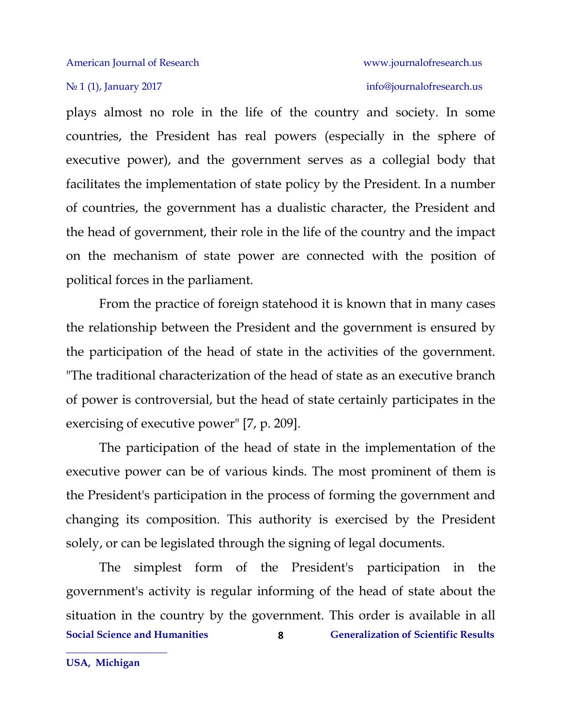plays almost no role in the life of the country and society. In some countries, the President has real powers (especially in the sphere of executive power), and the government serves as a collegial body that facilitates the implementation of state policy by the President. In a number of countries, the government has a dualistic character, the President and the head of government, their role in the life of the country and the impact on the mechanism of state power are connected with the position of political forces in the parliament.

From the practice of foreign statehood it is known that in many cases the relationship between the President and the government is ensured by the participation of the head of state in the activities of the government. "The traditional characterization of the head of state as an executive branch of power is controversial, but the head of state certainly participates in the exercising of executive power" [7, p. 209].

The participation of the head of state in the implementation of the executive power can be of various kinds. The most prominent of them is the President's participation in the process of forming the government and changing its composition. This authority is exercised by the President solely, or can be legislated through the signing of legal documents.

**Social Science and Humanities Generalization of Scientific Results 8** The simplest form of the President's participation in the government's activity is regular informing of the head of state about the situation in the country by the government. This order is available in all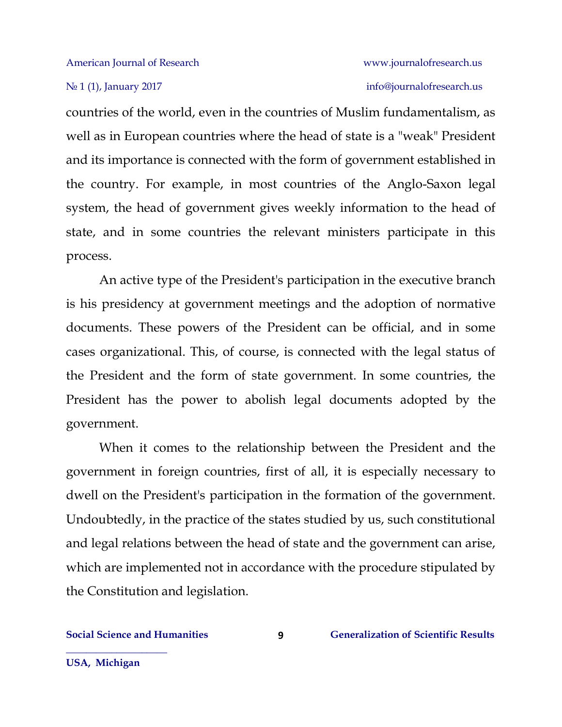№ 1 (1), January 2017 info[@journalofresearch.u](http://journalofresearch.asia/)s

countries of the world, even in the countries of Muslim fundamentalism, as well as in European countries where the head of state is a "weak" President and its importance is connected with the form of government established in the country. For example, in most countries of the Anglo-Saxon legal system, the head of government gives weekly information to the head of state, and in some countries the relevant ministers participate in this process.

An active type of the President's participation in the executive branch is his presidency at government meetings and the adoption of normative documents. These powers of the President can be official, and in some cases organizational. This, of course, is connected with the legal status of the President and the form of state government. In some countries, the President has the power to abolish legal documents adopted by the government.

When it comes to the relationship between the President and the government in foreign countries, first of all, it is especially necessary to dwell on the President's participation in the formation of the government. Undoubtedly, in the practice of the states studied by us, such constitutional and legal relations between the head of state and the government can arise, which are implemented not in accordance with the procedure stipulated by the Constitution and legislation.

**\_\_\_\_\_\_\_\_\_\_\_\_\_\_\_\_\_\_\_\_**

**9**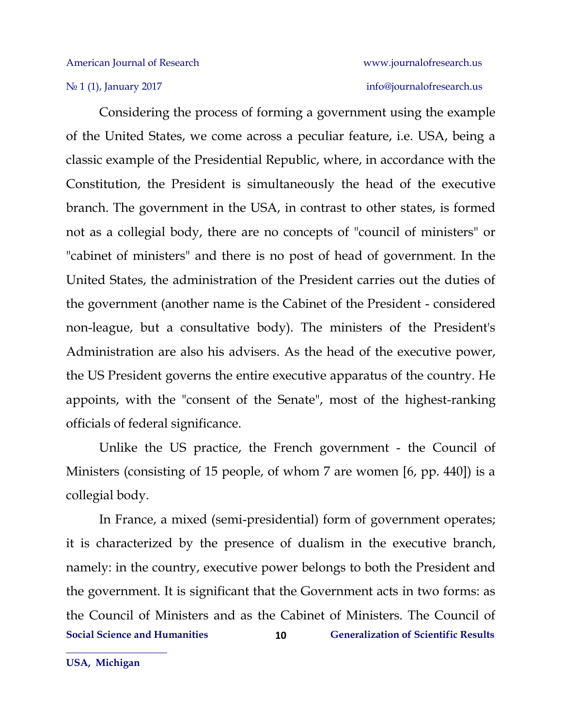## № 1 (1), January 2017 info[@journalofresearch.u](http://journalofresearch.asia/)s

Considering the process of forming a government using the example of the United States, we come across a peculiar feature, i.e. USA, being a classic example of the Presidential Republic, where, in accordance with the Constitution, the President is simultaneously the head of the executive branch. The government in the USA, in contrast to other states, is formed not as a collegial body, there are no concepts of "council of ministers" or "cabinet of ministers" and there is no post of head of government. In the United States, the administration of the President carries out the duties of the government (another name is the Cabinet of the President - considered non-league, but a consultative body). The ministers of the President's Administration are also his advisers. As the head of the executive power, the US President governs the entire executive apparatus of the country. He appoints, with the "consent of the Senate", most of the highest-ranking officials of federal significance.

Unlike the US practice, the French government - the Council of Ministers (consisting of 15 people, of whom 7 are women [6, pp. 440]) is a collegial body.

**Social Science and Humanities 6 (Constrained Figure 2)** Generalization of Scientific Results **10** In France, a mixed (semi-presidential) form of government operates; it is characterized by the presence of dualism in the executive branch, namely: in the country, executive power belongs to both the President and the government. It is significant that the Government acts in two forms: as the Council of Ministers and as the Cabinet of Ministers. The Council of

**USA, Michigan**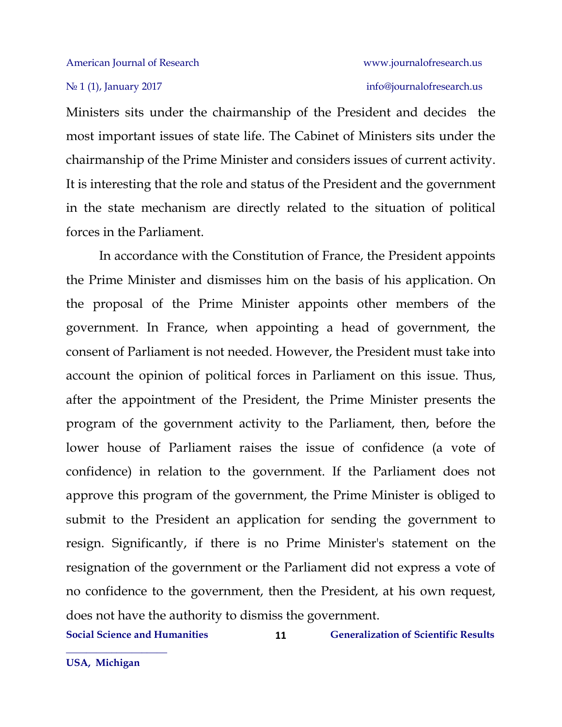Ministers sits under the chairmanship of the President and decides the most important issues of state life. The Cabinet of Ministers sits under the chairmanship of the Prime Minister and considers issues of current activity. It is interesting that the role and status of the President and the government in the state mechanism are directly related to the situation of political forces in the Parliament.

In accordance with the Constitution of France, the President appoints the Prime Minister and dismisses him on the basis of his application. On the proposal of the Prime Minister appoints other members of the government. In France, when appointing a head of government, the consent of Parliament is not needed. However, the President must take into account the opinion of political forces in Parliament on this issue. Thus, after the appointment of the President, the Prime Minister presents the program of the government activity to the Parliament, then, before the lower house of Parliament raises the issue of confidence (a vote of confidence) in relation to the government. If the Parliament does not approve this program of the government, the Prime Minister is obliged to submit to the President an application for sending the government to resign. Significantly, if there is no Prime Minister's statement on the resignation of the government or the Parliament did not express a vote of no confidence to the government, then the President, at his own request, does not have the authority to dismiss the government.

**11**

**Social Science and Humanities Generalization of Scientific Results**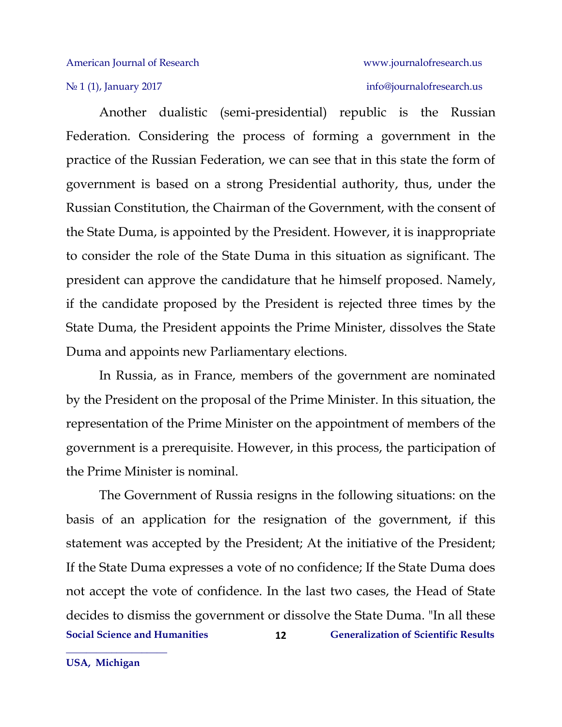## No 1 (1), January 2017 info[@journalofresearch.u](http://journalofresearch.asia/)s

Another dualistic (semi-presidential) republic is the Russian Federation. Considering the process of forming a government in the practice of the Russian Federation, we can see that in this state the form of government is based on a strong Presidential authority, thus, under the Russian Constitution, the Chairman of the Government, with the consent of the State Duma, is appointed by the President. However, it is inappropriate to consider the role of the State Duma in this situation as significant. The president can approve the candidature that he himself proposed. Namely, if the candidate proposed by the President is rejected three times by the State Duma, the President appoints the Prime Minister, dissolves the State Duma and appoints new Parliamentary elections.

In Russia, as in France, members of the government are nominated by the President on the proposal of the Prime Minister. In this situation, the representation of the Prime Minister on the appointment of members of the government is a prerequisite. However, in this process, the participation of the Prime Minister is nominal.

**Social Science and Humanities Generalization of Scientific Results 12** The Government of Russia resigns in the following situations: on the basis of an application for the resignation of the government, if this statement was accepted by the President; At the initiative of the President; If the State Duma expresses a vote of no confidence; If the State Duma does not accept the vote of confidence. In the last two cases, the Head of State decides to dismiss the government or dissolve the State Duma. "In all these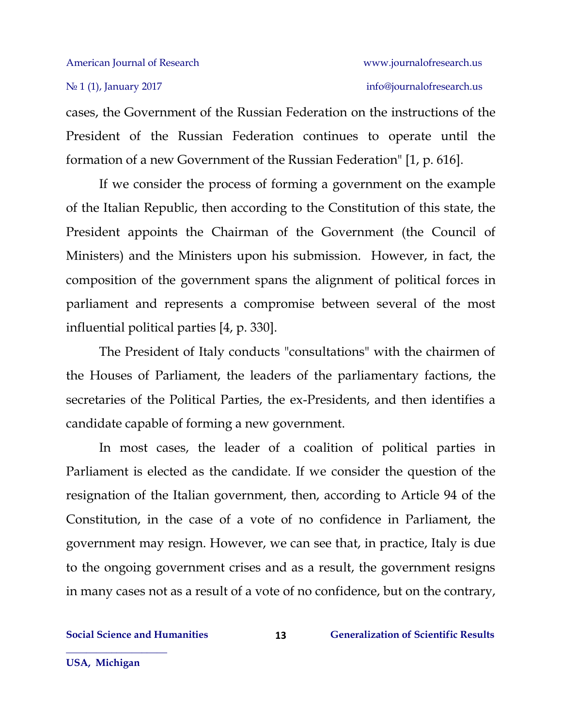cases, the Government of the Russian Federation on the instructions of the President of the Russian Federation continues to operate until the formation of a new Government of the Russian Federation" [1, p. 616].

If we consider the process of forming a government on the example of the Italian Republic, then according to the Constitution of this state, the President appoints the Chairman of the Government (the Council of Ministers) and the Ministers upon his submission. However, in fact, the composition of the government spans the alignment of political forces in parliament and represents a compromise between several of the most influential political parties [4, p. 330].

The President of Italy conducts "consultations" with the chairmen of the Houses of Parliament, the leaders of the parliamentary factions, the secretaries of the Political Parties, the ex-Presidents, and then identifies a candidate capable of forming a new government.

In most cases, the leader of a coalition of political parties in Parliament is elected as the candidate. If we consider the question of the resignation of the Italian government, then, according to Article 94 of the Constitution, in the case of a vote of no confidence in Parliament, the government may resign. However, we can see that, in practice, Italy is due to the ongoing government crises and as a result, the government resigns in many cases not as a result of a vote of no confidence, but on the contrary,

**USA, Michigan**

**\_\_\_\_\_\_\_\_\_\_\_\_\_\_\_\_\_\_\_\_**

**13**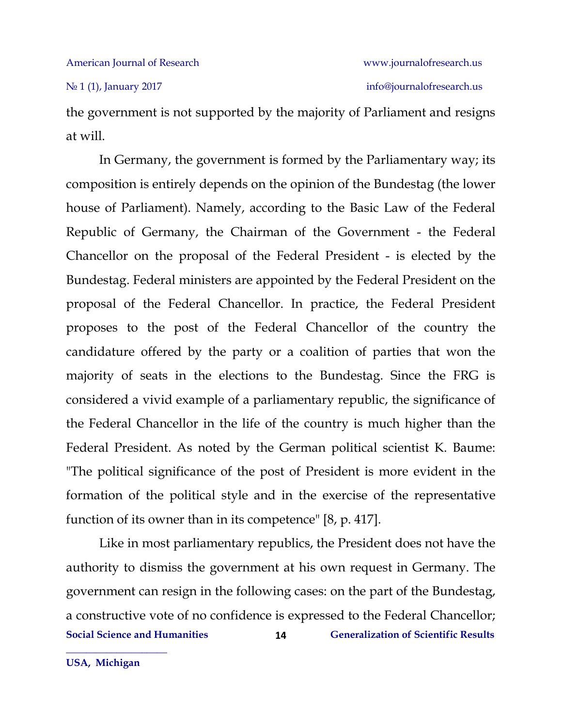the government is not supported by the majority of Parliament and resigns at will.

In Germany, the government is formed by the Parliamentary way; its composition is entirely depends on the opinion of the Bundestag (the lower house of Parliament). Namely, according to the Basic Law of the Federal Republic of Germany, the Chairman of the Government - the Federal Chancellor on the proposal of the Federal President - is elected by the Bundestag. Federal ministers are appointed by the Federal President on the proposal of the Federal Chancellor. In practice, the Federal President proposes to the post of the Federal Chancellor of the country the candidature offered by the party or a coalition of parties that won the majority of seats in the elections to the Bundestag. Since the FRG is considered a vivid example of a parliamentary republic, the significance of the Federal Chancellor in the life of the country is much higher than the Federal President. As noted by the German political scientist K. Baume: "The political significance of the post of President is more evident in the formation of the political style and in the exercise of the representative function of its owner than in its competence" [8, p. 417].

**Social Science and Humanities Generalization of Scientific Results 14** Like in most parliamentary republics, the President does not have the authority to dismiss the government at his own request in Germany. The government can resign in the following cases: on the part of the Bundestag, a constructive vote of no confidence is expressed to the Federal Chancellor;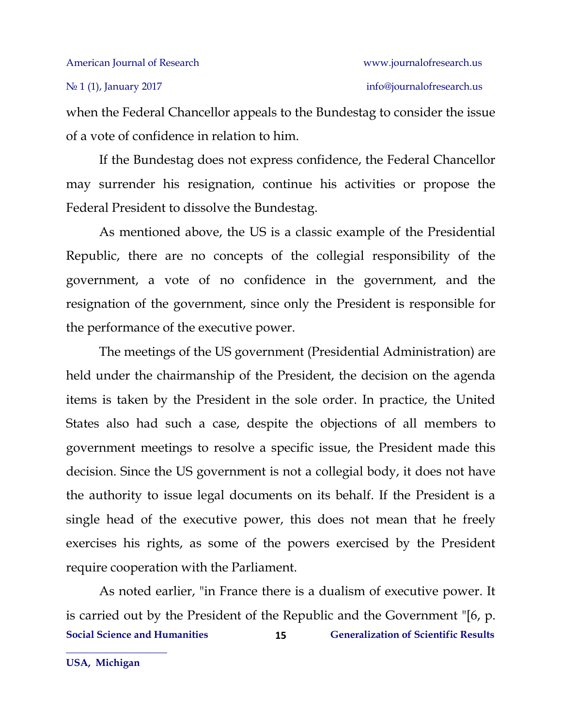when the Federal Chancellor appeals to the Bundestag to consider the issue of a vote of confidence in relation to him.

If the Bundestag does not express confidence, the Federal Chancellor may surrender his resignation, continue his activities or propose the Federal President to dissolve the Bundestag.

As mentioned above, the US is a classic example of the Presidential Republic, there are no concepts of the collegial responsibility of the government, a vote of no confidence in the government, and the resignation of the government, since only the President is responsible for the performance of the executive power.

The meetings of the US government (Presidential Administration) are held under the chairmanship of the President, the decision on the agenda items is taken by the President in the sole order. In practice, the United States also had such a case, despite the objections of all members to government meetings to resolve a specific issue, the President made this decision. Since the US government is not a collegial body, it does not have the authority to issue legal documents on its behalf. If the President is a single head of the executive power, this does not mean that he freely exercises his rights, as some of the powers exercised by the President require cooperation with the Parliament.

**Social Science and Humanities Generalization of Scientific Results 15** As noted earlier, "in France there is a dualism of executive power. It is carried out by the President of the Republic and the Government "[6, p.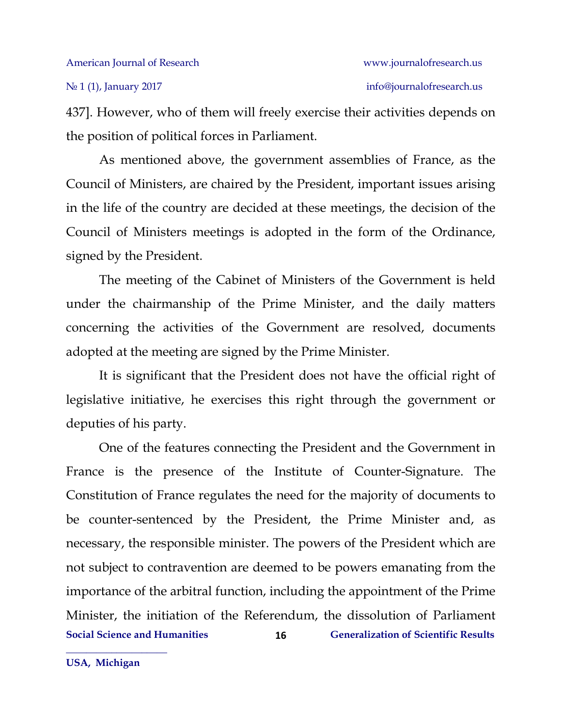437]. However, who of them will freely exercise their activities depends on the position of political forces in Parliament.

As mentioned above, the government assemblies of France, as the Council of Ministers, are chaired by the President, important issues arising in the life of the country are decided at these meetings, the decision of the Council of Ministers meetings is adopted in the form of the Ordinance, signed by the President.

The meeting of the Cabinet of Ministers of the Government is held under the chairmanship of the Prime Minister, and the daily matters concerning the activities of the Government are resolved, documents adopted at the meeting are signed by the Prime Minister.

It is significant that the President does not have the official right of legislative initiative, he exercises this right through the government or deputies of his party.

**Social Science and Humanities Generalization of Scientific Results 16** One of the features connecting the President and the Government in France is the presence of the Institute of Counter-Signature. The Constitution of France regulates the need for the majority of documents to be counter-sentenced by the President, the Prime Minister and, as necessary, the responsible minister. The powers of the President which are not subject to contravention are deemed to be powers emanating from the importance of the arbitral function, including the appointment of the Prime Minister, the initiation of the Referendum, the dissolution of Parliament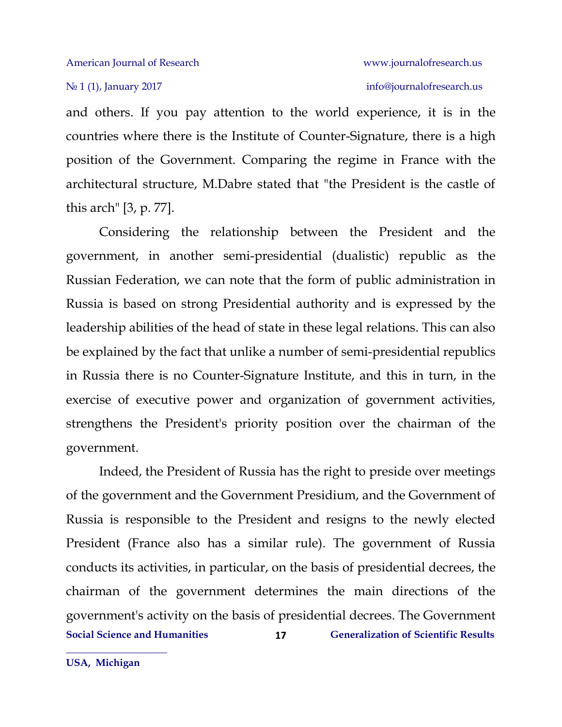and others. If you pay attention to the world experience, it is in the countries where there is the Institute of Counter-Signature, there is a high position of the Government. Comparing the regime in France with the architectural structure, M.Dabre stated that "the President is the castle of this arch" [3, p. 77].

Considering the relationship between the President and the government, in another semi-presidential (dualistic) republic as the Russian Federation, we can note that the form of public administration in Russia is based on strong Presidential authority and is expressed by the leadership abilities of the head of state in these legal relations. This can also be explained by the fact that unlike a number of semi-presidential republics in Russia there is no Counter-Signature Institute, and this in turn, in the exercise of executive power and organization of government activities, strengthens the President's priority position over the chairman of the government.

**Social Science and Humanities Generalization of Scientific Results 17** Indeed, the President of Russia has the right to preside over meetings of the government and the Government Presidium, and the Government of Russia is responsible to the President and resigns to the newly elected President (France also has a similar rule). The government of Russia conducts its activities, in particular, on the basis of presidential decrees, the chairman of the government determines the main directions of the government's activity on the basis of presidential decrees. The Government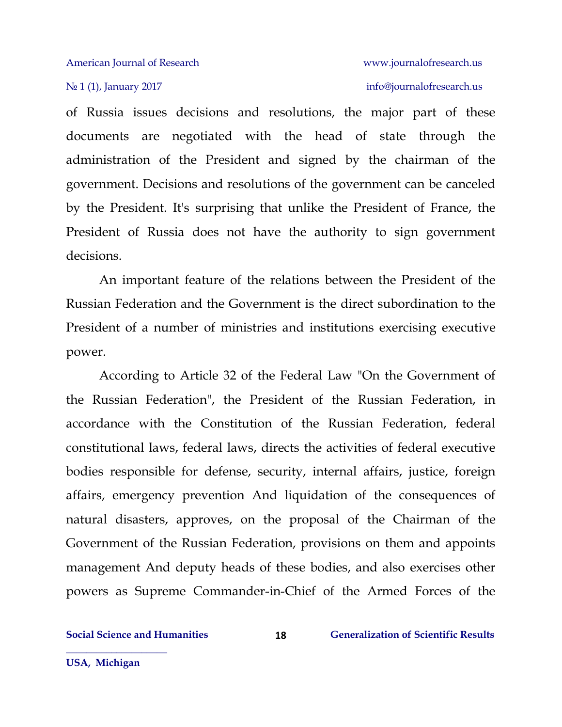of Russia issues decisions and resolutions, the major part of these documents are negotiated with the head of state through the administration of the President and signed by the chairman of the government. Decisions and resolutions of the government can be canceled by the President. It's surprising that unlike the President of France, the President of Russia does not have the authority to sign government decisions.

An important feature of the relations between the President of the Russian Federation and the Government is the direct subordination to the President of a number of ministries and institutions exercising executive power.

According to Article 32 of the Federal Law "On the Government of the Russian Federation", the President of the Russian Federation, in accordance with the Constitution of the Russian Federation, federal constitutional laws, federal laws, directs the activities of federal executive bodies responsible for defense, security, internal affairs, justice, foreign affairs, emergency prevention And liquidation of the consequences of natural disasters, approves, on the proposal of the Chairman of the Government of the Russian Federation, provisions on them and appoints management And deputy heads of these bodies, and also exercises other powers as Supreme Commander-in-Chief of the Armed Forces of the

**18**

**Social Science and Humanities Generalization of Scientific Results**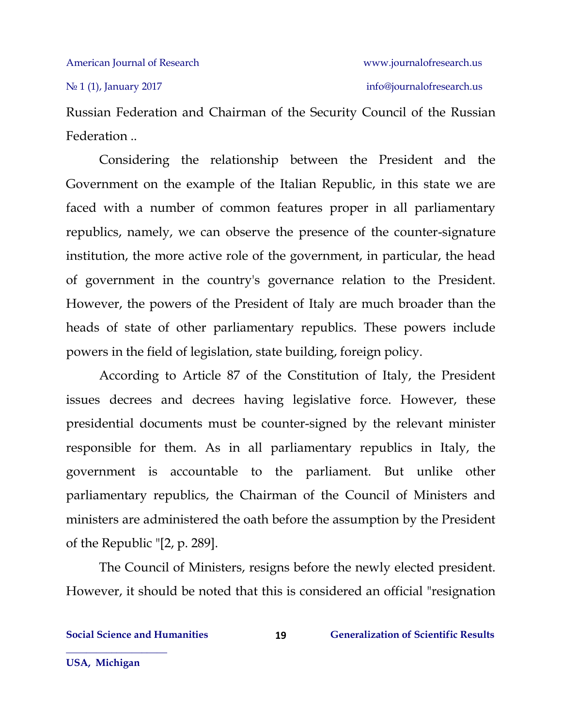Russian Federation and Chairman of the Security Council of the Russian Federation ..

Considering the relationship between the President and the Government on the example of the Italian Republic, in this state we are faced with a number of common features proper in all parliamentary republics, namely, we can observe the presence of the counter-signature institution, the more active role of the government, in particular, the head of government in the country's governance relation to the President. However, the powers of the President of Italy are much broader than the heads of state of other parliamentary republics. These powers include powers in the field of legislation, state building, foreign policy.

According to Article 87 of the Constitution of Italy, the President issues decrees and decrees having legislative force. However, these presidential documents must be counter-signed by the relevant minister responsible for them. As in all parliamentary republics in Italy, the government is accountable to the parliament. But unlike other parliamentary republics, the Chairman of the Council of Ministers and ministers are administered the oath before the assumption by the President of the Republic "[2, p. 289].

The Council of Ministers, resigns before the newly elected president. However, it should be noted that this is considered an official "resignation

**19**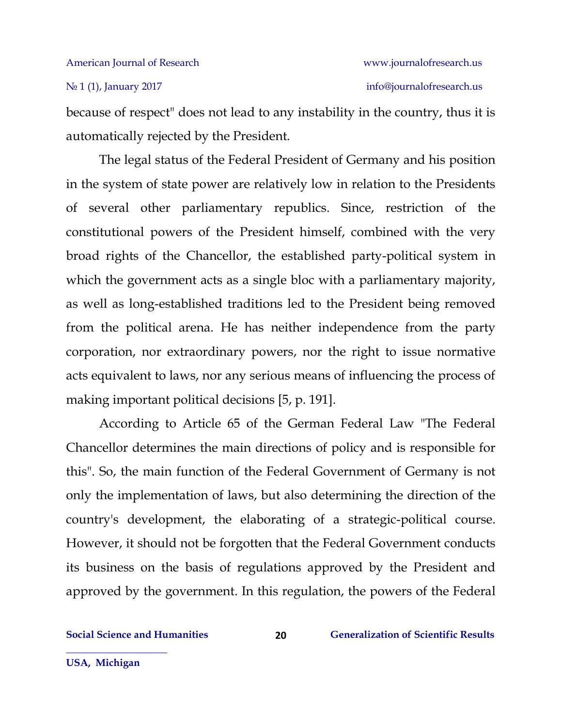because of respect" does not lead to any instability in the country, thus it is automatically rejected by the President.

The legal status of the Federal President of Germany and his position in the system of state power are relatively low in relation to the Presidents of several other parliamentary republics. Since, restriction of the constitutional powers of the President himself, combined with the very broad rights of the Chancellor, the established party-political system in which the government acts as a single bloc with a parliamentary majority, as well as long-established traditions led to the President being removed from the political arena. He has neither independence from the party corporation, nor extraordinary powers, nor the right to issue normative acts equivalent to laws, nor any serious means of influencing the process of making important political decisions [5, p. 191].

According to Article 65 of the German Federal Law "The Federal Chancellor determines the main directions of policy and is responsible for this". So, the main function of the Federal Government of Germany is not only the implementation of laws, but also determining the direction of the country's development, the elaborating of a strategic-political course. However, it should not be forgotten that the Federal Government conducts its business on the basis of regulations approved by the President and approved by the government. In this regulation, the powers of the Federal

**USA, Michigan**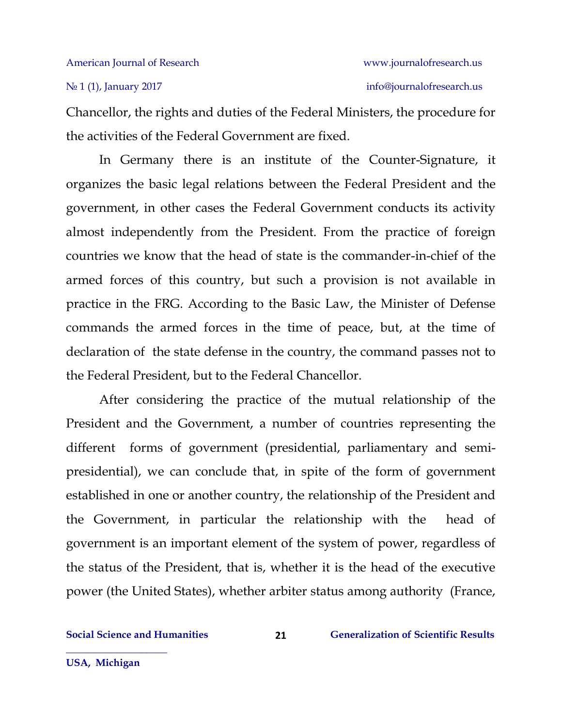Chancellor, the rights and duties of the Federal Ministers, the procedure for the activities of the Federal Government are fixed.

In Germany there is an institute of the Counter-Signature, it organizes the basic legal relations between the Federal President and the government, in other cases the Federal Government conducts its activity almost independently from the President. From the practice of foreign countries we know that the head of state is the commander-in-chief of the armed forces of this country, but such a provision is not available in practice in the FRG. According to the Basic Law, the Minister of Defense commands the armed forces in the time of peace, but, at the time of declaration of the state defense in the country, the command passes not to the Federal President, but to the Federal Chancellor.

After considering the practice of the mutual relationship of the President and the Government, a number of countries representing the different forms of government (presidential, parliamentary and semipresidential), we can conclude that, in spite of the form of government established in one or another country, the relationship of the President and the Government, in particular the relationship with the head of government is an important element of the system of power, regardless of the status of the President, that is, whether it is the head of the executive power (the United States), whether arbiter status among authority (France,

**USA, Michigan**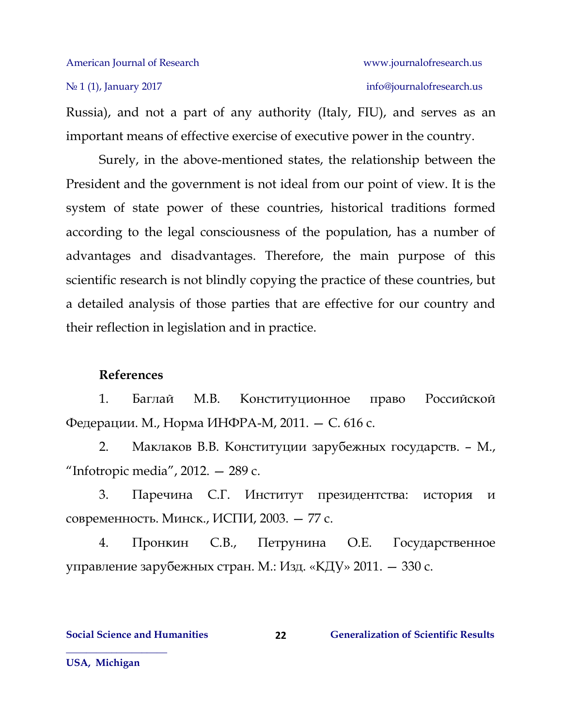## No 1 (1), January 2017 info[@journalofresearch.u](http://journalofresearch.asia/)s

Russia), and not a part of any authority (Italy, FIU), and serves as an important means of effective exercise of executive power in the country.

Surely, in the above-mentioned states, the relationship between the President and the government is not ideal from our point of view. It is the system of state power of these countries, historical traditions formed according to the legal consciousness of the population, has a number of advantages and disadvantages. Therefore, the main purpose of this scientific research is not blindly copying the practice of these countries, but a detailed analysis of those parties that are effective for our country and their reflection in legislation and in practice.

### **References**

1. Баглай М.В. Конституционное право Российской Федерации. М., Норма ИНФРА-М, 2011. — С. 616 с.

2. Маклаков В.В. Конституции зарубежных государств. – М., "Infotropic media", 2012. — 289 с.

3. Паречина С.Г. Институт президентства: история и современность. Минск., ИСПИ, 2003. — 77 с.

4. Пронкин С.В., Петрунина О.Е. Государственное управление зарубежных стран. М.: Изд. «КДУ» 2011. — 330 с.

**22**

**Social Science and Humanities 22 Generalization of Scientific Results** 

**USA, Michigan**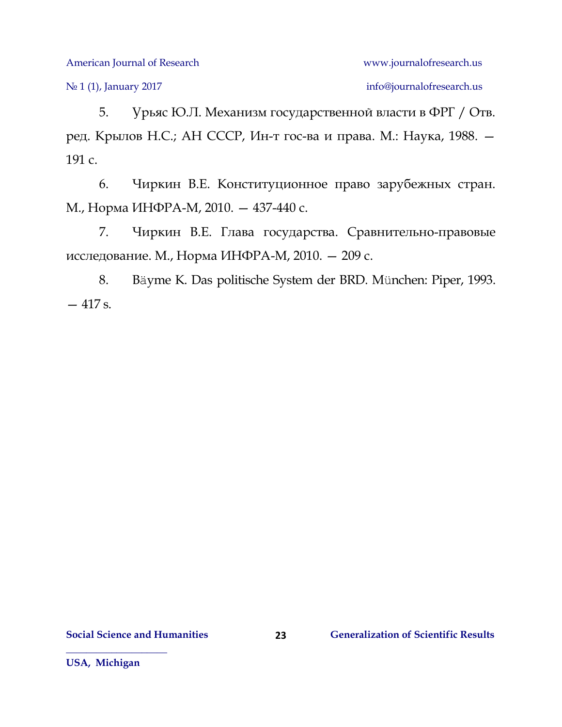No 1 (1), January 2017 info[@journalofresearch.u](http://journalofresearch.asia/)s

5. Урьяс Ю.Л. Механизм государственной власти в ФРГ / Отв. ред. Крылов Н.С.; АН СССР, Ин-т гос-ва и права. М.: Наука, 1988. — 191 с.

6. Чиркин В.Е. Конституционное право зарубежных стран. М., Норма ИНФРА-М, 2010. — 437-440 с.

7. Чиркин В.Е. Глава государства. Сравнительно-правовые исследование. М., Норма ИНФРА-М, 2010. — 209 с.

8. Bäyme K. Das politische System der BRD. München: Piper, 1993. — 417 s.

**23**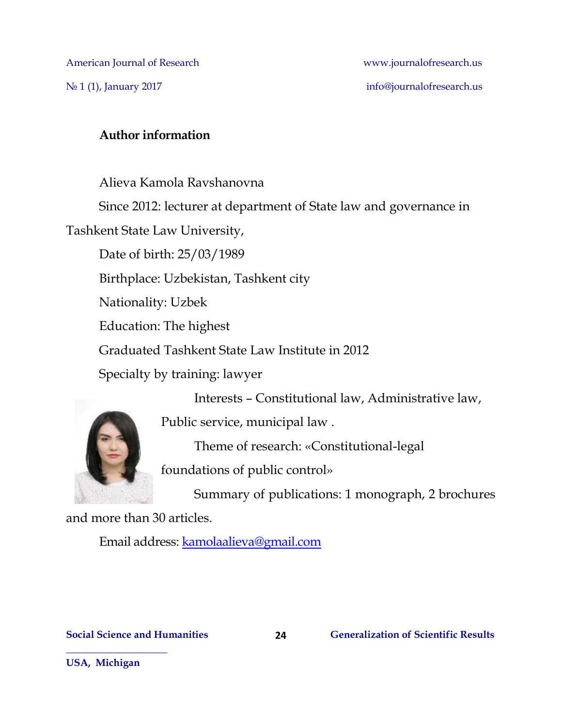### **Author information**

Alieva Kamola Ravshanovna Since 2012: lecturer at department of State law and governance in Tashkent State Law University, Date of birth: 25/03/1989 Birthplace: Uzbekistan, Tashkent city Nationality: Uzbek Education: The highest Graduated Tashkent State Law Institute in 2012 Specialty by training: lawyer Interests – Constitutional law, Administrative law,



Public service, municipal law .

Theme of research: «Constitutional-legal

foundations of public control»

Summary of publications: 1 monograph, 2 brochures

and more than 30 articles.

Email address: [kamolaalieva@gmail.com](mailto:kamolaalieva@gmail.com)

**USA, Michigan**

**\_\_\_\_\_\_\_\_\_\_\_\_\_\_\_\_\_\_\_\_**

**24**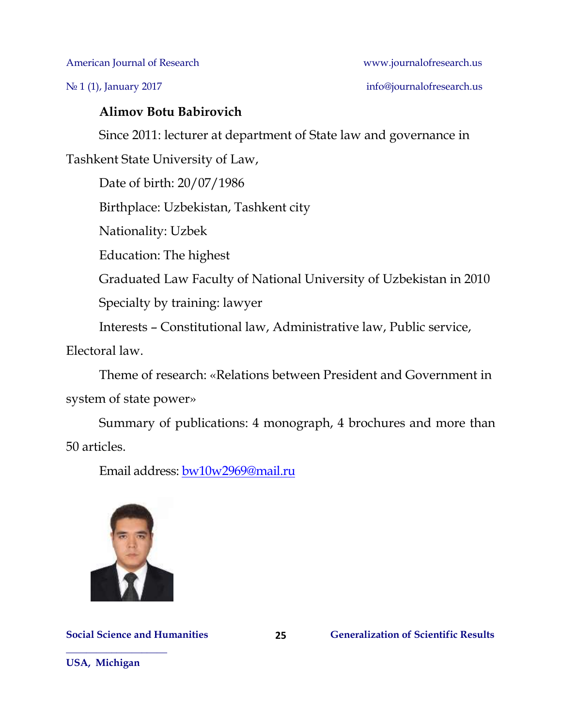No 1 (1), January 2017 info[@journalofresearch.u](http://journalofresearch.asia/)s

### **Alimov Botu Babirovich**

Since 2011: lecturer at department of State law and governance in

Tashkent State University of Law,

Date of birth: 20/07/1986

Birthplace: Uzbekistan, Tashkent city

Nationality: Uzbek

Education: The highest

Graduated Law Faculty of National University of Uzbekistan in 2010

Specialty by training: lawyer

Interests – Constitutional law, Administrative law, Public service,

Electoral law.

Theme of research: «Relations between President and Government in system of state power»

Summary of publications: 4 monograph, 4 brochures and more than 50 articles.

**25**

Email address: [bw10w2969@mail.ru](mailto:bw10w2969@mail.ru)



**Social Science and Humanities Generalization of Scientific Results**

**USA, Michigan**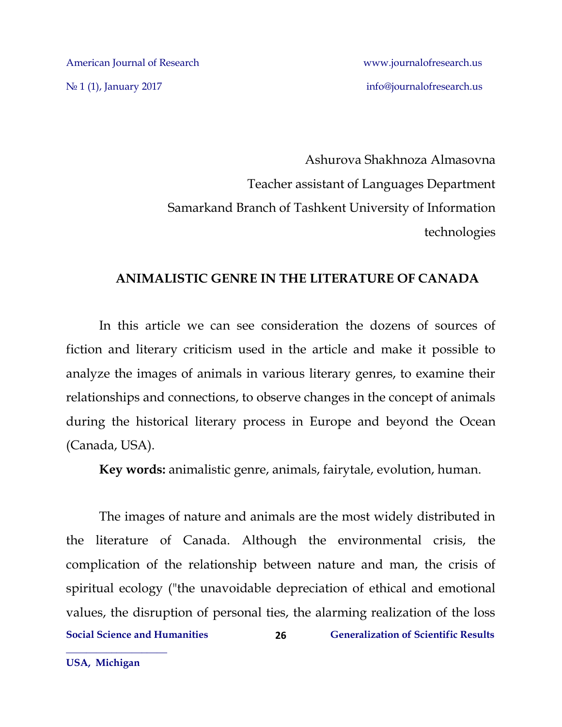N<u>o</u> 1 (1), January 2017 info[@journalofresearch.u](http://journalofresearch.asia/)s

Ashurova Shakhnoza Almasovna Teacher assistant of Languages Department Samarkand Branch of Tashkent University of Information technologies

### **ANIMALISTIC GENRE IN THE LITERATURE OF CANADA**

In this article we can see consideration the dozens of sources of fiction and literary criticism used in the article and make it possible to analyze the images of animals in various literary genres, to examine their relationships and connections, to observe changes in the concept of animals during the historical literary process in Europe and beyond the Ocean (Canada, USA).

**Key words:** animalistic genre, animals, fairytale, evolution, human.

**Social Science and Humanities Generalization of Scientific Results 26** The images of nature and animals are the most widely distributed in the literature of Canada. Although the environmental crisis, the complication of the relationship between nature and man, the crisis of spiritual ecology ("the unavoidable depreciation of ethical and emotional values, the disruption of personal ties, the alarming realization of the loss

**USA, Michigan**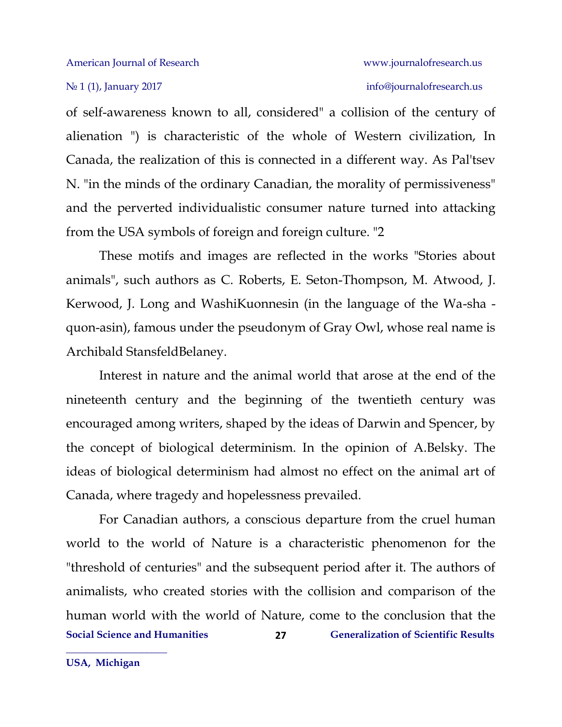### No 1 (1), January 2017 info[@journalofresearch.u](http://journalofresearch.asia/)s

of self-awareness known to all, considered" a collision of the century of alienation ") is characteristic of the whole of Western civilization, In Canada, the realization of this is connected in a different way. As Pal'tsev N. "in the minds of the ordinary Canadian, the morality of permissiveness" and the perverted individualistic consumer nature turned into attacking from the USA symbols of foreign and foreign culture. "2

These motifs and images are reflected in the works "Stories about animals", such authors as C. Roberts, E. Seton-Thompson, M. Atwood, J. Kerwood, J. Long and WashiKuonnesin (in the language of the Wa-sha quon-asin), famous under the pseudonym of Gray Owl, whose real name is Archibald StansfeldBelaney.

Interest in nature and the animal world that arose at the end of the nineteenth century and the beginning of the twentieth century was encouraged among writers, shaped by the ideas of Darwin and Spencer, by the concept of biological determinism. In the opinion of A.Belsky. The ideas of biological determinism had almost no effect on the animal art of Canada, where tragedy and hopelessness prevailed.

**Social Science and Humanities Generalization of Scientific Results 27** For Canadian authors, a conscious departure from the cruel human world to the world of Nature is a characteristic phenomenon for the "threshold of centuries" and the subsequent period after it. The authors of animalists, who created stories with the collision and comparison of the human world with the world of Nature, come to the conclusion that the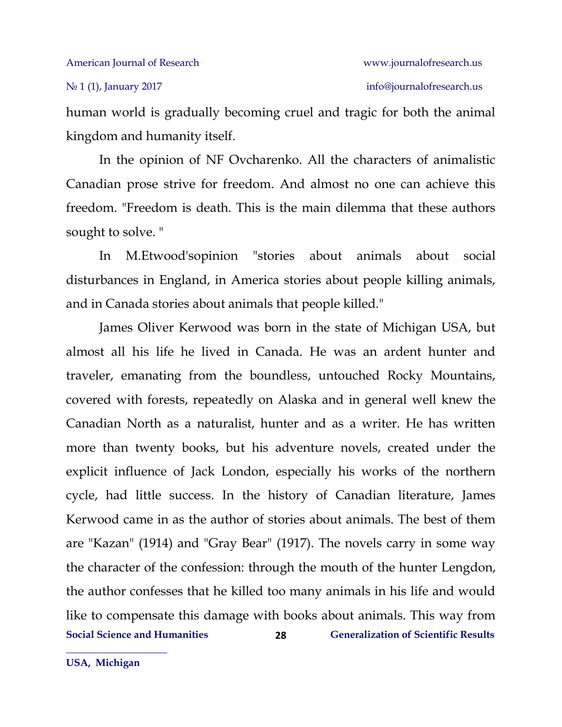human world is gradually becoming cruel and tragic for both the animal kingdom and humanity itself.

In the opinion of NF Ovcharenko. All the characters of animalistic Canadian prose strive for freedom. And almost no one can achieve this freedom. "Freedom is death. This is the main dilemma that these authors sought to solve. "

In M.Etwood'sopinion "stories about animals about social disturbances in England, in America stories about people killing animals, and in Canada stories about animals that people killed."

**Social Science and Humanities Generalization of Scientific Results 28** James Oliver Kerwood was born in the state of Michigan USA, but almost all his life he lived in Canada. He was an ardent hunter and traveler, emanating from the boundless, untouched Rocky Mountains, covered with forests, repeatedly on Alaska and in general well knew the Canadian North as a naturalist, hunter and as a writer. He has written more than twenty books, but his adventure novels, created under the explicit influence of Jack London, especially his works of the northern cycle, had little success. In the history of Canadian literature, James Kerwood came in as the author of stories about animals. The best of them are "Kazan" (1914) and "Gray Bear" (1917). The novels carry in some way the character of the confession: through the mouth of the hunter Lengdon, the author confesses that he killed too many animals in his life and would like to compensate this damage with books about animals. This way from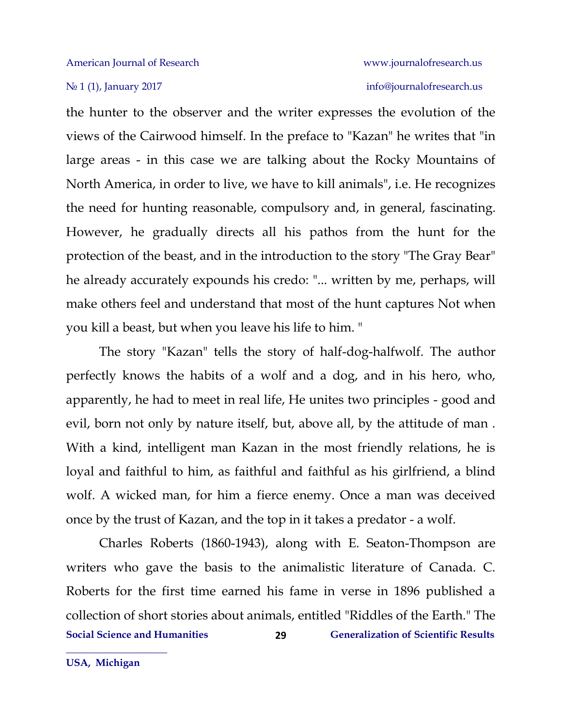the hunter to the observer and the writer expresses the evolution of the views of the Cairwood himself. In the preface to "Kazan" he writes that "in large areas - in this case we are talking about the Rocky Mountains of North America, in order to live, we have to kill animals", i.e. He recognizes the need for hunting reasonable, compulsory and, in general, fascinating. However, he gradually directs all his pathos from the hunt for the protection of the beast, and in the introduction to the story "The Gray Bear" he already accurately expounds his credo: "... written by me, perhaps, will make others feel and understand that most of the hunt captures Not when you kill a beast, but when you leave his life to him. "

The story "Kazan" tells the story of half-dog-halfwolf. The author perfectly knows the habits of a wolf and a dog, and in his hero, who, apparently, he had to meet in real life, He unites two principles - good and evil, born not only by nature itself, but, above all, by the attitude of man . With a kind, intelligent man Kazan in the most friendly relations, he is loyal and faithful to him, as faithful and faithful as his girlfriend, a blind wolf. A wicked man, for him a fierce enemy. Once a man was deceived once by the trust of Kazan, and the top in it takes a predator - a wolf.

**Social Science and Humanities Generalization of Scientific Results 29** Charles Roberts (1860-1943), along with E. Seaton-Thompson are writers who gave the basis to the animalistic literature of Canada. C. Roberts for the first time earned his fame in verse in 1896 published a collection of short stories about animals, entitled "Riddles of the Earth." The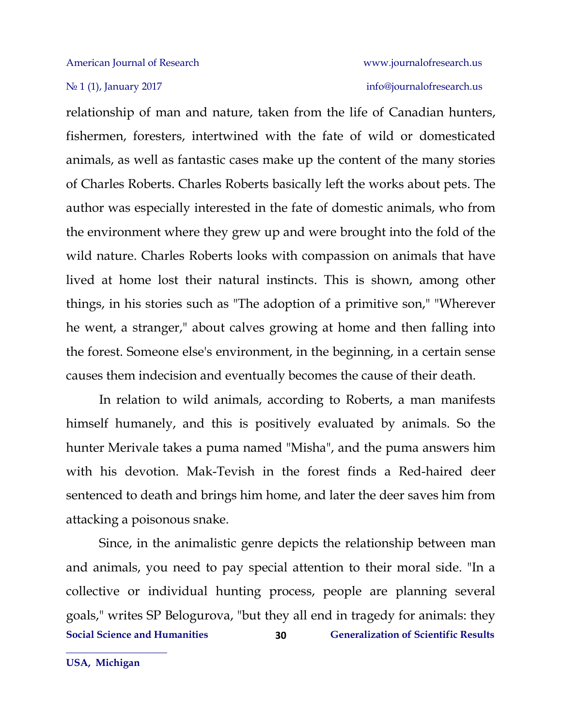relationship of man and nature, taken from the life of Canadian hunters, fishermen, foresters, intertwined with the fate of wild or domesticated animals, as well as fantastic cases make up the content of the many stories of Charles Roberts. Charles Roberts basically left the works about pets. The author was especially interested in the fate of domestic animals, who from the environment where they grew up and were brought into the fold of the wild nature. Charles Roberts looks with compassion on animals that have lived at home lost their natural instincts. This is shown, among other things, in his stories such as "The adoption of a primitive son," "Wherever he went, a stranger," about calves growing at home and then falling into the forest. Someone else's environment, in the beginning, in a certain sense causes them indecision and eventually becomes the cause of their death.

In relation to wild animals, according to Roberts, a man manifests himself humanely, and this is positively evaluated by animals. So the hunter Merivale takes a puma named "Misha", and the puma answers him with his devotion. Mak-Tevish in the forest finds a Red-haired deer sentenced to death and brings him home, and later the deer saves him from attacking a poisonous snake.

**Social Science and Humanities Generalization of Scientific Results 30** Since, in the animalistic genre depicts the relationship between man and animals, you need to pay special attention to their moral side. "In a collective or individual hunting process, people are planning several goals," writes SP Belogurova, "but they all end in tragedy for animals: they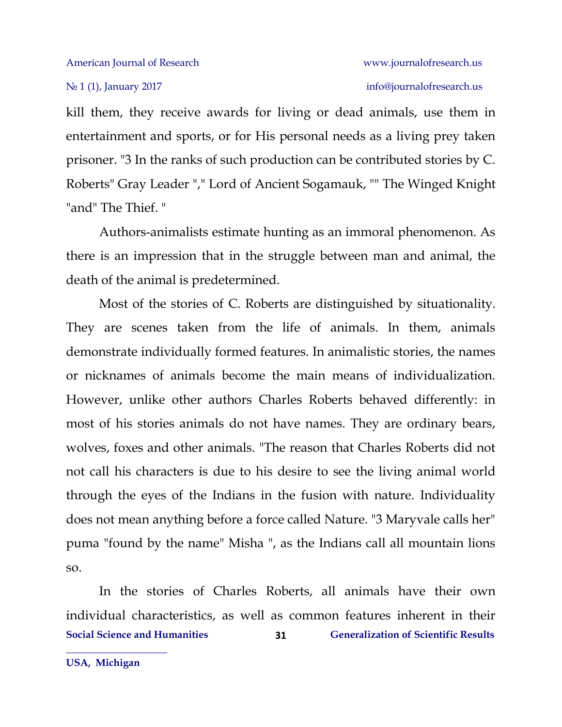kill them, they receive awards for living or dead animals, use them in entertainment and sports, or for His personal needs as a living prey taken prisoner. "3 In the ranks of such production can be contributed stories by C. Roberts" Gray Leader "," Lord of Ancient Sogamauk, "" The Winged Knight "and" The Thief. "

Authors-animalists estimate hunting as an immoral phenomenon. As there is an impression that in the struggle between man and animal, the death of the animal is predetermined.

Most of the stories of C. Roberts are distinguished by situationality. They are scenes taken from the life of animals. In them, animals demonstrate individually formed features. In animalistic stories, the names or nicknames of animals become the main means of individualization. However, unlike other authors Charles Roberts behaved differently: in most of his stories animals do not have names. They are ordinary bears, wolves, foxes and other animals. "The reason that Charles Roberts did not not call his characters is due to his desire to see the living animal world through the eyes of the Indians in the fusion with nature. Individuality does not mean anything before a force called Nature. "3 Maryvale calls her" puma "found by the name" Misha ", as the Indians call all mountain lions so.

**Social Science and Humanities Generalization of Scientific Results 31** In the stories of Charles Roberts, all animals have their own individual characteristics, as well as common features inherent in their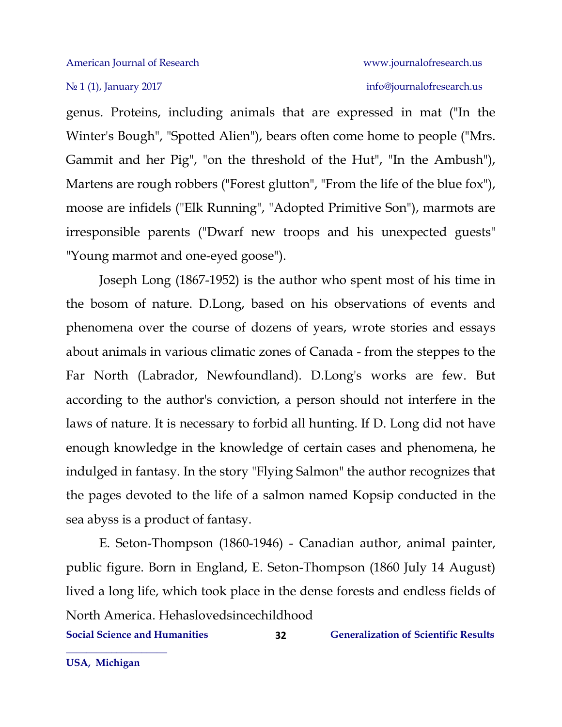### No 1 (1), January 2017 info[@journalofresearch.u](http://journalofresearch.asia/)s

genus. Proteins, including animals that are expressed in mat ("In the Winter's Bough", "Spotted Alien"), bears often come home to people ("Mrs. Gammit and her Pig", "on the threshold of the Hut", "In the Ambush"), Martens are rough robbers ("Forest glutton", "From the life of the blue fox"), moose are infidels ("Elk Running", "Adopted Primitive Son"), marmots are irresponsible parents ("Dwarf new troops and his unexpected guests" "Young marmot and one-eyed goose").

Joseph Long (1867-1952) is the author who spent most of his time in the bosom of nature. D.Long, based on his observations of events and phenomena over the course of dozens of years, wrote stories and essays about animals in various climatic zones of Canada - from the steppes to the Far North (Labrador, Newfoundland). D.Long's works are few. But according to the author's conviction, a person should not interfere in the laws of nature. It is necessary to forbid all hunting. If D. Long did not have enough knowledge in the knowledge of certain cases and phenomena, he indulged in fantasy. In the story "Flying Salmon" the author recognizes that the pages devoted to the life of a salmon named Kopsip conducted in the sea abyss is a product of fantasy.

E. Seton-Thompson (1860-1946) - Canadian author, animal painter, public figure. Born in England, E. Seton-Thompson (1860 July 14 August) lived a long life, which took place in the dense forests and endless fields of North America. Hehaslovedsincechildhood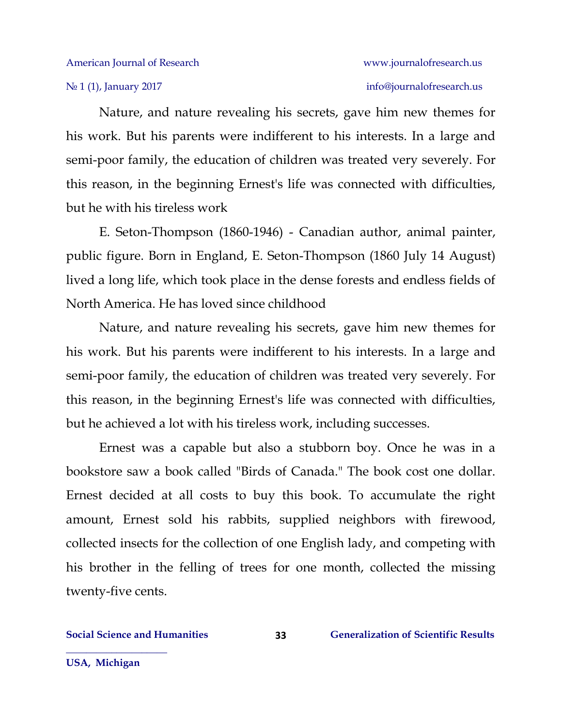Nature, and nature revealing his secrets, gave him new themes for his work. But his parents were indifferent to his interests. In a large and semi-poor family, the education of children was treated very severely. For this reason, in the beginning Ernest's life was connected with difficulties, but he with his tireless work

E. Seton-Thompson (1860-1946) - Canadian author, animal painter, public figure. Born in England, E. Seton-Thompson (1860 July 14 August) lived a long life, which took place in the dense forests and endless fields of North America. He has loved since childhood

Nature, and nature revealing his secrets, gave him new themes for his work. But his parents were indifferent to his interests. In a large and semi-poor family, the education of children was treated very severely. For this reason, in the beginning Ernest's life was connected with difficulties, but he achieved a lot with his tireless work, including successes.

Ernest was a capable but also a stubborn boy. Once he was in a bookstore saw a book called "Birds of Canada." The book cost one dollar. Ernest decided at all costs to buy this book. To accumulate the right amount, Ernest sold his rabbits, supplied neighbors with firewood, collected insects for the collection of one English lady, and competing with his brother in the felling of trees for one month, collected the missing twenty-five cents.

**USA, Michigan**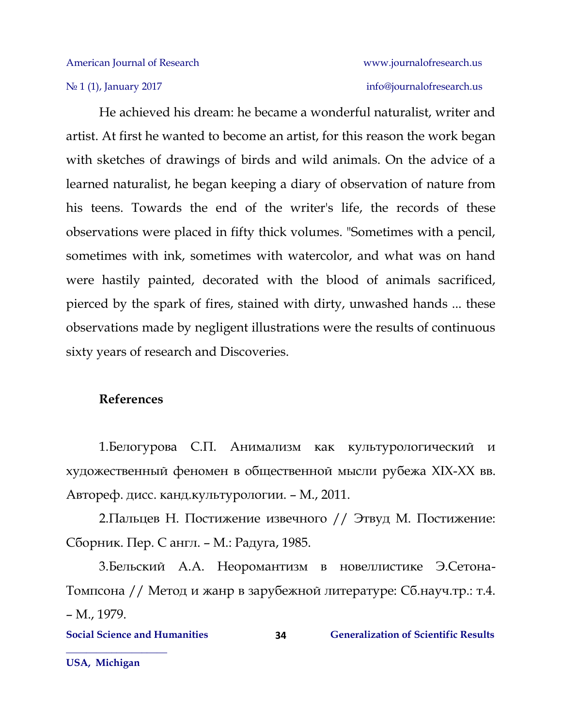He achieved his dream: he became a wonderful naturalist, writer and artist. At first he wanted to become an artist, for this reason the work began with sketches of drawings of birds and wild animals. On the advice of a learned naturalist, he began keeping a diary of observation of nature from his teens. Towards the end of the writer's life, the records of these observations were placed in fifty thick volumes. "Sometimes with a pencil, sometimes with ink, sometimes with watercolor, and what was on hand were hastily painted, decorated with the blood of animals sacrificed, pierced by the spark of fires, stained with dirty, unwashed hands ... these observations made by negligent illustrations were the results of continuous sixty years of research and Discoveries.

### **References**

1.Белогурова С.П. Анимализм как культурологический и художественный феномен в общественной мысли рубежа XIX-XX вв. Автореф. дисс. канд.культурологии. – М., 2011.

2.Пальцев Н. Постижение извечного // Этвуд М. Постижение: Сборник. Пер. С англ. – М.: Радуга, 1985.

3.Бельский А.А. Неоромантизм в новеллистике Э.Сетона-Томпсона // Метод и жанр в зарубежной литературе: Сб.науч.тр.: т.4. – М., 1979.

**Social Science and Humanities 6 (Separalization of Scientific Results** 6 (Separalization of Scientific Results **34**

**USA, Michigan**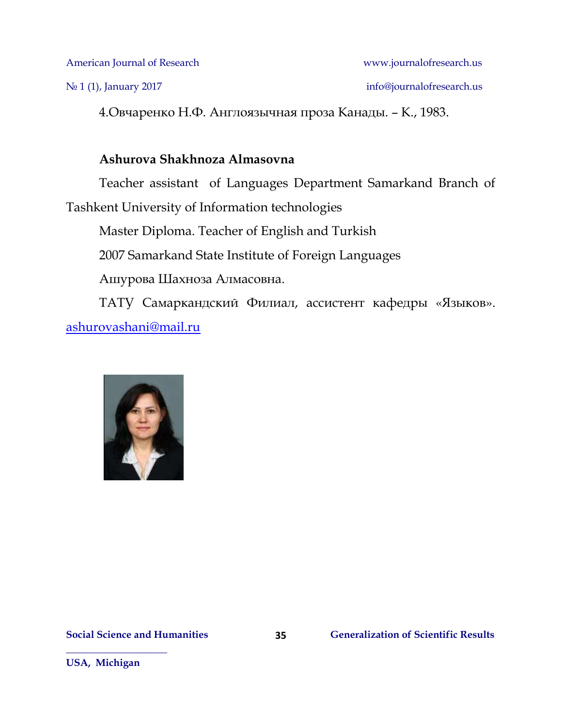No 1 (1), January 2017 info[@journalofresearch.u](http://journalofresearch.asia/)s

4.Овчаренко Н.Ф. Англоязычная проза Канады. – К., 1983.

### **Ashurova Shakhnoza Almasovna**

Teacher assistant of Languages Department Samarkand Branch of Tashkent University of Information technologies

Master Diploma. Teacher of English and Turkish

2007 Samarkand State Institute of Foreign Languages

Ашурова Шахноза Алмасовна.

ТАТУ Самаркандcкий Филиал, ассистент кафедры «Языков». [ashurovashani@mail.ru](mailto:ashurovashani@mail.ru)

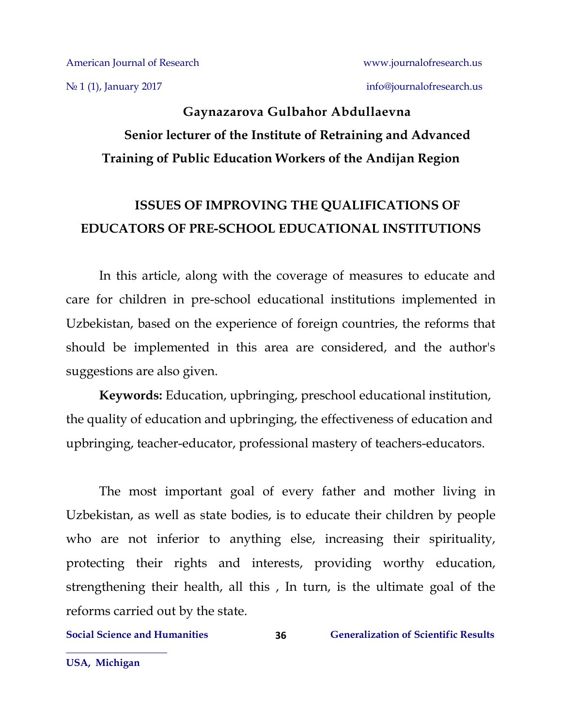No 1 (1), January 2017 info[@journalofresearch.u](http://journalofresearch.asia/)s

### **Gaynazarova Gulbahor Abdullaevna Senior lecturer of the Institute of Retraining and Advanced Training of Public Education Workers of the Andijan Region**

### **ISSUES OF IMPROVING THE QUALIFICATIONS OF EDUCATORS OF PRE-SCHOOL EDUCATIONAL INSTITUTIONS**

In this article, along with the coverage of measures to educate and care for children in pre-school educational institutions implemented in Uzbekistan, based on the experience of foreign countries, the reforms that should be implemented in this area are considered, and the author's suggestions are also given.

**Keywords:** Education, upbringing, preschool educational institution, the quality of education and upbringing, the effectiveness of education and upbringing, teacher-educator, professional mastery of teachers-educators.

The most important goal of every father and mother living in Uzbekistan, as well as state bodies, is to educate their children by people who are not inferior to anything else, increasing their spirituality, protecting their rights and interests, providing worthy education, strengthening their health, all this , In turn, is the ultimate goal of the reforms carried out by the state.

**36**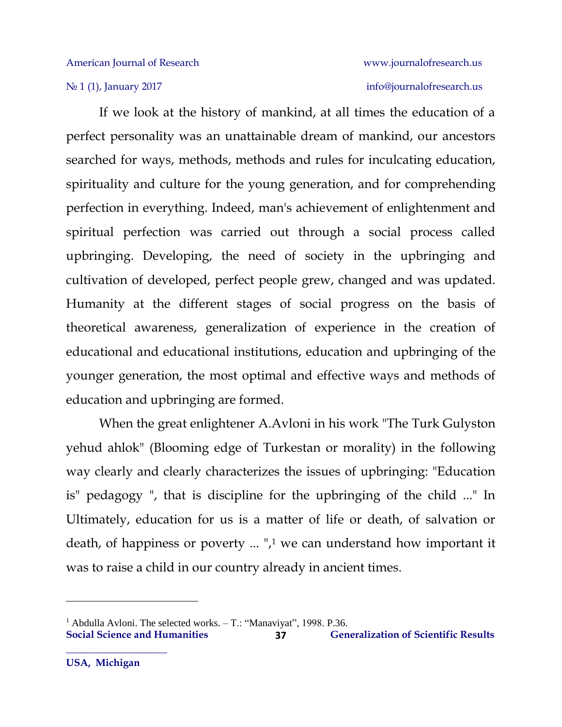If we look at the history of mankind, at all times the education of a perfect personality was an unattainable dream of mankind, our ancestors searched for ways, methods, methods and rules for inculcating education, spirituality and culture for the young generation, and for comprehending perfection in everything. Indeed, man's achievement of enlightenment and spiritual perfection was carried out through a social process called upbringing. Developing, the need of society in the upbringing and cultivation of developed, perfect people grew, changed and was updated. Humanity at the different stages of social progress on the basis of theoretical awareness, generalization of experience in the creation of educational and educational institutions, education and upbringing of the younger generation, the most optimal and effective ways and methods of education and upbringing are formed.

When the great enlightener A.Avloni in his work "The Turk Gulyston yehud ahlok" (Blooming edge of Turkestan or morality) in the following way clearly and clearly characterizes the issues of upbringing: "Education is" pedagogy ", that is discipline for the upbringing of the child ..." In Ultimately, education for us is a matter of life or death, of salvation or death, of happiness or poverty ... ",<sup>1</sup> we can understand how important it was to raise a child in our country already in ancient times.

**37**

 $\overline{\phantom{a}}$ 

<sup>&</sup>lt;sup>1</sup> Abdulla Avloni. The selected works.  $-$  T.: "Manaviyat", 1998. P.36.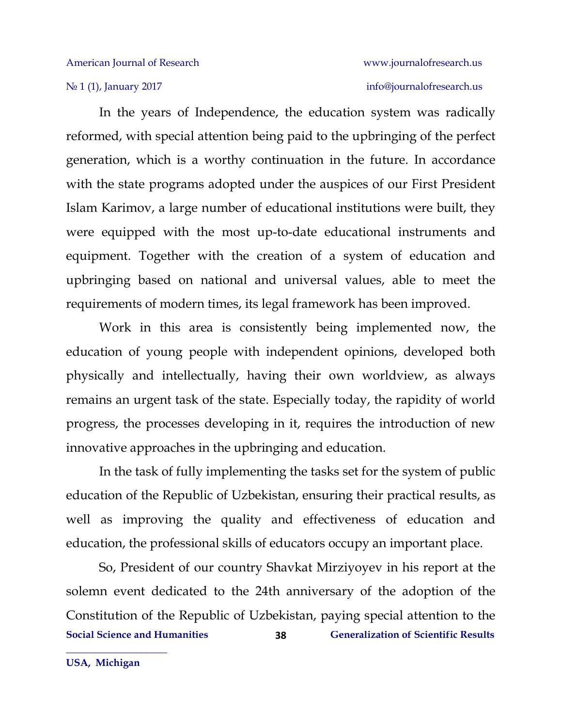# № 1 (1), January 2017 info[@journalofresearch.u](http://journalofresearch.asia/)s

In the years of Independence, the education system was radically reformed, with special attention being paid to the upbringing of the perfect generation, which is a worthy continuation in the future. In accordance with the state programs adopted under the auspices of our First President Islam Karimov, a large number of educational institutions were built, they were equipped with the most up-to-date educational instruments and equipment. Together with the creation of a system of education and upbringing based on national and universal values, able to meet the requirements of modern times, its legal framework has been improved.

Work in this area is consistently being implemented now, the education of young people with independent opinions, developed both physically and intellectually, having their own worldview, as always remains an urgent task of the state. Especially today, the rapidity of world progress, the processes developing in it, requires the introduction of new innovative approaches in the upbringing and education.

In the task of fully implementing the tasks set for the system of public education of the Republic of Uzbekistan, ensuring their practical results, as well as improving the quality and effectiveness of education and education, the professional skills of educators occupy an important place.

**Social Science and Humanities Generalization of Scientific Results 38** So, President of our country Shavkat Mirziyoyev in his report at the solemn event dedicated to the 24th anniversary of the adoption of the Constitution of the Republic of Uzbekistan, paying special attention to the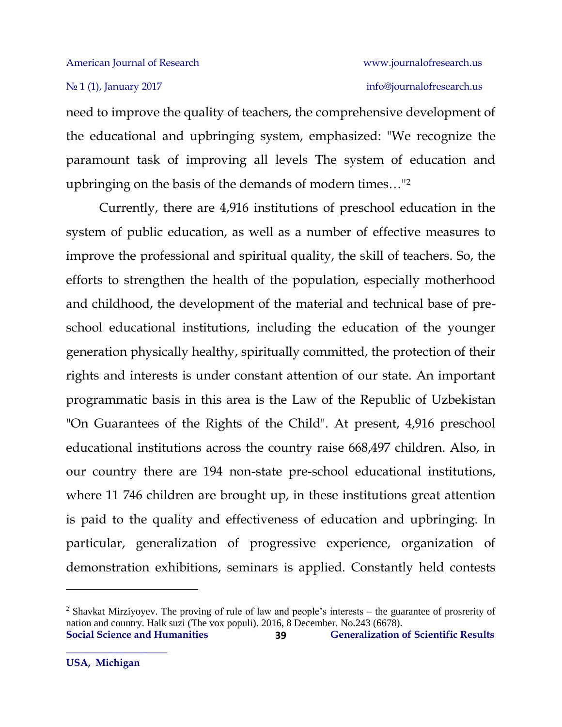need to improve the quality of teachers, the comprehensive development of the educational and upbringing system, emphasized: "We recognize the paramount task of improving all levels The system of education and upbringing on the basis of the demands of modern times…"<sup>2</sup>

Currently, there are 4,916 institutions of preschool education in the system of public education, as well as a number of effective measures to improve the professional and spiritual quality, the skill of teachers. So, the efforts to strengthen the health of the population, especially motherhood and childhood, the development of the material and technical base of preschool educational institutions, including the education of the younger generation physically healthy, spiritually committed, the protection of their rights and interests is under constant attention of our state. An important programmatic basis in this area is the Law of the Republic of Uzbekistan "On Guarantees of the Rights of the Child". At present, 4,916 preschool educational institutions across the country raise 668,497 children. Also, in our country there are 194 non-state pre-school educational institutions, where 11 746 children are brought up, in these institutions great attention is paid to the quality and effectiveness of education and upbringing. In particular, generalization of progressive experience, organization of demonstration exhibitions, seminars is applied. Constantly held contests

l

**Social Science and Humanities Generalization of Scientific Results 39** <sup>2</sup> Shavkat Mirziyoyev. The proving of rule of law and people's interests – the guarantee of prosrerity of nation and country. Halk suzi (The vox populi). 2016, 8 December. No.243 (6678).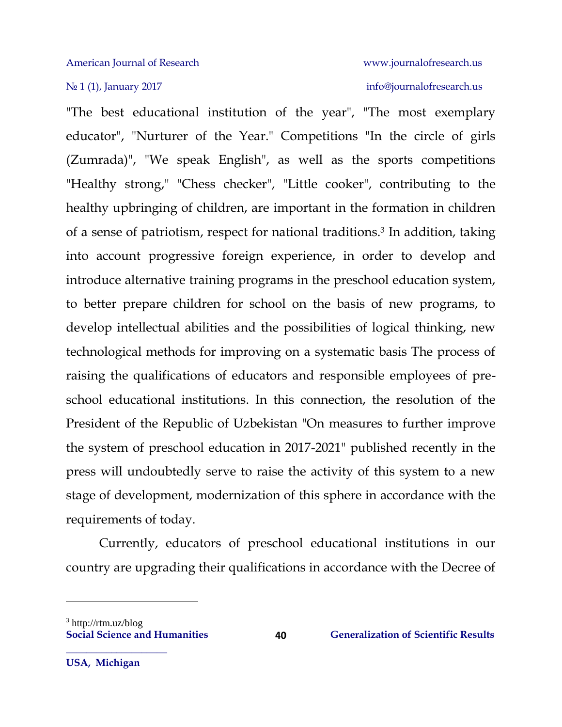"The best educational institution of the year", "The most exemplary educator", "Nurturer of the Year." Competitions "In the circle of girls (Zumrada)", "We speak English", as well as the sports competitions "Healthy strong," "Chess checker", "Little cooker", contributing to the healthy upbringing of children, are important in the formation in children of a sense of patriotism, respect for national traditions.<sup>3</sup> In addition, taking into account progressive foreign experience, in order to develop and introduce alternative training programs in the preschool education system, to better prepare children for school on the basis of new programs, to develop intellectual abilities and the possibilities of logical thinking, new technological methods for improving on a systematic basis The process of raising the qualifications of educators and responsible employees of preschool educational institutions. In this connection, the resolution of the President of the Republic of Uzbekistan "On measures to further improve the system of preschool education in 2017-2021" published recently in the press will undoubtedly serve to raise the activity of this system to a new stage of development, modernization of this sphere in accordance with the requirements of today.

Currently, educators of preschool educational institutions in our country are upgrading their qualifications in accordance with the Decree of

 $\overline{\phantom{a}}$ 

 $3$  http://rtm.uz/blog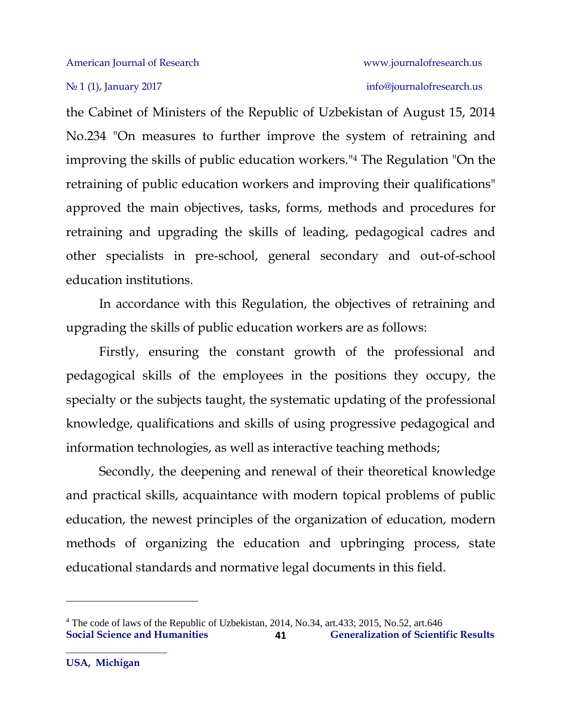No 1 (1), January 2017 info[@journalofresearch.u](http://journalofresearch.asia/)s

the Cabinet of Ministers of the Republic of Uzbekistan of August 15, 2014 No.234 "On measures to further improve the system of retraining and improving the skills of public education workers."<sup>4</sup> The Regulation "On the retraining of public education workers and improving their qualifications" approved the main objectives, tasks, forms, methods and procedures for retraining and upgrading the skills of leading, pedagogical cadres and other specialists in pre-school, general secondary and out-of-school education institutions.

In accordance with this Regulation, the objectives of retraining and upgrading the skills of public education workers are as follows:

Firstly, ensuring the constant growth of the professional and pedagogical skills of the employees in the positions they occupy, the specialty or the subjects taught, the systematic updating of the professional knowledge, qualifications and skills of using progressive pedagogical and information technologies, as well as interactive teaching methods;

Secondly, the deepening and renewal of their theoretical knowledge and practical skills, acquaintance with modern topical problems of public education, the newest principles of the organization of education, modern methods of organizing the education and upbringing process, state educational standards and normative legal documents in this field.

 $\overline{\phantom{a}}$ 

**Social Science and Humanities Generalization of Scientific Results 41** <sup>4</sup> The code of laws of the Republic of Uzbekistan, 2014, No.34, art.433; 2015, No.52, art.646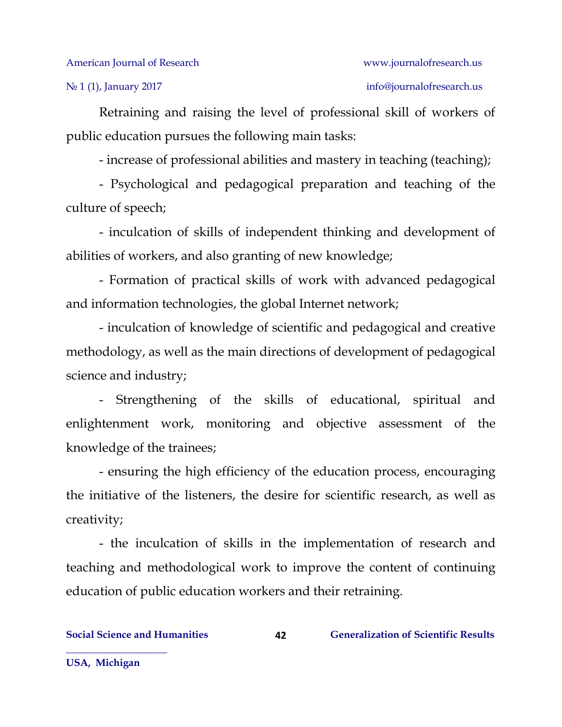Retraining and raising the level of professional skill of workers of public education pursues the following main tasks:

- increase of professional abilities and mastery in teaching (teaching);

- Psychological and pedagogical preparation and teaching of the culture of speech;

- inculcation of skills of independent thinking and development of abilities of workers, and also granting of new knowledge;

- Formation of practical skills of work with advanced pedagogical and information technologies, the global Internet network;

- inculcation of knowledge of scientific and pedagogical and creative methodology, as well as the main directions of development of pedagogical science and industry;

- Strengthening of the skills of educational, spiritual and enlightenment work, monitoring and objective assessment of the knowledge of the trainees;

- ensuring the high efficiency of the education process, encouraging the initiative of the listeners, the desire for scientific research, as well as creativity;

- the inculcation of skills in the implementation of research and teaching and methodological work to improve the content of continuing education of public education workers and their retraining.

**42**

**USA, Michigan**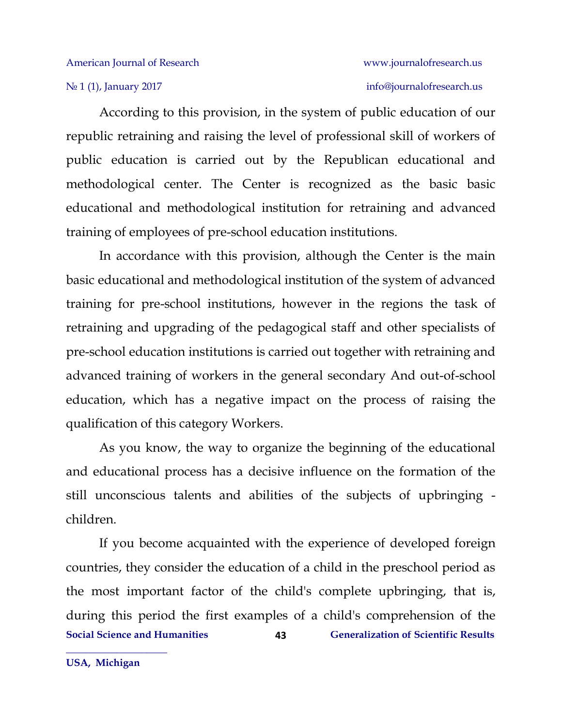According to this provision, in the system of public education of our republic retraining and raising the level of professional skill of workers of public education is carried out by the Republican educational and methodological center. The Center is recognized as the basic basic educational and methodological institution for retraining and advanced training of employees of pre-school education institutions.

In accordance with this provision, although the Center is the main basic educational and methodological institution of the system of advanced training for pre-school institutions, however in the regions the task of retraining and upgrading of the pedagogical staff and other specialists of pre-school education institutions is carried out together with retraining and advanced training of workers in the general secondary And out-of-school education, which has a negative impact on the process of raising the qualification of this category Workers.

As you know, the way to organize the beginning of the educational and educational process has a decisive influence on the formation of the still unconscious talents and abilities of the subjects of upbringing children.

**Social Science and Humanities Generalization of Scientific Results 43** If you become acquainted with the experience of developed foreign countries, they consider the education of a child in the preschool period as the most important factor of the child's complete upbringing, that is, during this period the first examples of a child's comprehension of the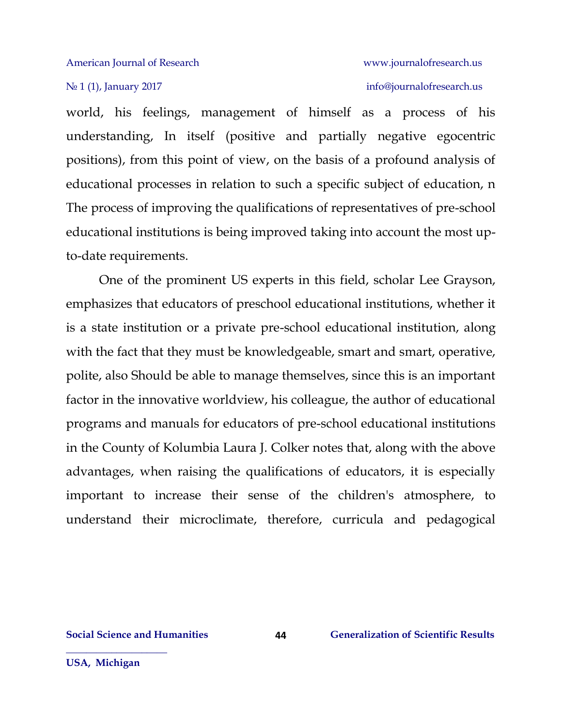### No 1 (1), January 2017 info[@journalofresearch.u](http://journalofresearch.asia/)s

world, his feelings, management of himself as a process of his understanding, In itself (positive and partially negative egocentric positions), from this point of view, on the basis of a profound analysis of educational processes in relation to such a specific subject of education, n The process of improving the qualifications of representatives of pre-school educational institutions is being improved taking into account the most upto-date requirements.

One of the prominent US experts in this field, scholar Lee Grayson, emphasizes that educators of preschool educational institutions, whether it is a state institution or a private pre-school educational institution, along with the fact that they must be knowledgeable, smart and smart, operative, polite, also Should be able to manage themselves, since this is an important factor in the innovative worldview, his colleague, the author of educational programs and manuals for educators of pre-school educational institutions in the County of Kolumbia Laura J. Colker notes that, along with the above advantages, when raising the qualifications of educators, it is especially important to increase their sense of the children's atmosphere, to understand their microclimate, therefore, curricula and pedagogical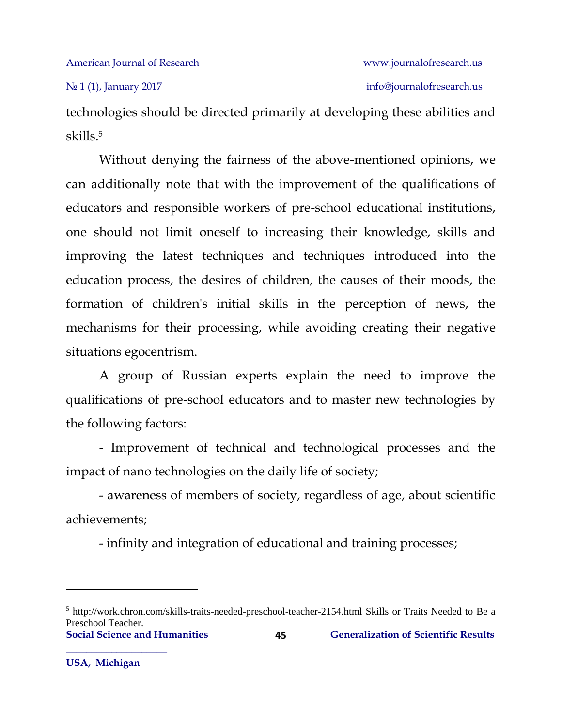technologies should be directed primarily at developing these abilities and skills.<sup>5</sup>

Without denying the fairness of the above-mentioned opinions, we can additionally note that with the improvement of the qualifications of educators and responsible workers of pre-school educational institutions, one should not limit oneself to increasing their knowledge, skills and improving the latest techniques and techniques introduced into the education process, the desires of children, the causes of their moods, the formation of children's initial skills in the perception of news, the mechanisms for their processing, while avoiding creating their negative situations egocentrism.

A group of Russian experts explain the need to improve the qualifications of pre-school educators and to master new technologies by the following factors:

- Improvement of technical and technological processes and the impact of nano technologies on the daily life of society;

- awareness of members of society, regardless of age, about scientific achievements;

- infinity and integration of educational and training processes;

l

**Social Science and Humanities Generalization of Scientific Results** <sup>5</sup> http://work.chron.com/skills-traits-needed-preschool-teacher-2154.html Skills or Traits Needed to Be a Preschool Teacher.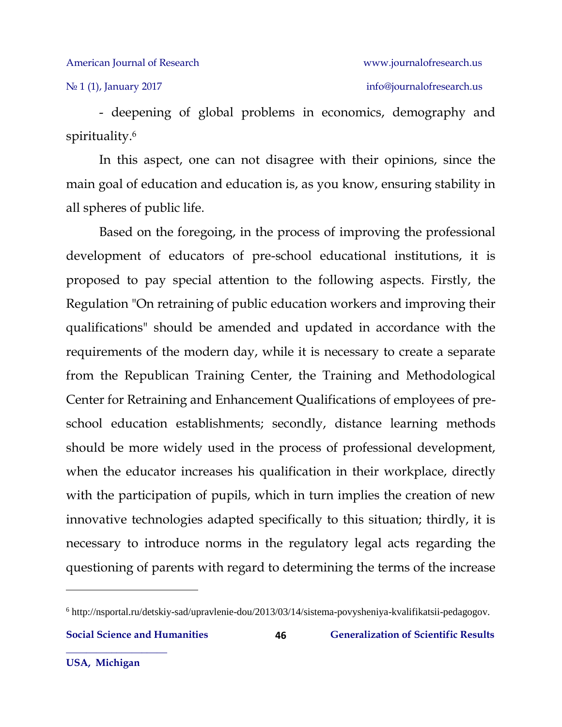№ 1 (1), January 2017 info[@journalofresearch.u](http://journalofresearch.asia/)s

- deepening of global problems in economics, demography and spirituality.<sup>6</sup>

In this aspect, one can not disagree with their opinions, since the main goal of education and education is, as you know, ensuring stability in all spheres of public life.

Based on the foregoing, in the process of improving the professional development of educators of pre-school educational institutions, it is proposed to pay special attention to the following aspects. Firstly, the Regulation "On retraining of public education workers and improving their qualifications" should be amended and updated in accordance with the requirements of the modern day, while it is necessary to create a separate from the Republican Training Center, the Training and Methodological Center for Retraining and Enhancement Qualifications of employees of preschool education establishments; secondly, distance learning methods should be more widely used in the process of professional development, when the educator increases his qualification in their workplace, directly with the participation of pupils, which in turn implies the creation of new innovative technologies adapted specifically to this situation; thirdly, it is necessary to introduce norms in the regulatory legal acts regarding the questioning of parents with regard to determining the terms of the increase

l

<sup>6</sup> http://nsportal.ru/detskiy-sad/upravlenie-dou/2013/03/14/sistema-povysheniya-kvalifikatsii-pedagogov.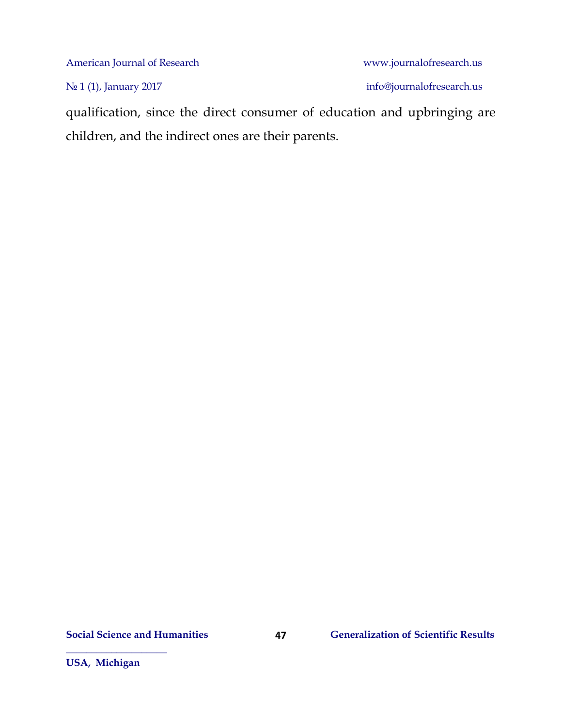Nº 1 (1), January 2017 info[@journalofresearch.u](http://journalofresearch.asia/)s

qualification, since the direct consumer of education and upbringing are children, and the indirect ones are their parents.

**47**

**USA, Michigan**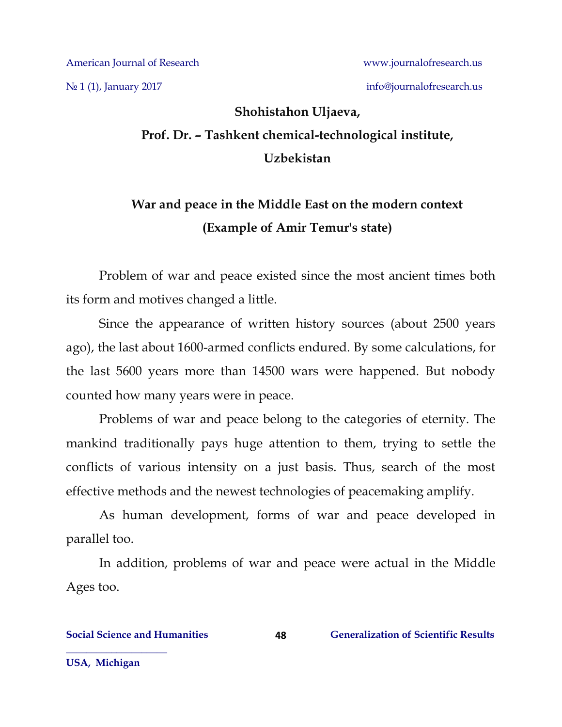N<u>o</u> 1 (1), January 2017 info[@journalofresearch.u](http://journalofresearch.asia/)s

# **Shohistahon Uljaeva, Prof. Dr. – Tashkent chemical-technological institute, Uzbekistan**

## **War and peace in the Middle East on the modern context (Example of Amir Temur's state)**

Problem of war and peace existed since the most ancient times both its form and motives changed a little.

Since the appearance of written history sources (about 2500 years ago), the last about 1600-armed conflicts endured. By some calculations, for the last 5600 years more than 14500 wars were happened. But nobody counted how many years were in peace.

Problems of war and peace belong to the categories of eternity. The mankind traditionally pays huge attention to them, trying to settle the conflicts of various intensity on a just basis. Thus, search of the most effective methods and the newest technologies of peacemaking amplify.

As human development, forms of war and peace developed in parallel too.

In addition, problems of war and peace were actual in the Middle Ages too.

**USA, Michigan**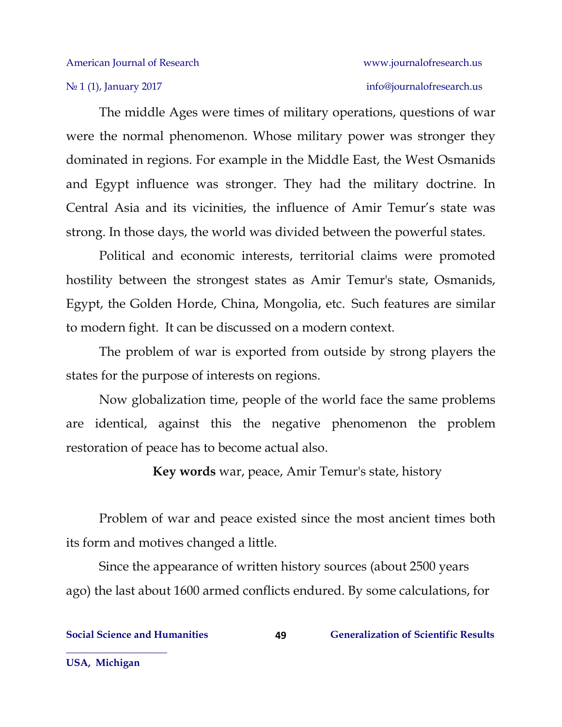The middle Ages were times of military operations, questions of war were the normal phenomenon. Whose military power was stronger they dominated in regions. For example in the Middle East, the West Osmanids and Egypt influence was stronger. They had the military doctrine. In Central Asia and its vicinities, the influence of Amir Temur's state was strong. In those days, the world was divided between the powerful states.

Political and economic interests, territorial claims were promoted hostility between the strongest states as Amir Temur's state, Osmanids, Egypt, the Golden Horde, China, Mongolia, etc. Such features are similar to modern fight. It can be discussed on a modern context.

The problem of war is exported from outside by strong players the states for the purpose of interests on regions.

Now globalization time, people of the world face the same problems are identical, against this the negative phenomenon the problem restoration of peace has to become actual also.

**Key words** war, peace, Amir Temur's state, history

Problem of war and peace existed since the most ancient times both its form and motives changed a little.

Since the appearance of written history sources (about 2500 years ago) the last about 1600 armed conflicts endured. By some calculations, for

**49**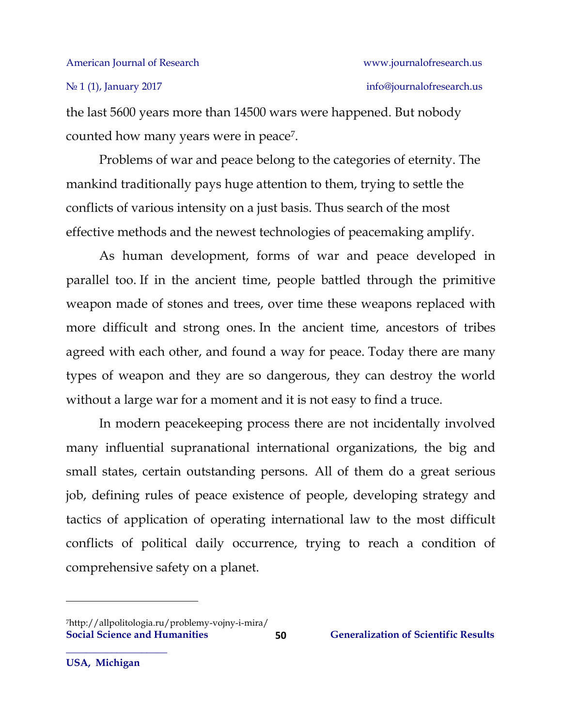### No 1 (1), January 2017 info[@journalofresearch.u](http://journalofresearch.asia/)s

the last 5600 years more than 14500 wars were happened. But nobody counted how many years were in peace<sup>7</sup> .

Problems of war and peace belong to the categories of eternity. The mankind traditionally pays huge attention to them, trying to settle the conflicts of various intensity on a just basis. Thus search of the most effective methods and the newest technologies of peacemaking amplify.

As human development, forms of war and peace developed in parallel too. If in the ancient time, people battled through the primitive weapon made of stones and trees, over time these weapons replaced with more difficult and strong ones. In the ancient time, ancestors of tribes agreed with each other, and found a way for peace. Today there are many types of weapon and they are so dangerous, they can destroy the world without a large war for a moment and it is not easy to find a truce.

In modern peacekeeping process there are not incidentally involved many influential supranational international organizations, the big and small states, certain outstanding persons. All of them do a great serious job, defining rules of peace existence of people, developing strategy and tactics of application of operating international law to the most difficult conflicts of political daily occurrence, trying to reach a condition of comprehensive safety on a planet.

 $\overline{\phantom{a}}$ 

**Social Science and Humanities 60 6 Generalization of Scientific Results** 7http://allpolitologia.ru/problemy-vojny-i-mira/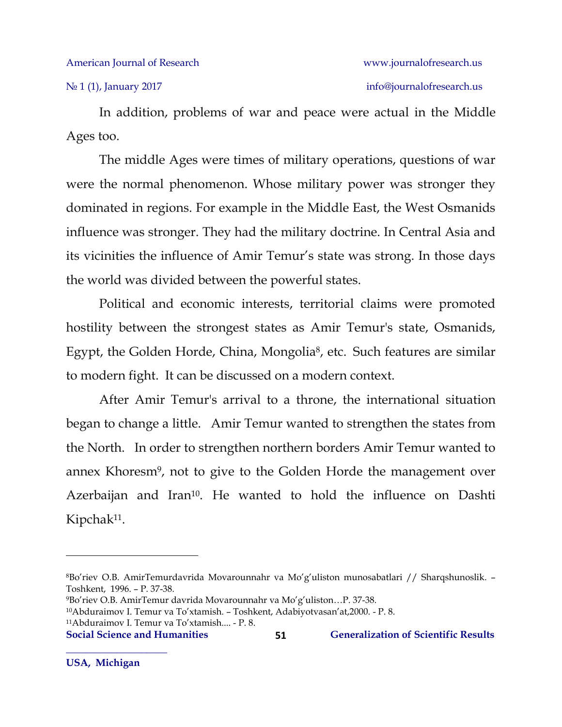In addition, problems of war and peace were actual in the Middle Ages too.

The middle Ages were times of military operations, questions of war were the normal phenomenon. Whose military power was stronger they dominated in regions. For example in the Middle East, the West Osmanids influence was stronger. They had the military doctrine. In Central Asia and its vicinities the influence of Amir Temur's state was strong. In those days the world was divided between the powerful states.

Political and economic interests, territorial claims were promoted hostility between the strongest states as Amir Temur's state, Osmanids, Egypt, the Golden Horde, China, Mongolia<sup>8</sup>, etc. Such features are similar to modern fight. It can be discussed on a modern context.

After Amir Temur's arrival to a throne, the international situation began to change a little. Amir Temur wanted to strengthen the states from the North. In order to strengthen northern borders Amir Temur wanted to annex Khoresm<sup>9</sup>, not to give to the Golden Horde the management over Azerbaijan and Iran<sup>10</sup>. He wanted to hold the influence on Dashti Kipchak<sup>11</sup>.

 $\overline{a}$ 

<sup>8</sup>Bo'riev O.B. AmirTemurdavrida Movarounnahr va Mo'g'uliston munosabatlari // Sharqshunoslik. – Тоshkent, 1996. – P. 37-38.

<sup>9</sup>Bo'riev O.B. AmirTemur davrida Movarounnahr va Mo'g'uliston…P. 37-38.

<sup>10</sup>Abduraimov I. Temur va To'xtamish. – Toshkent, Adabiyotvasan'at,2000. - P. 8.

<sup>11</sup>Abduraimov I. Temur va To'xtamish.... - P. 8.

**Social Science and Humanities Generalization of Scientific Results**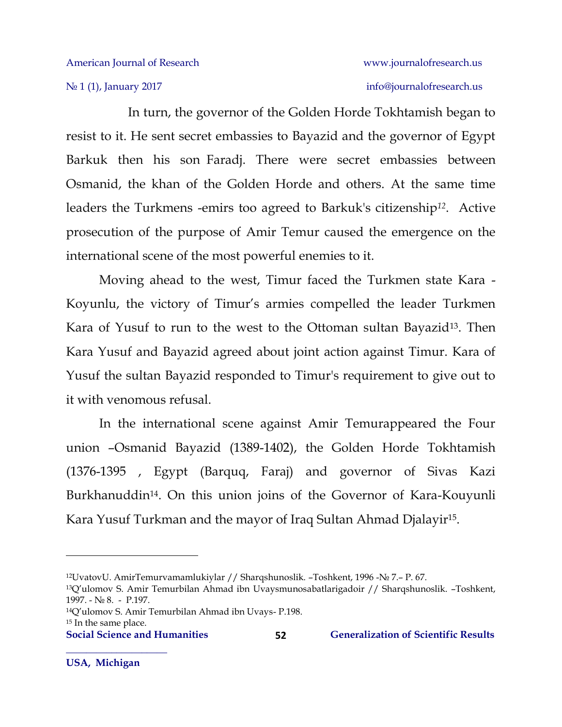In turn, the governor of the Golden Horde Tokhtamish began to resist to it. He sent secret embassies to Bayazid and the governor of Egypt Barkuk then his son Faradj. There were secret embassies between Osmanid, the khan of the Golden Horde and others. At the same time leaders the Turkmens -emirs too agreed to Barkuk's citizenship*12*. Active prosecution of the purpose of Amir Temur caused the emergence on the international scene of the most powerful enemies to it.

Moving ahead to the west, Timur faced the Turkmen state Kara - Koyunlu, the victory of Timur's armies compelled the leader Turkmen Kara of Yusuf to run to the west to the Ottoman sultan Bayazid<sup>13</sup>. Then Kara Yusuf and Bayazid agreed about joint action against Timur. Kara of Yusuf the sultan Bayazid responded to Timur's requirement to give out to it with venomous refusal.

In the international scene against Amir Temurappeared the Four union –Osmanid Bayazid (1389-1402), the Golden Horde Tokhtamish (1376-1395 , Egypt (Barquq, Faraj) and governor of Sivas Kazi Burkhanuddin14. On this union joins of the Governor of Kara-Kouyunli Kara Yusuf Turkman and the mayor of Iraq Sultan Ahmad Djalayir<sup>15</sup> .

### **Social Science and Humanities Generalization of Scientific Results**

 $\overline{a}$ 

<sup>12</sup>UvatovU. AmirTemurvamamlukiylar // Sharqshunoslik. –Toshkent, 1996 -№ 7.– P. 67.

<sup>13</sup>Q'ulomov S. Amir Temurbilan Ahmad ibn Uvaysmunosabatlarigadoir // Sharqshunoslik. –Toshkent, 1997. - № 8. - P.197.

<sup>14</sup>Q'ulomov S. Amir Temurbilan Ahmad ibn Uvays- P.198. <sup>15</sup> In the same place.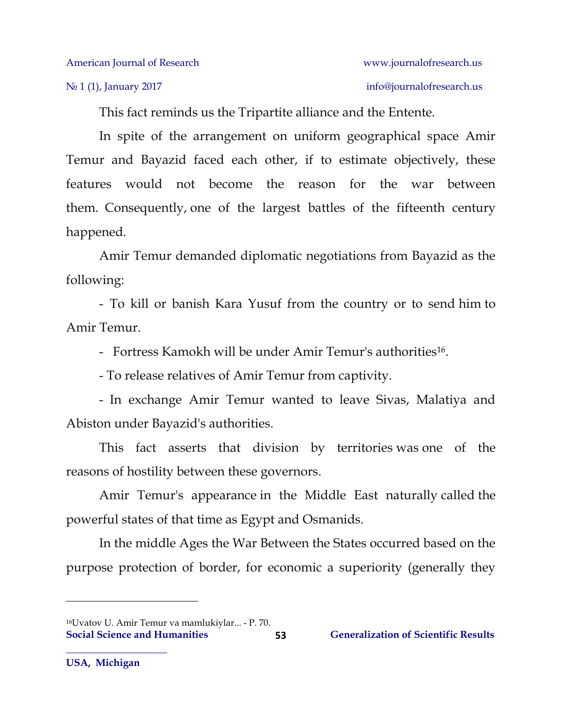This fact reminds us the Tripartite alliance and the Entente.

In spite of the arrangement on uniform geographical space Amir Temur and Bayazid faced each other, if to estimate objectively, these features would not become the reason for the war between them. Consequently, one of the largest battles of the fifteenth century happened.

Amir Temur demanded diplomatic negotiations from Bayazid as the following:

- To kill or banish Kara Yusuf from the country or to send him to Amir Temur.

- Fortress Kamokh will be under Amir Temur's authorities<sup>16</sup>.

- To release relatives of Amir Temur from captivity.

- In exchange Amir Temur wanted to leave Sivas, Malatiya and Abiston under Bayazid's authorities.

This fact asserts that division by territories was one of the reasons of hostility between these governors.

Amir Temur's appearance in the Middle East naturally called the powerful states of that time as Egypt and Osmanids.

In the middle Ages the War Between the States occurred based on the purpose protection of border, for economic a superiority (generally they

 $\overline{\phantom{a}}$ 

**Social Science and Humanities** 53 **Generalization of Scientific Results 53** <sup>16</sup>Uvatov U. Amir Temur va mamlukiylar... - P. 70.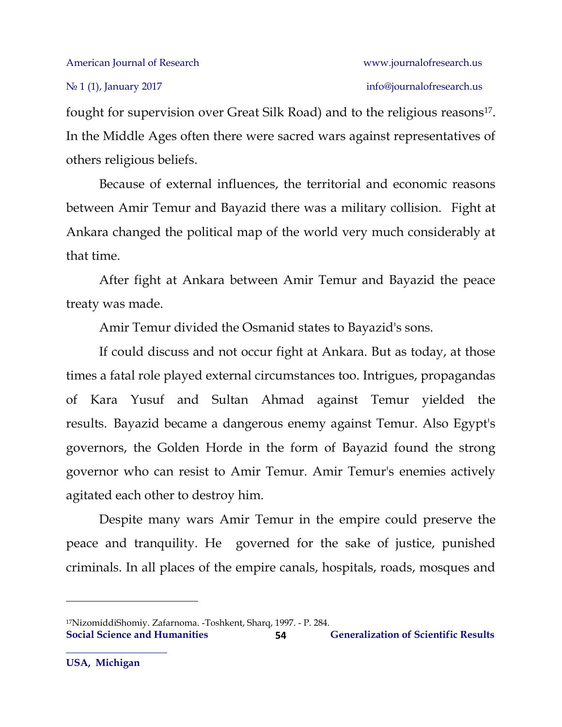fought for supervision over Great Silk Road) and to the religious reasons<sup>17</sup>. In the Middle Ages often there were sacred wars against representatives of others religious beliefs.

Because of external influences, the territorial and economic reasons between Amir Temur and Bayazid there was a military collision. Fight at Ankara changed the political map of the world very much considerably at that time.

After fight at Ankara between Amir Temur and Bayazid the peace treaty was made.

Amir Temur divided the Osmanid states to Bayazid's sons.

If could discuss and not occur fight at Ankara. But as today, at those times a fatal role played external circumstances too. Intrigues, propagandas of Kara Yusuf and Sultan Ahmad against Temur yielded the results. Bayazid became a dangerous enemy against Temur. Also Egypt's governors, the Golden Horde in the form of Bayazid found the strong governor who can resist to Amir Temur. Amir Temur's enemies actively agitated each other to destroy him.

Despite many wars Amir Temur in the empire could preserve the peace and tranquility. He governed for the sake of justice, punished criminals. In all places of the empire canals, hospitals, roads, mosques and

**Social Science and Humanities Generalization of Scientific Results 54** <sup>17</sup>NizomiddiShomiy. Zafarnoma. -Toshkent, Sharq, 1997. - P. 284.

 $\overline{\phantom{a}}$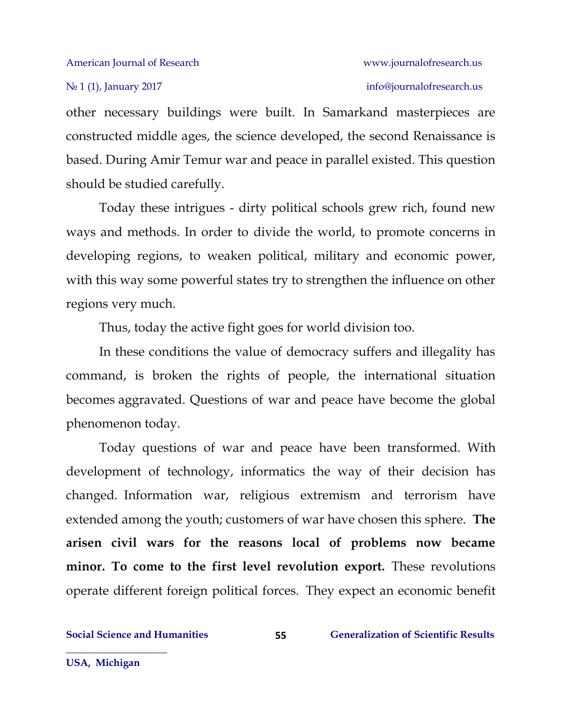other necessary buildings were built. In Samarkand masterpieces are constructed middle ages, the science developed, the second Renaissance is based. During Amir Temur war and peace in parallel existed. This question should be studied carefully.

Today these intrigues - dirty political schools grew rich, found new ways and methods. In order to divide the world, to promote concerns in developing regions, to weaken political, military and economic power, with this way some powerful states try to strengthen the influence on other regions very much.

Thus, today the active fight goes for world division too.

In these conditions the value of democracy suffers and illegality has command, is broken the rights of people, the international situation becomes aggravated. Questions of war and peace have become the global phenomenon today.

Today questions of war and peace have been transformed. With development of technology, informatics the way of their decision has changed. Information war, religious extremism and terrorism have extended among the youth; customers of war have chosen this sphere. **The arisen civil wars for the reasons local of problems now became minor. To come to the first level revolution export.** These revolutions operate different foreign political forces. They expect an economic benefit

**55**

**USA, Michigan**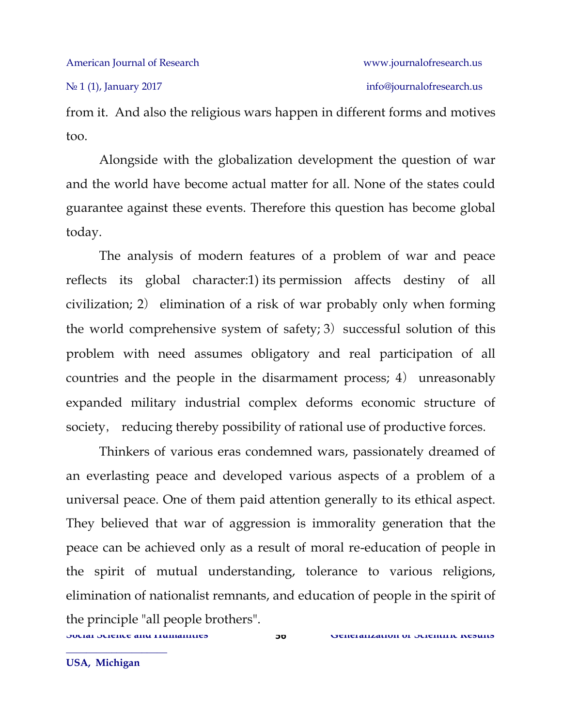from it. And also the religious wars happen in different forms and motives too.

Alongside with the globalization development the question of war and the world have become actual matter for all. None of the states could guarantee against these events. Therefore this question has become global today.

The analysis of modern features of a problem of war and peace reflects its global character:1) its permission affects destiny of all civilization; 2) elimination of a risk of war probably only when forming the world comprehensive system of safety; 3) successful solution of this problem with need assumes obligatory and real participation of all countries and the people in the disarmament process; 4) unreasonably expanded military industrial complex deforms economic structure of society, reducing thereby possibility of rational use of productive forces.

Thinkers of various eras condemned wars, passionately dreamed of an everlasting peace and developed various aspects of a problem of a universal peace. One of them paid attention generally to its ethical aspect. They believed that war of aggression is immorality generation that the peace can be achieved only as a result of moral re-education of people in the spirit of mutual understanding, tolerance to various religions, elimination of nationalist remnants, and education of people in the spirit of the principle "all people brothers".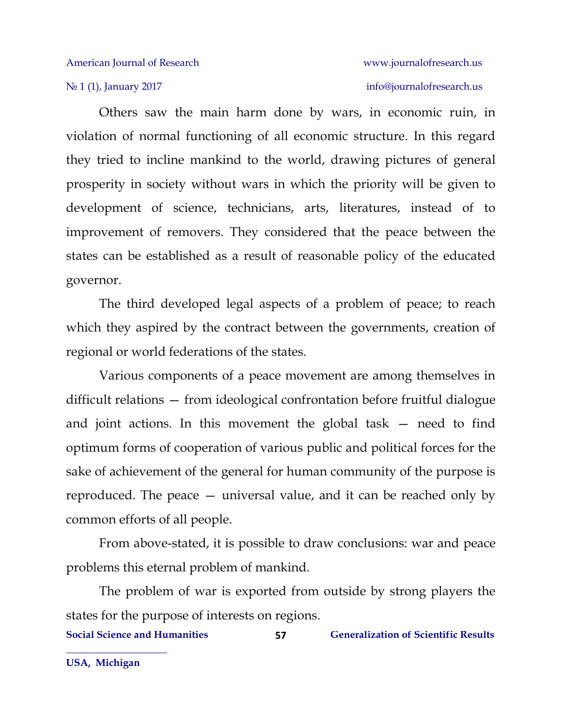Others saw the main harm done by wars, in economic ruin, in violation of normal functioning of all economic structure. In this regard they tried to incline mankind to the world, drawing pictures of general prosperity in society without wars in which the priority will be given to development of science, technicians, arts, literatures, instead of to improvement of removers. They considered that the peace between the states can be established as a result of reasonable policy of the educated governor.

The third developed legal aspects of a problem of peace; to reach which they aspired by the contract between the governments, creation of regional or world federations of the states.

Various components of a peace movement are among themselves in difficult relations — from ideological confrontation before fruitful dialogue and joint actions. In this movement the global task — need to find optimum forms of cooperation of various public and political forces for the sake of achievement of the general for human community of the purpose is reproduced. The peace — universal value, and it can be reached only by common efforts of all people.

From above-stated, it is possible to draw conclusions: war and peace problems this eternal problem of mankind.

The problem of war is exported from outside by strong players the states for the purpose of interests on regions.

**Social Science and Humanities 6.4 Separalization of Scientific Results**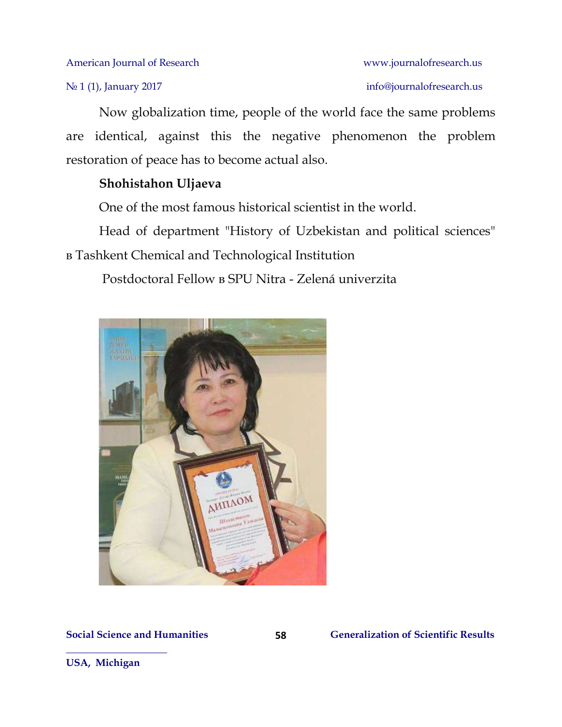No 1 (1), January 2017 info[@journalofresearch.u](http://journalofresearch.asia/)s

Now globalization time, people of the world face the same problems are identical, against this the negative phenomenon the problem restoration of peace has to become actual also.

### **Shohistahon Uljaeva**

One of the most famous historical scientist in the world.

Head of department "History of Uzbekistan and political sciences" в [Tashkent Chemical and Technological Institution](https://www.facebook.com/pages/Tashkent-Chemical-and-Technological-Institution/1413959745484333?ref=br_rs)

**58**

Postdoctoral Fellow в SPU Nitra - [Zelená univerzita](https://www.facebook.com/SPUNitra/?ref=br_rs)



**Social Science and Humanities** 58 **Generalization of Scientific Results** 

**USA, Michigan**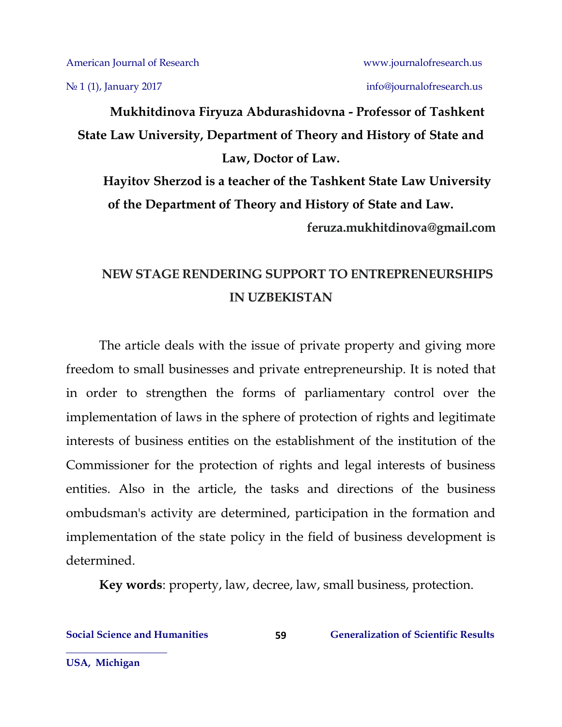№ 1 (1), January 2017 info[@journalofresearch.u](http://journalofresearch.asia/)s

**Mukhitdinova Firyuza Abdurashidovna - Professor of Tashkent State Law University, Department of Theory and History of State and Law, Doctor of Law.**

**Hayitov Sherzod is a teacher of the Tashkent State Law University of the Department of Theory and History of State and Law. feruza.mukhitdinova@gmail.com**

## **NEW STAGE RENDERING SUPPORT TO ENTREPRENEURSHIPS IN UZBEKISTAN**

The article deals with the issue of private property and giving more freedom to small businesses and private entrepreneurship. It is noted that in order to strengthen the forms of parliamentary control over the implementation of laws in the sphere of protection of rights and legitimate interests of business entities on the establishment of the institution of the Commissioner for the protection of rights and legal interests of business entities. Also in the article, the tasks and directions of the business ombudsman's activity are determined, participation in the formation and implementation of the state policy in the field of business development is determined.

**Key words**: property, law, decree, law, small business, protection.

**USA, Michigan**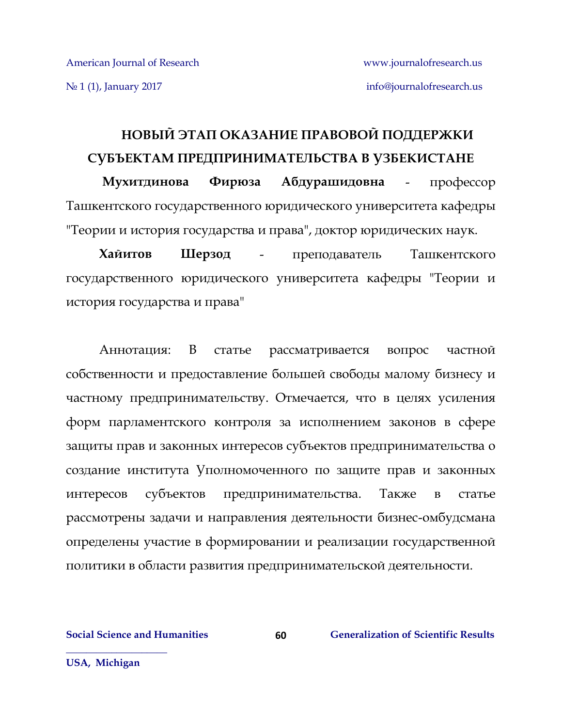# **НОВЫЙ ЭТАП ОКАЗАНИЕ ПРАВОВОЙ ПОДДЕРЖКИ СУБЪЕКТАМ ПРЕДПРИНИМАТЕЛЬСТВА В УЗБЕКИСТАНЕ**

**Мухитдинова Фирюза Абдурашидовна** - профессор Ташкентского государственного юридического университета кафедры "Теории и история государства и права", доктор юридических наук.

**Хайитов Шерзод** - преподаватель Ташкентского государственного юридического университета кафедры "Теории и история государства и права"

Аннотация: В статье рассматривается вопрос частной собственности и предоставление большей свободы малому бизнесу и частному предпринимательству. Отмечается, что в целях усиления форм парламентского контроля за исполнением законов в сфере защиты прав и законных интересов субъектов предпринимательства о создание института Уполномоченного по защите прав и законных интересов субъектов предпринимательства. Также в статье рассмотрены задачи и направления деятельности бизнес-омбудсмана определены участие в формировании и реализации государственной политики в области развития предпринимательской деятельности.

**60**

**Social Science and Humanities Generalization of Scientific Results**

**USA, Michigan**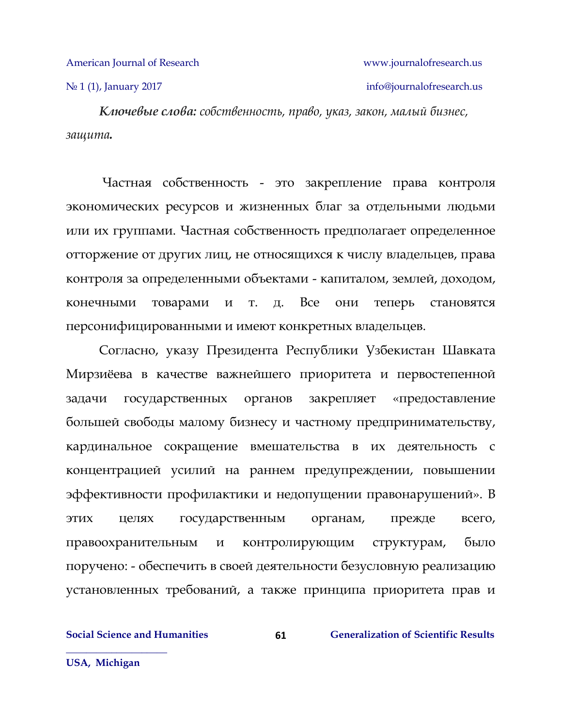№ 1 (1), January 2017 info[@journalofresearch.u](http://journalofresearch.asia/)s

*Ключевые слова: собственность, право, указ, закон, малый бизнес, защита.*

Частная собственность - это закрепление права контроля экономических ресурсов и жизненных благ за отдельными людьми или их группами. Частная собственность предполагает определенное отторжение от других лиц, не относящихся к числу владельцев, права контроля за определенными объектами - капиталом, землей, доходом, конечными товарами и т. д. Все они теперь становятся персонифицированными и имеют конкретных владельцев.

Согласно, указу Президента Республики Узбекистан Шавката Мирзиёева в качестве важнейшего приоритета и первостепенной задачи государственных органов закрепляет «предоставление большей свободы малому бизнесу и частному предпринимательству, кардинальное сокращение вмешательства в их деятельность с концентрацией усилий на раннем предупреждении, повышении эффективности профилактики и недопущении правонарушений». В этих целях государственным органам, прежде всего, правоохранительным и контролирующим структурам, было поручено: - обеспечить в своей деятельности безусловную реализацию установленных требований, а также принципа приоритета прав и

**61**

**Social Science and Humanities Generalization of Scientific Results**

**USA, Michigan**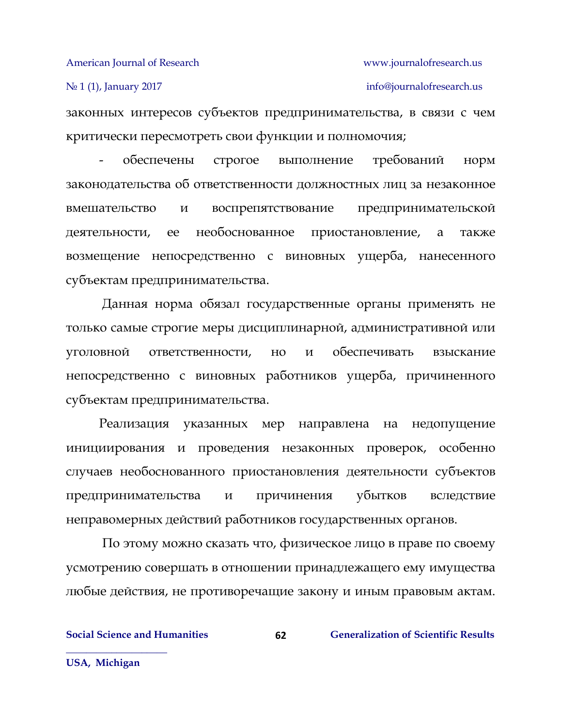№ 1 (1), January 2017 info[@journalofresearch.u](http://journalofresearch.asia/)s

законных интересов субъектов предпринимательства, в связи с чем критически пересмотреть свои функции и полномочия;

обеспечены строгое выполнение требований норм законодательства об ответственности должностных лиц за незаконное вмешательство и воспрепятствование предпринимательской деятельности, ее необоснованное приостановление, а также возмещение непосредственно с виновных ущерба, нанесенного субъектам предпринимательства.

Данная норма обязал государственные органы применять не только самые строгие меры дисциплинарной, административной или уголовной ответственности, но и обеспечивать взыскание непосредственно с виновных работников ущерба, причиненного субъектам предпринимательства.

Реализация указанных мер направлена на недопущение инициирования и проведения незаконных проверок, особенно случаев необоснованного приостановления деятельности субъектов предпринимательства и причинения убытков вследствие неправомерных действий работников государственных органов.

По этому можно сказать что, физическое лицо в праве по своему усмотрению совершать в отношении принадлежащего ему имущества любые действия, не противоречащие закону и иным правовым актам.

**Social Science and Humanities Generalization of Scientific Results**

**USA, Michigan**

**\_\_\_\_\_\_\_\_\_\_\_\_\_\_\_\_\_\_\_\_**

**62**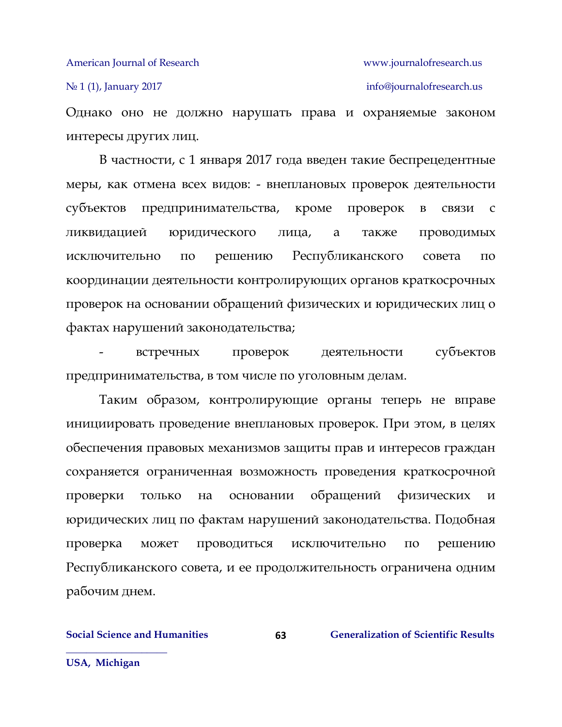№ 1 (1), January 2017 info[@journalofresearch.u](http://journalofresearch.asia/)s

Однако оно не должно нарушать права и охраняемые законом интересы других лиц.

В частности, с 1 января 2017 года введен такие беспрецедентные меры, как отмена всех видов: - внеплановых проверок деятельности субъектов предпринимательства, кроме проверок в связи с ликвидацией юридического лица, а также проводимых исключительно по решению Республиканского совета по координации деятельности контролирующих органов краткосрочных проверок на основании обращений физических и юридических лиц о фактах нарушений законодательства;

- встречных проверок деятельности субъектов предпринимательства, в том числе по уголовным делам.

Таким образом, контролирующие органы теперь не вправе инициировать проведение внеплановых проверок. При этом, в целях обеспечения правовых механизмов защиты прав и интересов граждан сохраняется ограниченная возможность проведения краткосрочной проверки только на основании обращений физических и юридических лиц по фактам нарушений законодательства. Подобная проверка может проводиться исключительно по решению Республиканского совета, и ее продолжительность ограничена одним рабочим днем.

**63**

**Social Science and Humanities Generalization of Scientific Results**

**USA, Michigan**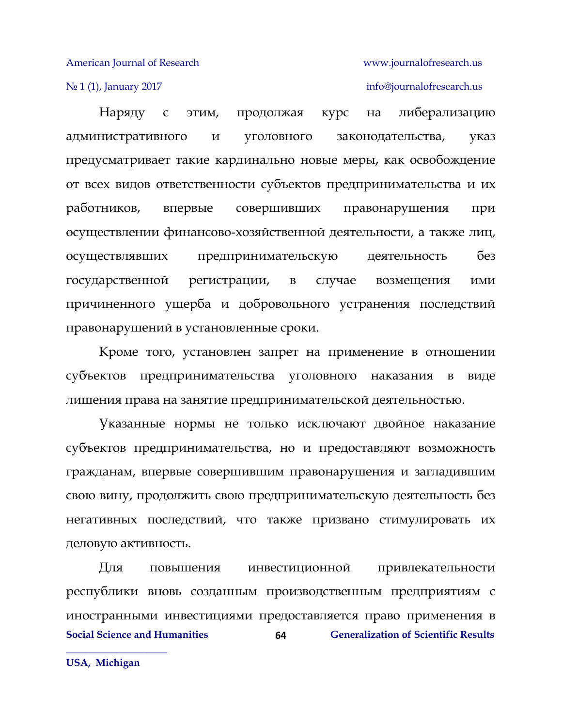### N<u>∘</u> 1 (1), January 2017 **info[@journalofresearch.u](http://journalofresearch.asia/)s** info@journalofresearch.us

Наряду с этим, продолжая курс на либерализацию административного и уголовного законодательства, указ предусматривает такие кардинально новые меры, как освобождение от всех видов ответственности субъектов предпринимательства и их работников, впервые совершивших правонарушения при осуществлении финансово-хозяйственной деятельности, а также лиц, осуществлявших предпринимательскую деятельность без государственной регистрации, в случае возмещения ими причиненного ущерба и добровольного устранения последствий правонарушений в установленные сроки.

Кроме того, установлен запрет на применение в отношении субъектов предпринимательства уголовного наказания в виде лишения права на занятие предпринимательской деятельностью.

Указанные нормы не только исключают двойное наказание субъектов предпринимательства, но и предоставляют возможность гражданам, впервые совершившим правонарушения и загладившим свою вину, продолжить свою предпринимательскую деятельность без негативных последствий, что также призвано стимулировать их деловую активность.

**Social Science and Humanities Generalization of Scientific Results 64** Для повышения инвестиционной привлекательности республики вновь созданным производственным предприятиям с иностранными инвестициями предоставляется право применения в

**USA, Michigan**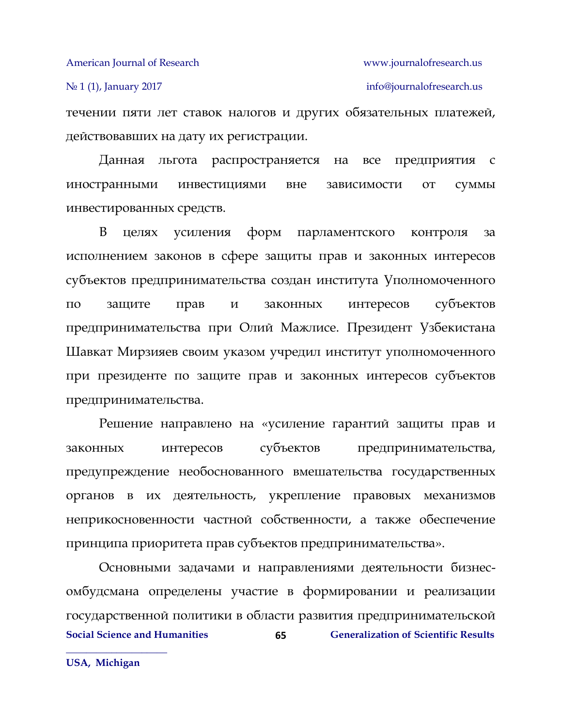течении пяти лет ставок налогов и других обязательных платежей, действовавших на дату их регистрации.

Данная льгота распространяется на все предприятия с иностранными инвестициями вне зависимости от суммы инвестированных средств.

В целях усиления форм парламентского контроля за исполнением законов в сфере защиты прав и законных интересов субъектов предпринимательства создан института Уполномоченного по защите прав и законных интересов субъектов предпринимательства при Олий Мажлисе. Президент Узбекистана Шавкат Мирзияев своим указом учредил институт уполномоченного при президенте по защите прав и законных интересов субъектов предпринимательства.

Решение направлено на «усиление гарантий защиты прав и законных интересов субъектов предпринимательства, предупреждение необоснованного вмешательства государственных органов в их деятельность, укрепление правовых механизмов неприкосновенности частной собственности, а также обеспечение принципа приоритета прав субъектов предпринимательства».

**Social Science and Humanities 65 Generalization of Scientific Results 65** Основными задачами и направлениями деятельности бизнесомбудсмана определены участие в формировании и реализации государственной политики в области развития предпринимательской

**USA, Michigan**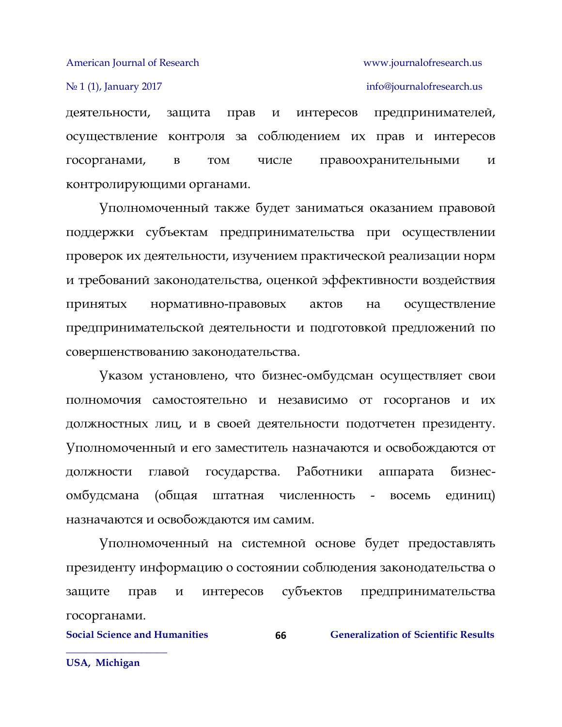№ 1 (1), January 2017 info[@journalofresearch.u](http://journalofresearch.asia/)s

деятельности, защита прав и интересов предпринимателей, осуществление контроля за соблюдением их прав и интересов госорганами, в том числе правоохранительными и контролирующими органами.

Уполномоченный также будет заниматься оказанием правовой поддержки субъектам предпринимательства при осуществлении проверок их деятельности, изучением практической реализации норм и требований законодательства, оценкой эффективности воздействия принятых нормативно-правовых актов на осуществление предпринимательской деятельности и подготовкой предложений по совершенствованию законодательства.

Указом установлено, что бизнес-омбудсман осуществляет свои полномочия самостоятельно и независимо от госорганов и их должностных лиц, и в своей деятельности подотчетен президенту. Уполномоченный и его заместитель назначаются и освобождаются от должности главой государства. Работники аппарата бизнесомбудсмана (общая штатная численность - восемь единиц) назначаются и освобождаются им самим.

Уполномоченный на системной основе будет предоставлять президенту информацию о состоянии соблюдения законодательства о защите прав и интересов субъектов предпринимательства госорганами.

**66**

**Social Science and Humanities Generalization of Scientific Results**

**USA, Michigan**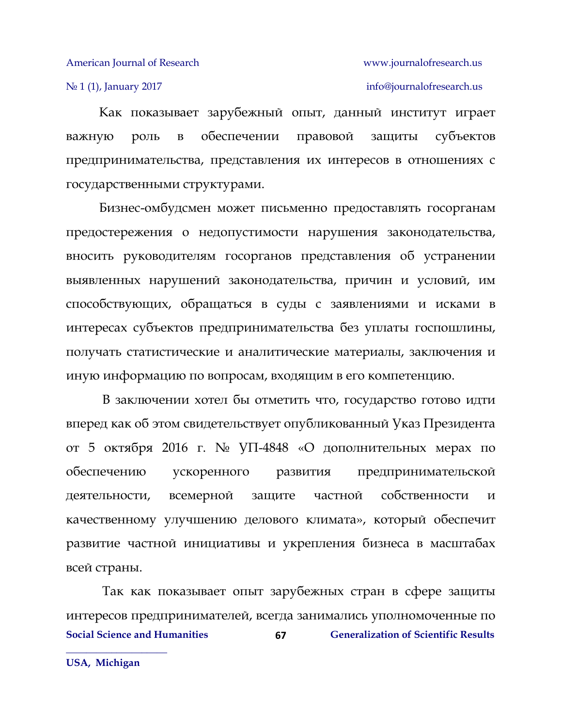### № 1 (1), January 2017 info[@journalofresearch.u](http://journalofresearch.asia/)s

Как показывает зарубежный опыт, данный институт играет важную роль в обеспечении правовой защиты субъектов предпринимательства, представления их интересов в отношениях с государственными структурами.

Бизнес-омбудсмен может письменно предоставлять госорганам предостережения о недопустимости нарушения законодательства, вносить руководителям госорганов представления об устранении выявленных нарушений законодательства, причин и условий, им способствующих, обращаться в суды с заявлениями и исками в интересах субъектов предпринимательства без уплаты госпошлины, получать статистические и аналитические материалы, заключения и иную информацию по вопросам, входящим в его компетенцию.

В заключении хотел бы отметить что, государство готово идти вперед как об этом свидетельствует опубликованный Указ Президента от 5 октября 2016 г. № УП-4848 «О дополнительных мерах по обеспечению ускоренного развития предпринимательской деятельности, всемерной защите частной собственности и качественному улучшению делового климата», который обеспечит развитие частной инициативы и укрепления бизнеса в масштабах всей страны.

**Social Science and Humanities Generalization of Scientific Results 67** Так как показывает опыт зарубежных стран в сфере защиты интересов предпринимателей, всегда занимались уполномоченные по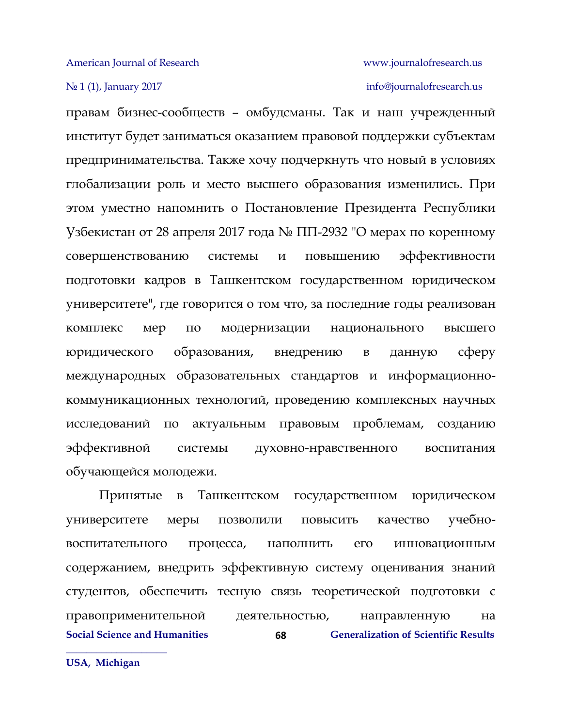### No 1 (1), January 2017 info[@journalofresearch.u](http://journalofresearch.asia/)s

правам бизнес-сообществ – омбудсманы. Так и наш учрежденный институт будет заниматься оказанием правовой поддержки субъектам предпринимательства. Также хочу подчеркнуть что новый в условиях глобализации роль и место высшего образования изменились. При этом уместно напомнить о Постановление Президента Республики Узбекистан от 28 апреля 2017 года № ПП-2932 "О мерах по коренному совершенствованию системы и повышению эффективности подготовки кадров в Ташкентском государственном юридическом университете", где говорится о том что, за последние годы реализован комплекс мер по модернизации национального высшего юридического образования, внедрению в данную сферу международных образовательных стандартов и информационнокоммуникационных технологий, проведению комплексных научных исследований по актуальным правовым проблемам, созданию эффективной системы духовно-нравственного воспитания обучающейся молодежи.

**Social Science and Humanities Generalization of Scientific Results 68** Принятые в Ташкентском государственном юридическом университете меры позволили повысить качество учебновоспитательного процесса, наполнить его инновационным содержанием, внедрить эффективную систему оценивания знаний студентов, обеспечить тесную связь теоретической подготовки с правоприменительной деятельностью, направленную на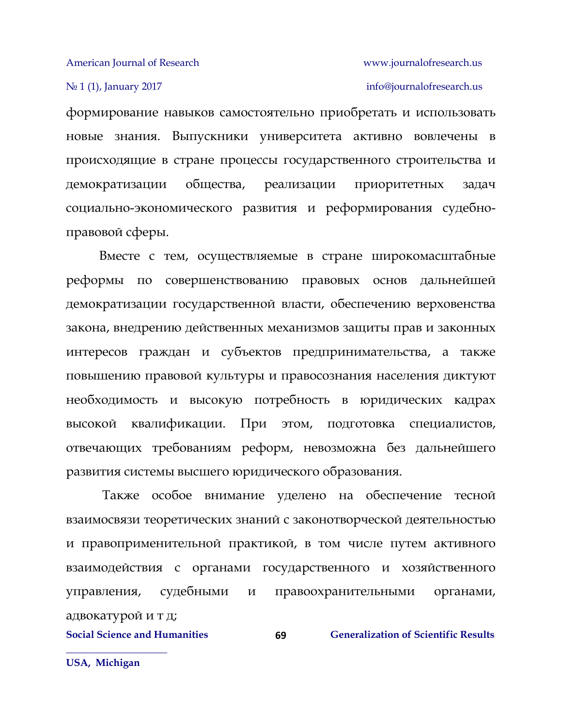### № 1 (1), January 2017 info[@journalofresearch.u](http://journalofresearch.asia/)s

формирование навыков самостоятельно приобретать и использовать новые знания. Выпускники университета активно вовлечены в происходящие в стране процессы государственного строительства и демократизации общества, реализации приоритетных задач социально-экономического развития и реформирования судебноправовой сферы.

Вместе с тем, осуществляемые в стране широкомасштабные реформы по совершенствованию правовых основ дальнейшей демократизации государственной власти, обеспечению верховенства закона, внедрению действенных механизмов защиты прав и законных интересов граждан и субъектов предпринимательства, а также повышению правовой культуры и правосознания населения диктуют необходимость и высокую потребность в юридических кадрах высокой квалификации. При этом, подготовка специалистов, отвечающих требованиям реформ, невозможна без дальнейшего развития системы высшего юридического образования.

Также особое внимание уделено на обеспечение тесной взаимосвязи теоретических знаний с законотворческой деятельностью и правоприменительной практикой, в том числе путем активного взаимодействия с органами государственного и хозяйственного управления, судебными и правоохранительными органами, адвокатурой и т д;

**69**

**Social Science and Humanities Generalization of Scientific Results**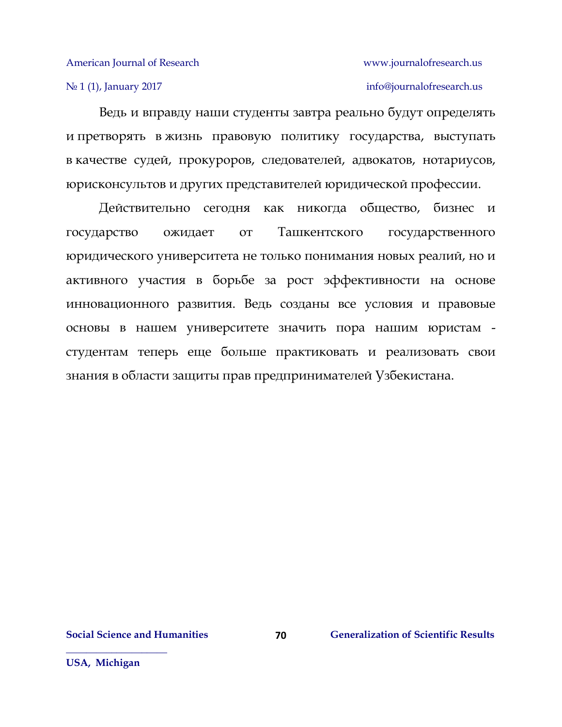### No 1 (1), January 2017 info[@journalofresearch.u](http://journalofresearch.asia/)s

Ведь и вправду наши студенты завтра реально будут определять и претворять в жизнь правовую политику государства, выступать в качестве судей, прокуроров, следователей, адвокатов, нотариусов, юрисконсультов и других представителей юридической профессии.

Действительно сегодня как никогда общество, бизнес и государство ожидает от Ташкентского государственного юридического университета не только понимания новых реалий, но и активного участия в борьбе за рост эффективности на основе инновационного развития. Ведь созданы все условия и правовые основы в нашем университете значить пора нашим юристам студентам теперь еще больше практиковать и реализовать свои знания в области защиты прав предпринимателей Узбекистана.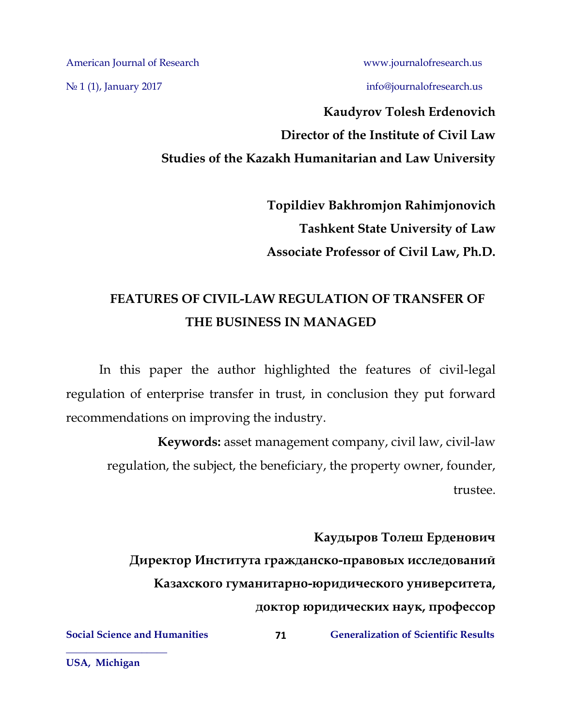No 1 (1), January 2017 info[@journalofresearch.u](http://journalofresearch.asia/)s

# **Kaudyrov Tolesh Erdenovich Director of the Institute of Civil Law Studies of the Kazakh Humanitarian and Law University**

**Topildiev Bakhromjon Rahimjonovich Tashkent State University of Law Associate Professor of Civil Law, Ph.D.**

# **FEATURES OF CIVIL-LAW REGULATION OF TRANSFER OF THE BUSINESS IN MANAGED**

In this paper the author highlighted the features of civil-legal regulation of enterprise transfer in trust, in conclusion they put forward recommendations on improving the industry.

**Keywords:** asset management company, civil law, civil-law regulation, the subject, the beneficiary, the property owner, founder, trustee.

**Каудыров Толеш Ерденович Директор Института гражданско-правовых исследований Казахского гуманитарно-юридического университета, доктор юридических наук, профессор**

**71**

**Social Science and Humanities 6 (Separalization of Scientific Results** 

**USA, Michigan**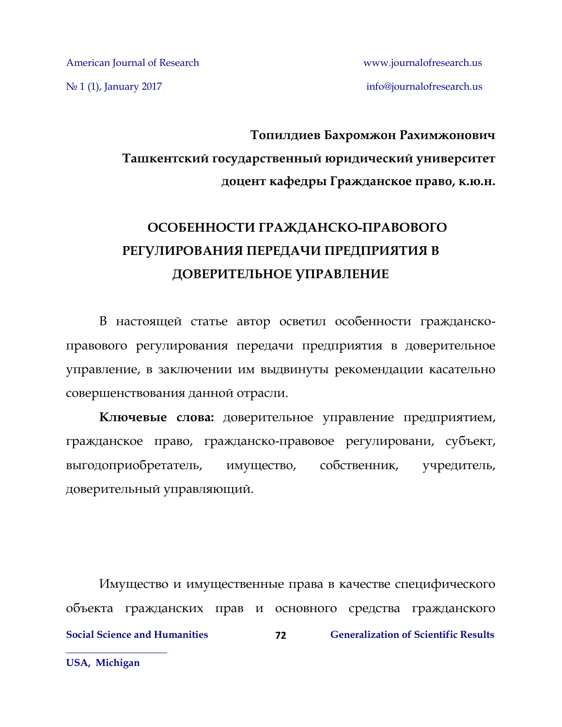No 1 (1), January 2017 info[@journalofresearch.u](http://journalofresearch.asia/)s

# **Топилдиев Бахромжон Рахимжонович Ташкентский государственный юридический университет доцент кафедры Гражданское право, к.ю.н.**

# **ОСОБЕННОСТИ ГРАЖДАНСКО-ПРАВОВОГО РЕГУЛИРОВАНИЯ ПЕРЕДАЧИ ПРЕДПРИЯТИЯ В ДОВЕРИТЕЛЬНОЕ УПРАВЛЕНИЕ**

В настоящей статье автор осветил особенности гражданскоправового регулирования передачи предприятия в доверительное управление, в заключении им выдвинуты рекомендации касательно совершенствования данной отрасли.

**Ключевые слова:** доверительное управление предприятием, гражданское право, гражданско-правовое регулировани, субъект, выгодоприобретатель, имущество, собственник, учредитель, доверительный управляющий.

**Social Science and Humanities 6 (Separalization of Scientific Results**) **Generalization of Scientific Results \_\_\_\_\_\_\_\_\_\_\_\_\_\_\_\_\_\_\_\_ 72** Имущество и имущественные права в качестве специфического объекта гражданских прав и основного средства гражданского

**USA, Michigan**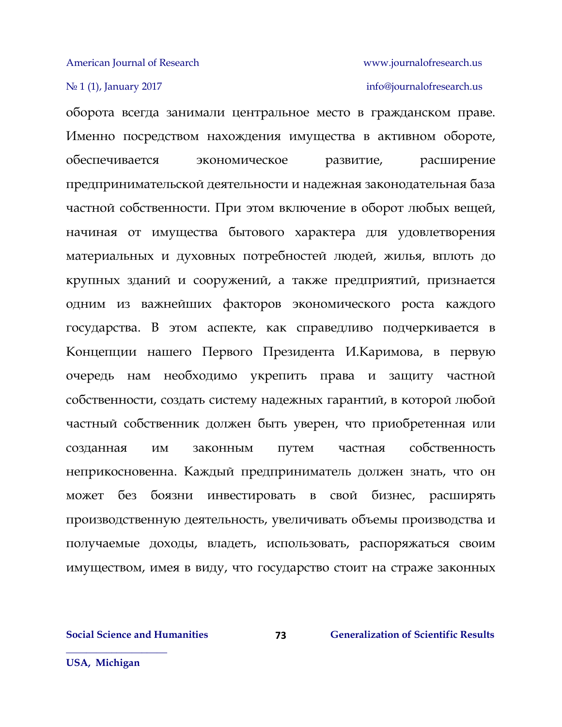## № 1 (1), January 2017 info[@journalofresearch.u](http://journalofresearch.asia/)s

оборота всегда занимали центральное место в гражданском праве. Именно посредством нахождения имущества в активном обороте, обеспечивается экономическое развитие, расширение предпринимательской деятельности и надежная законодательная база частной собственности. При этом включение в оборот любых вещей, начиная от имущества бытового характера для удовлетворения материальных и духовных потребностей людей, жилья, вплоть до крупных зданий и сооружений, а также предприятий, признается одним из важнейших факторов экономического роста каждого государства. В этом аспекте, как справедливо подчеркивается в Концепции нашего Первого Президента И.Каримова, в первую очередь нам необходимо укрепить права и защиту частной собственности, создать систему надежных гарантий, в которой любой частный собственник должен быть уверен, что приобретенная или созданная им законным путем частная собственность неприкосновенна. Каждый предприниматель должен знать, что он может без боязни инвестировать в свой бизнес, расширять производственную деятельность, увеличивать объемы производства и получаемые доходы, владеть, использовать, распоряжаться своим имуществом, имея в виду, что государство стоит на страже законных

**73**

**Social Science and Humanities 6 (2008) Generalization of Scientific Results** 

**USA, Michigan**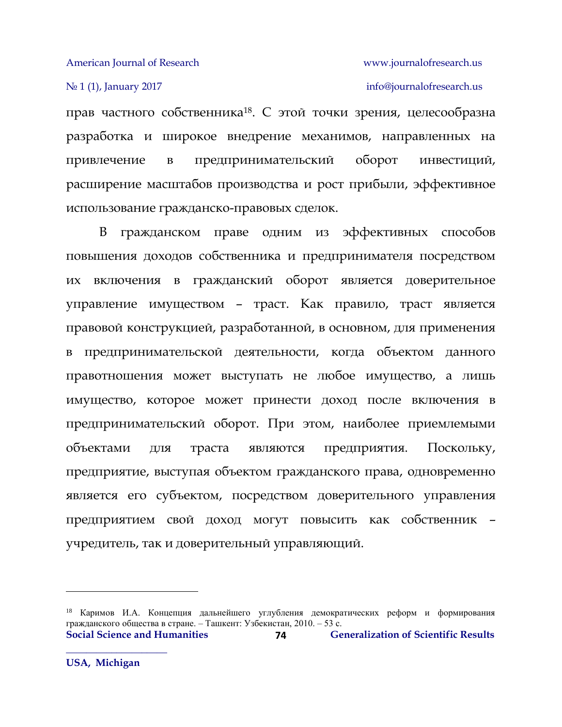# № 1 (1), January 2017 info[@journalofresearch.u](http://journalofresearch.asia/)s

прав частного собственника18. С этой точки зрения, целесообразна разработка и широкое внедрение механимов, направленных на привлечение в предпринимательский оборот инвестиций, расширение масштабов производства и рост прибыли, эффективное использование гражданско-правовых сделок.

В гражданском праве одним из эффективных способов повышения доходов собственника и предпринимателя посредством их включения в гражданский оборот является доверительное управление имуществом – траст. Как правило, траст является правовой конструкцией, разработанной, в основном, для применения в предпринимательской деятельности, когда объектом данного правотношения может выступать не любое имущество, а лишь имущество, которое может принести доход после включения в предпринимательский оборот. При этом, наиболее приемлемыми объектами для траста являются предприятия. Поскольку, предприятие, выступая объектом гражданского права, одновременно является его субъектом, посредством доверительного управления предприятием свой доход могут повысить как собственник – учредитель, так и доверительный управляющий.

l

**Social Science and Humanities 6 (Separalization of Scientific Results**) **Generalization of Scientific Results 74** <sup>18</sup> Каримов И.А. Концепция дальнейшего углубления демократических реформ и формирования гражданского общества в стране. – Ташкент: Узбекистан, 2010. – 53 с.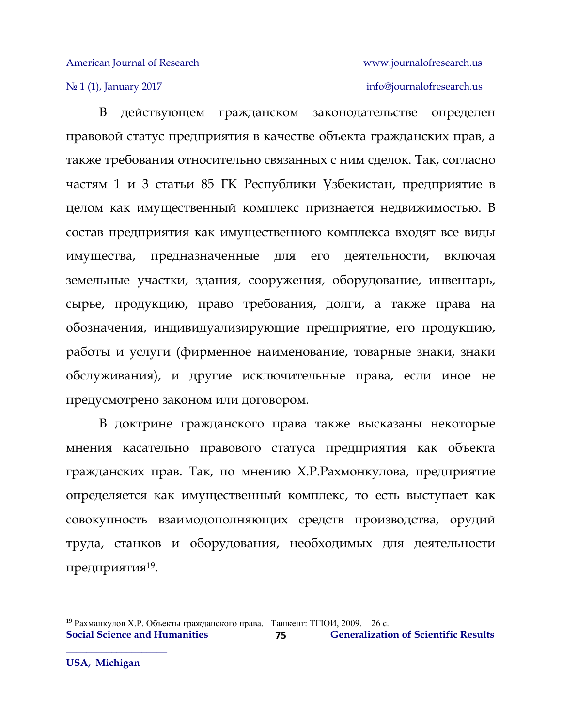## No 1 (1), January 2017 info[@journalofresearch.u](http://journalofresearch.asia/)s

В действующем гражданском законодательстве определен правовой статус предприятия в качестве объекта гражданских прав, а также требования относительно связанных с ним сделок. Так, согласно частям 1 и 3 статьи 85 ГК Республики Узбекистан, предприятие в целом как имущественный комплекс признается недвижимостью. В состав предприятия как имущественного комплекса входят все виды имущества, предназначенные для его деятельности, включая земельные участки, здания, сооружения, оборудование, инвентарь, сырье, продукцию, право требования, долги, а также права на обозначения, индивидуализирующие предприятие, его продукцию, работы и услуги (фирменное наименование, товарные знаки, знаки обслуживания), и другие исключительные права, если иное не предусмотрено законом или договором.

В доктрине гражданского права также высказаны некоторые мнения касательно правового статуса предприятия как объекта гражданских прав. Так, по мнению Х.Р.Рахмонкулова, предприятие определяется как имущественный комплекс, то есть выступает как совокупность взаимодополняющих средств производства, орудий труда, станков и оборудования, необходимых для деятельности предприятия $^{19}$ .

 $\overline{a}$ 

**Social Science and Humanities 6 125 125 12. In Generalization of Scientific Results 75** <sup>19</sup> Рахманкулов Х.Р. Объекты гражданского права. – Ташкент: ТГЮИ, 2009. – 26 с.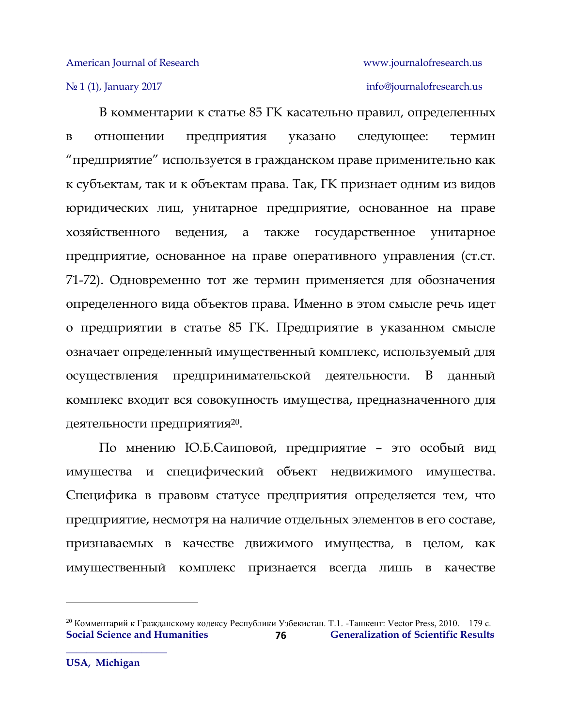# № 1 (1), January 2017 info[@journalofresearch.u](http://journalofresearch.asia/)s

В комментарии к статье 85 ГК касательно правил, определенных в отношении предприятия указано следующее: термин "предприятие" используется в гражданском праве применительно как к субъектам, так и к объектам права. Так, ГК признает одним из видов юридических лиц, унитарное предприятие, основанное на праве хозяйственного ведения, а также государственное унитарное предприятие, основанное на праве оперативного управления (ст.ст. 71-72). Одновременно тот же термин применяется для обозначения определенного вида объектов права. Именно в этом смысле речь идет о предприятии в статье 85 ГК. Предприятие в указанном смысле означает определенный имущественный комплекс, используемый для осуществления предпринимательской деятельности. В данный комплекс входит вся совокупность имущества, предназначенного для деятельности предприятия $^{20}\cdot$ 

По мнению Ю.Б.Саиповой, предприятие – это особый вид имущества и специфический объект недвижимого имущества. Специфика в правовм статусе предприятия определяется тем, что предприятие, несмотря на наличие отдельных элементов в его составе, признаваемых в качестве движимого имущества, в целом, как имущественный комплекс признается всегда лишь в качестве

 $\overline{a}$ 

**Social Science and Humanities Generalization of Scientific Results 76** <sup>20</sup> Комментарий к Гражданскому кодексу Республики Узбекистан. Т.1. -Ташкент: Vector Press, 2010. – 179 с.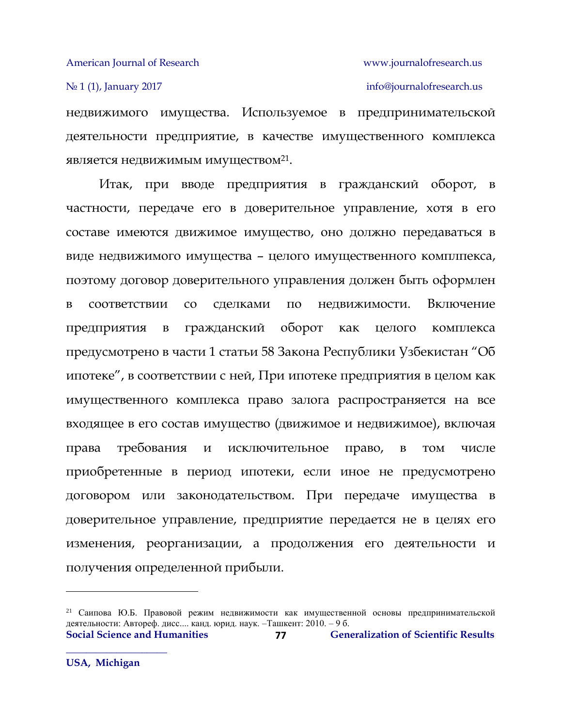## № 1 (1), January 2017 info[@journalofresearch.u](http://journalofresearch.asia/)s

недвижимого имущества. Используемое в предпринимательской деятельности предприятие, в качестве имущественного комплекса является недвижимым имуществом $^{21}\cdot$ 

Итак, при вводе предприятия в гражданский оборот, в частности, передаче его в доверительное управление, хотя в его составе имеются движимое имущество, оно должно передаваться в виде недвижимого имущества – целого имущественного комплпекса, поэтому договор доверительного управления должен быть оформлен в соответствии со сделками по недвижимости. Включение предприятия в гражданский оборот как целого комплекса предусмотрено в части 1 статьи 58 Закона Республики Узбекистан "Об ипотеке", в соответствии с ней, При ипотеке предприятия в целом как имущественного комплекса право залога распространяется на все входящее в его состав имущество (движимое и недвижимое), включая права требования и исключительное право, в том числе приобретенные в период ипотеки, если иное не предусмотрено договором или законодательством. При передаче имущества в доверительное управление, предприятие передается не в целях его изменения, реорганизации, а продолжения его деятельности и получения определенной прибыли.

l

**Social Science and Humanities 6 (Separalization of Scientific Results**) **Generalization of Scientific Results 77** <sup>21</sup> Саипова Ю.Б. Правовой режим недвижимости как имущественной основы предпринимательской деятельности: Автореф. дисс.... канд. юрид. наук. –Ташкент: 2010. – 9 б.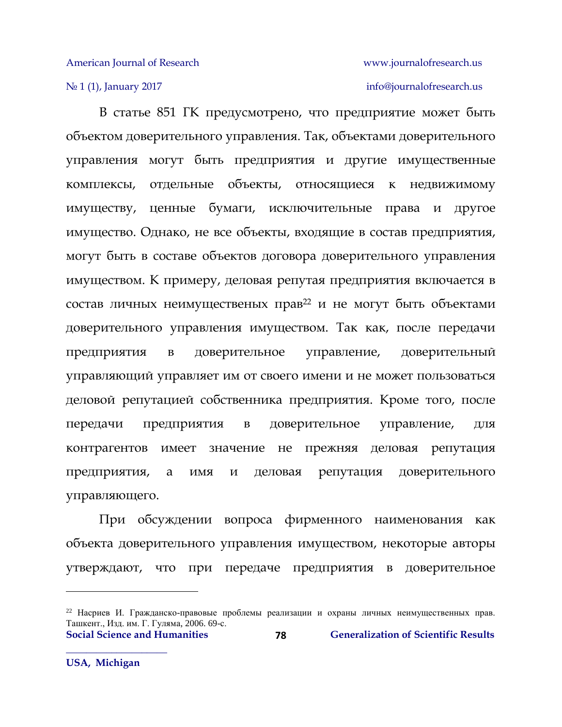## № 1 (1), January 2017 info[@journalofresearch.u](http://journalofresearch.asia/)s

В статье 851 ГК предусмотрено, что предприятие может быть объектом доверительного управления. Так, объектами доверительного управления могут быть предприятия и другие имущественные комплексы, отдельные объекты, относящиеся к недвижимому имуществу, ценные бумаги, исключительные права и другое имущество. Однако, не все объекты, входящие в состав предприятия, могут быть в составе объектов договора доверительного управления имуществом. К примеру, деловая репутая предприятия включается в состав личных неимущественых прав<sup>22</sup> и не могут быть объектами доверительного управления имуществом. Так как, после передачи предприятия в доверительное управление, доверительный управляющий управляет им от своего имени и не может пользоваться деловой репутацией собственника предприятия. Кроме того, после передачи предприятия в доверительное управление, для контрагентов имеет значение не прежняя деловая репутация предприятия, а имя и деловая репутация доверительного управляющего.

При обсуждении вопроса фирменного наименования как объекта доверительного управления имуществом, некоторые авторы утверждают, что при передаче предприятия в доверительное

l

<sup>22</sup> Насриев И. Гражданско-правовые проблемы реализации и охраны личных неимущественных прав. Ташкент., Изд. им. Г. Гуляма, 2006. 69-с.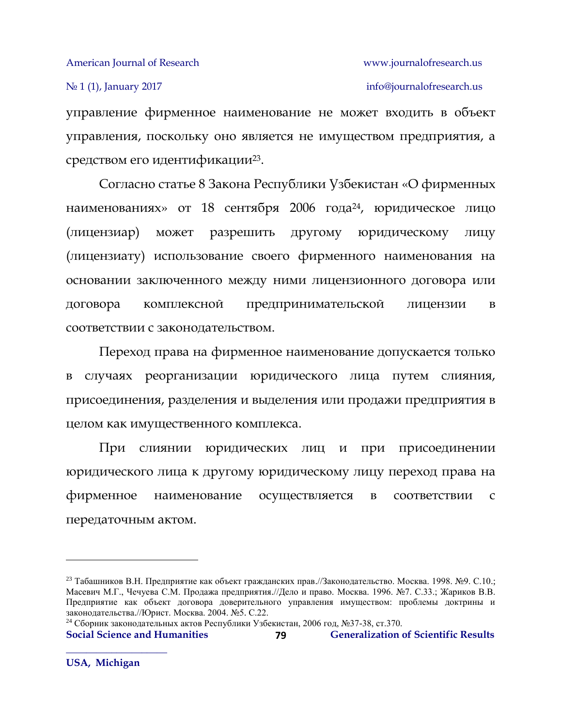## № 1 (1), January 2017 info[@journalofresearch.u](http://journalofresearch.asia/)s

управление фирменное наименование не может входить в объект управления, поскольку оно является не имуществом предприятия, а средством его идентификации $^{23}$ .

Согласно статье 8 Закона Республики Узбекистан «О фирменных наименованиях» от 18 сентября 2006 года24, юридическое лицо (лицензиар) может разрешить другому юридическому лицу (лицензиату) использование своего фирменного наименования на основании заключенного между ними лицензионного договора или договора комплексной предпринимательской лицензии в соответствии с законодательством.

Переход права на фирменное наименование допускается только в случаях реорганизации юридического лица путем слияния, присоединения, разделения и выделения или продажи предприятия в целом как имущественного комплекса.

При слиянии юридических лиц и при присоединении юридического лица к другому юридическому лицу переход права на фирменное наименование осуществляется в соответствии с передаточным актом.

```
Social Science and Humanities Generalization of Scientific Results
                                        79
24 Сборник законодательных актов Республики Узбекистан, 2006 год, №37-38, ст.370.
```
 $\overline{\phantom{a}}$ 

<sup>23</sup> Табашников В.Н. Предприятие как объект гражданских прав.//Законодательство. Москва. 1998. №9. С.10.; Масевич М.Г., Чечуева С.М. Продажа предприятия.//Дело и право. Москва. 1996. №7. С.33.; Жариков В.В. Предприятие как объект договора доверительного управления имуществом: проблемы доктрины и законодательства.//Юрист. Москва. 2004. №5. С.22.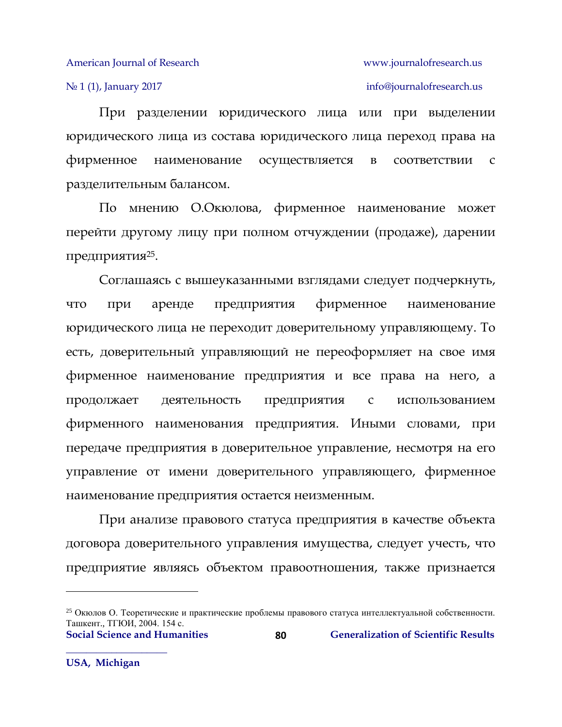№ 1 (1), January 2017 info[@journalofresearch.u](http://journalofresearch.asia/)s

При разделении юридического лица или при выделении юридического лица из состава юридического лица переход права на фирменное наименование осуществляется в соответствии с разделительным балансом.

По мнению О.Окюлова, фирменное наименование может перейти другому лицу при полном отчуждении (продаже), дарении предприятия $^{25}$ .

Соглашаясь с вышеуказанными взглядами следует подчеркнуть, что при аренде предприятия фирменное наименование юридического лица не переходит доверительному управляющему. То есть, доверительный управляющий не переоформляет на свое имя фирменное наименование предприятия и все права на него, а продолжает деятельность предприятия с использованием фирменного наименования предприятия. Иными словами, при передаче предприятия в доверительное управление, несмотря на его управление от имени доверительного управляющего, фирменное наименование предприятия остается неизменным.

При анализе правового статуса предприятия в качестве объекта договора доверительного управления имущества, следует учесть, что предприятие являясь объектом правоотношения, также признается

l

<sup>25</sup> Окюлов О. Теоретические и практические проблемы правового статуса интеллектуальной собственности. Ташкент., ТГЮИ, 2004. 154 с.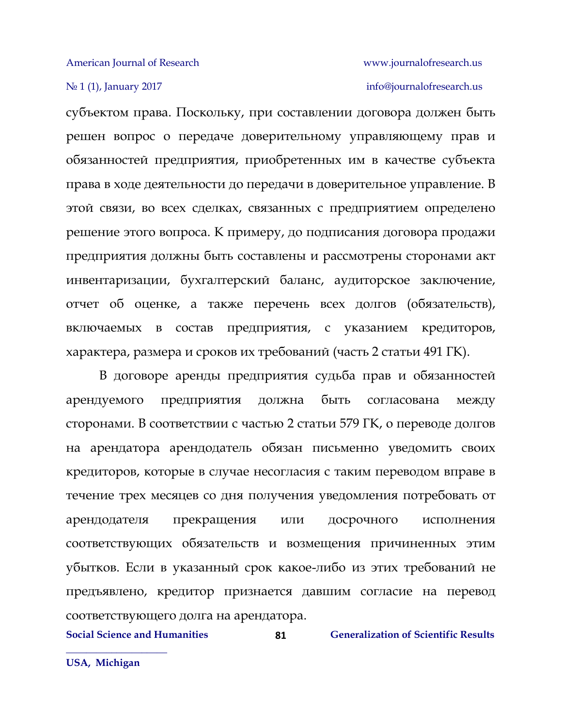## № 1 (1), January 2017 info[@journalofresearch.u](http://journalofresearch.asia/)s

субъектом права. Поскольку, при составлении договора должен быть решен вопрос о передаче доверительному управляющему прав и обязанностей предприятия, приобретенных им в качестве субъекта права в ходе деятельности до передачи в доверительное управление. В этой связи, во всех сделках, связанных с предприятием определено решение этого вопроса. К примеру, до подписания договора продажи предприятия должны быть составлены и рассмотрены сторонами акт инвентаризации, бухгалтерский баланс, аудиторское заключение, отчет об оценке, а также перечень всех долгов (обязательств), включаемых в состав предприятия, с указанием кредиторов, характера, размера и сроков их требований (часть 2 статьи 491 ГК).

В договоре аренды предприятия судьба прав и обязанностей арендуемого предприятия должна быть согласована между сторонами. В соответствии с частью 2 статьи 579 ГК, о переводе долгов на арендатора арендодатель обязан письменно уведомить своих кредиторов, которые в случае несогласия с таким переводом вправе в течение трех месяцев со дня получения уведомления потребовать от арендодателя прекращения или досрочного исполнения соответствующих обязательств и возмещения причиненных этим убытков. Если в указанный срок какое-либо из этих требований не предъявлено, кредитор признается давшим согласие на перевод соответствующего долга на арендатора.

**81**

**Social Science and Humanities 61 Generalization of Scientific Results**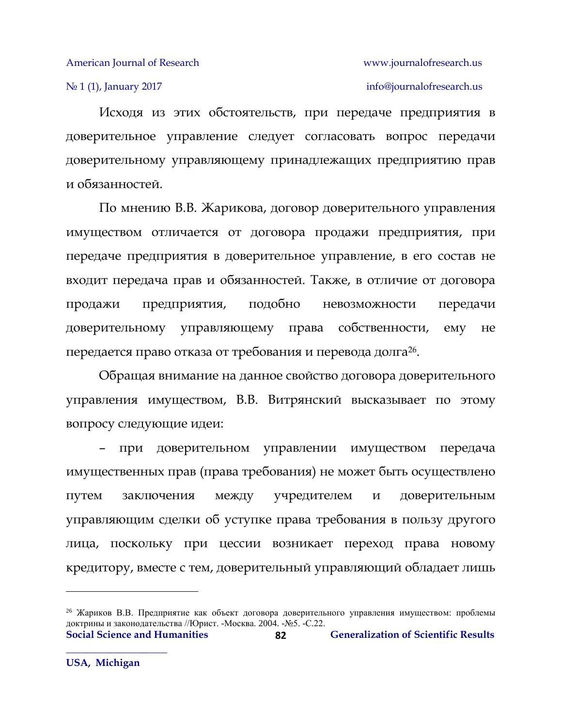## № 1 (1), January 2017 info[@journalofresearch.u](http://journalofresearch.asia/)s

Исходя из этих обстоятельств, при передаче предприятия в доверительное управление следует согласовать вопрос передачи доверительному управляющему принадлежащих предприятию прав и обязанностей.

По мнению В.В. Жарикова, договор доверительного управления имуществом отличается от договора продажи предприятия, при передаче предприятия в доверительное управление, в его состав не входит передача прав и обязанностей. Также, в отличие от договора продажи предприятия, подобно невозможности передачи доверительному управляющему права собственности, ему не передается право отказа от требования и перевода долга<sup>26</sup>.

Обращая внимание на данное свойство договора доверительного управления имуществом, В.В. Витрянский высказывает по этому вопросу следующие идеи:

– при доверительном управлении имуществом передача имущественных прав (права требования) не может быть осуществлено путем заключения между учредителем и доверительным управляющим сделки об уступке права требования в пользу другого лица, поскольку при цессии возникает переход права новому кредитору, вместе с тем, доверительный управляющий обладает лишь

l

**Social Science and Humanities 62 Generalization of Scientific Results 82** <sup>26</sup> Жариков В.В. Предприятие как объект договора доверительного управления имуществом: проблемы доктрины и законодательства //Юрист. -Москва. 2004. -№5. -С.22.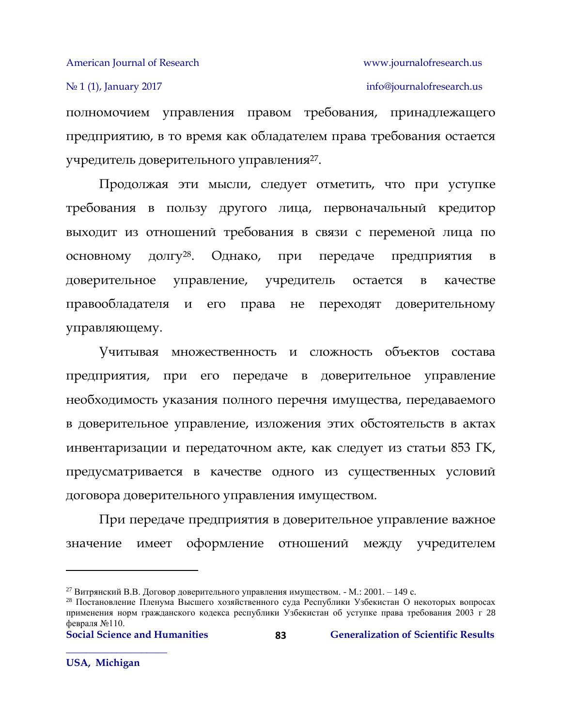полномочием управления правом требования, принадлежащего предприятию, в то время как обладателем права требования остается учредитель доверительного управления $^{27}$ .

Продолжая эти мысли, следует отметить, что при уступке требования в пользу другого лица, первоначальный кредитор выходит из отношений требования в связи с переменой лица по основному долгу28. Однако, при передаче предприятия в доверительное управление, учредитель остается в качестве правообладателя и его права не переходят доверительному управляющему.

Учитывая множественность и сложность объектов состава предприятия, при его передаче в доверительное управление необходимость указания полного перечня имущества, передаваемого в доверительное управление, изложения этих обстоятельств в актах инвентаризации и передаточном акте, как следует из статьи 853 ГК, предусматривается в качестве одного из существенных условий договора доверительного управления имуществом.

При передаче предприятия в доверительное управление важное значение имеет оформление отношений между учредителем

 $\overline{\phantom{a}}$ 

<sup>&</sup>lt;sup>27</sup> Витрянский В.В. Договор доверительного управления имуществом. - М.: 2001. – 149 с.

<sup>28</sup> Постановление Пленума Высшего хозяйственного суда Республики Узбекистан О некоторых вопросах применения норм гражданского кодекса республики Узбекистан об уступке права требования 2003 г 28 февраля №110.

**Social Science and Humanities Generalization of Scientific Results**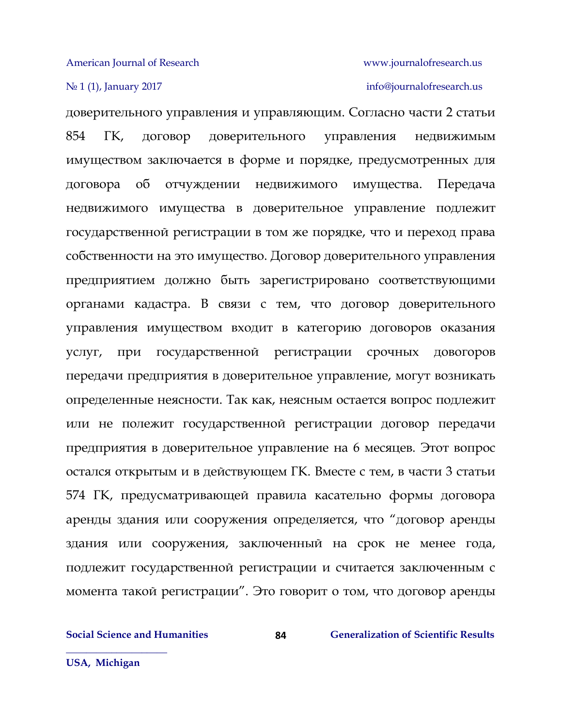# No 1 (1), January 2017 info[@journalofresearch.u](http://journalofresearch.asia/)s

доверительного управления и управляющим. Согласно части 2 статьи 854 ГК, договор доверительного управления недвижимым имуществом заключается в форме и порядке, предусмотренных для договора об отчуждении недвижимого имущества. Передача недвижимого имущества в доверительное управление подлежит государственной регистрации в том же порядке, что и переход права собственности на это имущество. Договор доверительного управления предприятием должно быть зарегистрировано соответствующими органами кадастра. В связи с тем, что договор доверительного управления имуществом входит в категорию договоров оказания услуг, при государственной регистрации срочных довогоров передачи предприятия в доверительное управление, могут возникать определенные неясности. Так как, неясным остается вопрос подлежит или не полежит государственной регистрации договор передачи предприятия в доверительное управление на 6 месяцев. Этот вопрос остался открытым и в действующем ГК. Вместе с тем, в части 3 статьи 574 ГК, предусматривающей правила касательно формы договора аренды здания или сооружения определяется, что "договор аренды здания или сооружения, заключенный на срок не менее года, подлежит государственной регистрации и считается заключенным с момента такой регистрации". Это говорит о том, что договор аренды

**84**

**Social Science and Humanities 624 68 Generalization of Scientific Results** 

**USA, Michigan**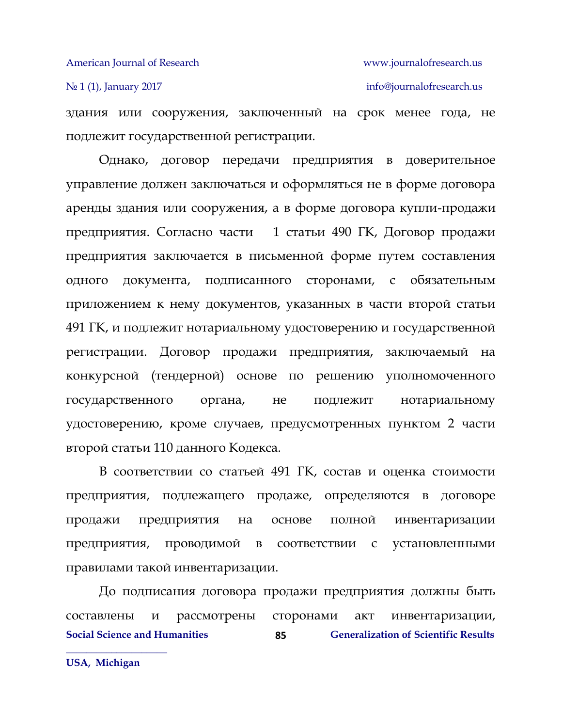## No 1 (1), January 2017 info[@journalofresearch.u](http://journalofresearch.asia/)s

здания или сооружения, заключенный на срок менее года, не подлежит государственной регистрации.

Однако, договор передачи предприятия в доверительное управление должен заключаться и оформляться не в форме договора аренды здания или сооружения, а в форме договора купли-продажи предприятия. Согласно части 1 статьи 490 ГК, Договор продажи предприятия заключается в письменной форме путем составления одного документа, подписанного сторонами, с обязательным приложением к нему документов, указанных в части втоpой статьи 491 ГК, и подлежит нотариальному удостоверению и государственной регистрации. Договор продажи предприятия, заключаемый на конкурсной (тендерной) основе по решению уполномоченного государственного органа, не подлежит нотариальному удостоверению, кроме случаев, предусмотренных пунктом 2 части второй статьи 110 данного Кодекса.

В соответствии со статьей 491 ГК, состав и оценка стоимости предприятия, подлежащего продаже, определяются в договоре продажи предприятия на основе полной инвентаризации предприятия, проводимой в соответствии с установленными правилами такой инвентаризации.

**Social Science and Humanities 625 68 Generalization of Scientific Results 85** До подписания договора продажи предприятия должны быть составлены и рассмотрены сторонами акт инвентаризации,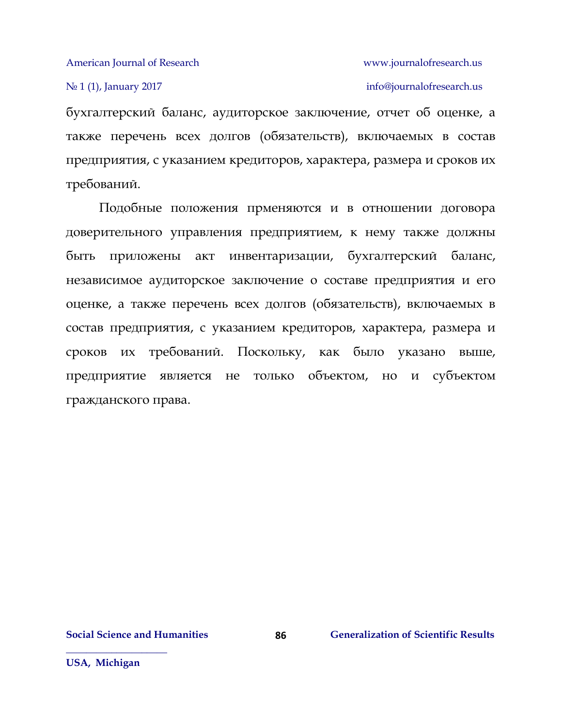## No 1 (1), January 2017 info[@journalofresearch.u](http://journalofresearch.asia/)s

бухгалтерский баланс, аудиторское заключение, отчет об оценке, а также перечень всех долгов (обязательств), включаемых в состав предприятия, с указанием кредиторов, характера, размера и сроков их требований.

Подобные положения прменяются и в отношении договора доверительного управления предприятием, к нему также должны быть приложены акт инвентаризации, бухгалтерский баланс, независимое аудиторское заключение о составе предприятия и его оценке, а также перечень всех долгов (обязательств), включаемых в состав предприятия, с указанием кредиторов, характера, размера и сроков их требований. Поскольку, как было указано выше, предприятие является не только объектом, но и субъектом гражданского права.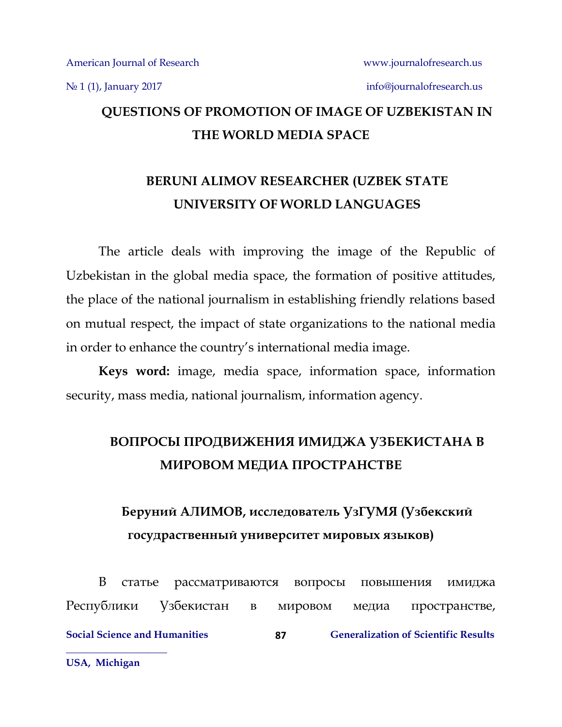# **QUESTIONS OF PROMOTION OF IMAGE OF UZBEKISTAN IN THE WORLD MEDIA SPACE**

# **BERUNI ALIMOV RESEARCHER (UZBEK STATE UNIVERSITY OF WORLD LANGUAGES**

The article deals with improving the image of the Republic of Uzbekistan in the global media space, the formation of positive attitudes, the place of the national journalism in establishing friendly relations based on mutual respect, the impact of state organizations to the national media in order to enhance the country's international media image.

**Keys word:** image, media space, information space, information security, mass media, national journalism, information agency.

# **ВОПРОСЫ ПРОДВИЖЕНИЯ ИМИДЖА УЗБЕКИСТАНА В МИРОВОМ МЕДИА ПРОСТРАНСТВЕ**

# **Беруний АЛИМОВ, исследователь УзГУМЯ (Узбекский госудраственный университет мировых языков)**

**Social Science and Humanities Generalization of Scientific Results \_\_\_\_\_\_\_\_\_\_\_\_\_\_\_\_\_\_\_\_ 87** В статье рассматриваются вопросы повышения имиджа Республики Узбекистан в мировом медиа пространстве,

**USA, Michigan**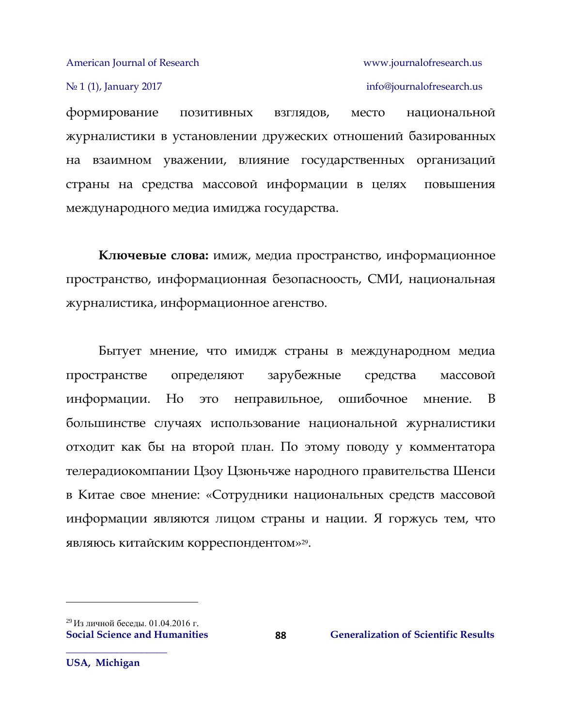№ 1 (1), January 2017 info[@journalofresearch.u](http://journalofresearch.asia/)s

формирование позитивных взглядов, место национальной журналистики в установлении дружеских отношений базированных на взаимном уважении, влияние государственных организаций страны на средства массовой информации в целях повышения международного медиа имиджа государства.

**Ключевые слова:** имиж, медиа пространство, информационное пространство, информационная безопасноость, СМИ, национальная журналистика, информационное агенство.

Бытует мнение, что имидж страны в международном медиа пространстве определяют зарубежные средства массовой информации. Но это неправильное, ошибочное мнение. В большинстве случаях использование национальной журналистики отходит как бы на второй план. По этому поводу у комментатора телерадиокомпании Цзоу Цзюньчже народного правительства Шенси в Китае свое мнение: «Сотрудники национальных средств массовой информации являются лицом страны и нации. Я горжусь тем, что являюсь китайским корреспондентом»29.

**88**

**USA, Michigan**

 $\overline{a}$ 

<sup>29</sup> Из личной беседы. 01.04.2016 г.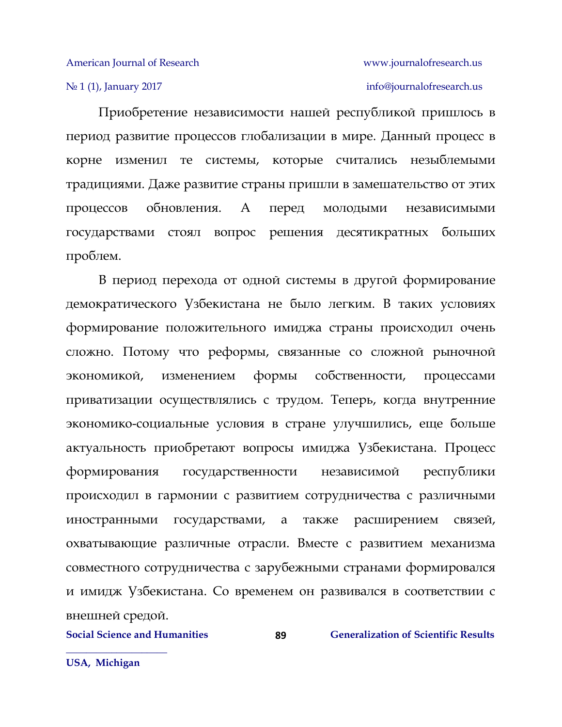## № 1 (1), January 2017 info[@journalofresearch.u](http://journalofresearch.asia/)s

Приобретение независимости нашей республикой пришлось в период развитие процессов глобализации в мире. Данный процесс в корне изменил те системы, которые считались незыблемыми традициями. Даже развитие страны пришли в замешательство от этих процессов обновления. А перед молодыми независимыми государствами стоял вопрос решения десятикратных больших проблем.

В период перехода от одной системы в другой формирование демократического Узбекистана не было легким. В таких условиях формирование положительного имиджа страны происходил очень сложно. Потому что реформы, связанные со сложной рыночной экономикой, изменением формы собственности, процессами приватизации осуществлялись с трудом. Теперь, когда внутренние экономико-социальные условия в стране улучшились, еще больше актуальность приобретают вопросы имиджа Узбекистана. Процесс формирования государственности независимой республики происходил в гармонии с развитием сотрудничества с различными иностранными государствами, а также расширением связей, охватывающие различные отрасли. Вместе с развитием механизма совместного сотрудничества с зарубежными странами формировался и имидж Узбекистана. Со временем он развивался в соответствии с внешней средой.

**89**

**Social Science and Humanities 689 Generalization of Scientific Results**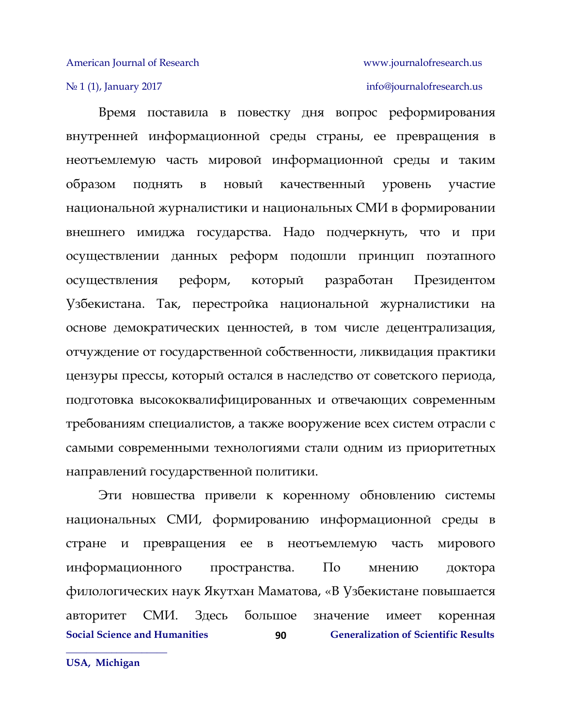## No 1 (1), January 2017 info[@journalofresearch.u](http://journalofresearch.asia/)s

Время поставила в повестку дня вопрос реформирования внутренней информационной среды страны, ее превращения в неотъемлемую часть мировой информационной среды и таким образом поднять в новый качественный уровень участие национальной журналистики и национальных СМИ в формировании внешнего имиджа государства. Надо подчеркнуть, что и при осуществлении данных реформ подошли принцип поэтапного осуществления реформ, который разработан Президентом Узбекистана. Так, перестройка национальной журналистики на основе демократических ценностей, в том числе децентрализация, отчуждение от государственной собственности, ликвидация практики цензуры прессы, который остался в наследство от советского периода, подготовка высококвалифицированных и отвечающих современным требованиям специалистов, а также вооружение всех систем отрасли с самыми современными технологиями стали одним из приоритетных направлений государственной политики.

**Social Science and Humanities 6 (Generalization of Scientific Results**) **90** Эти новшества привели к коренному обновлению системы национальных СМИ, формированию информационной среды в стране и превращения ее в неотъемлемую часть мирового информационного пространства. По мнению доктора филологических наук Якутхан Маматова, «В Узбекистане повышается авторитет СМИ. Здесь большое значение имеет коренная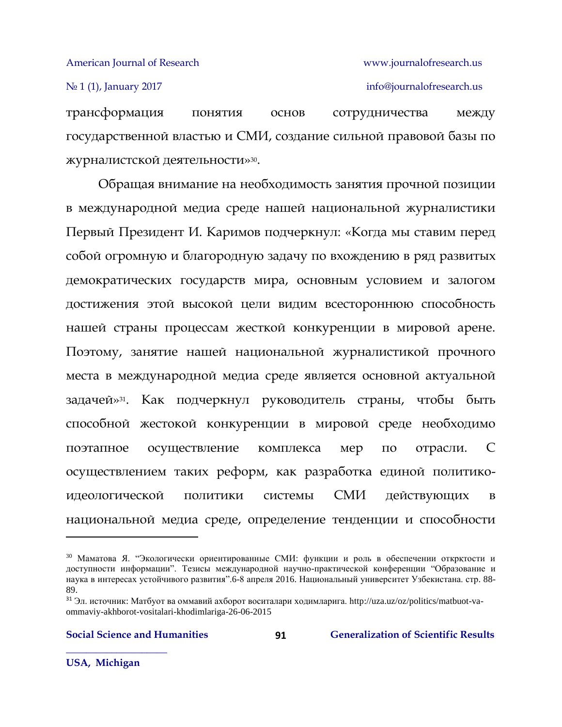## № 1 (1), January 2017 info[@journalofresearch.u](http://journalofresearch.asia/)s

трансформация понятия основ сотрудничества между государственной властью и СМИ, создание сильной правовой базы по журналистской деятельности»30.

Обращая внимание на необходимость занятия прочной позиции в международной медиа среде нашей национальной журналистики Первый Президент И. Каримов подчеркнул: «Когда мы ставим перед собой огромную и благородную задачу по вхождению в ряд развитых демократических государств мира, основным условием и залогом достижения этой высокой цели видим всестороннюю способность нашей страны процессам жесткой конкуренции в мировой арене. Поэтому, занятие нашей национальной журналистикой прочного места в международной медиа среде является основной актуальной задачей»31. Как подчеркнул руководитель страны, чтобы быть способной жестокой конкуренции в мировой среде необходимо поэтапное осуществление комплекса мер по отрасли. С осуществлением таких реформ, как разработка единой политикоидеологической политики системы СМИ действующих в национальной медиа среде, определение тенденции и способности

 $\overline{\phantom{a}}$ 

<sup>30</sup> Маматова Я. "Экологически ориентированные СМИ: функции и роль в обеспечении открқтости и доступности информации". Тезисы международной научно-практической конференции "Образование и наука в интересах устойчивого развития".6-8 апреля 2016. Национальный университет Узбекистана. стр. 88- 89.

<sup>31</sup> Эл. источник: Матбуот ва оммавий ахборот воситалари ходимларига. http://uza.uz/oz/politics/matbuot-vaommaviy-akhborot-vositalari-khodimlariga-26-06-2015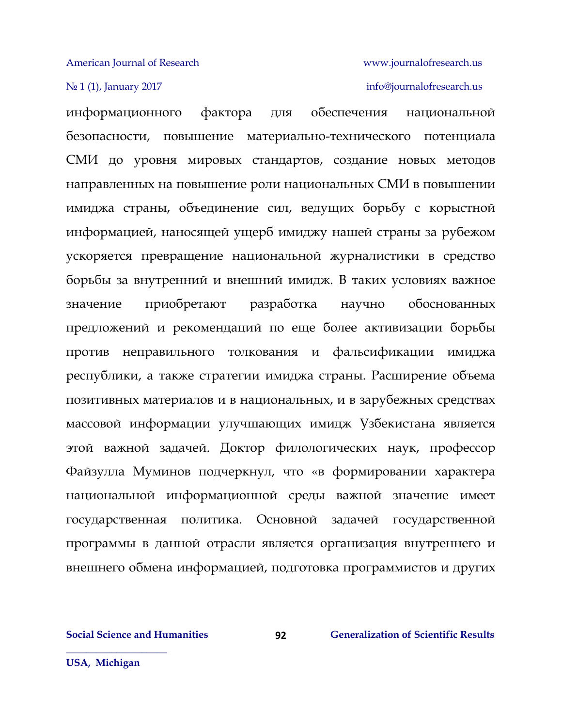## No 1 (1), January 2017 info[@journalofresearch.u](http://journalofresearch.asia/)s

информационного фактора для обеспечения национальной безопасности, повышение материально-технического потенциала СМИ до уровня мировых стандартов, создание новых методов направленных на повышение роли национальных СМИ в повышении имиджа страны, объединение сил, ведущих борьбу с корыстной информацией, наносящей ущерб имиджу нашей страны за рубежом ускоряется превращение национальной журналистики в средство борьбы за внутренний и внешний имидж. В таких условиях важное значение приобретают разработка научно обоснованных предложений и рекомендаций по еще более активизации борьбы против неправильного толкования и фальсификации имиджа республики, а также стратегии имиджа страны. Расширение объема позитивных материалов и в национальных, и в зарубежных средствах массовой информации улучшающих имидж Узбекистана является этой важной задачей. Доктор филологических наук, профессор Файзулла Муминов подчеркнул, что «в формировании характера национальной информационной среды важной значение имеет государственная политика. Основной задачей государственной программы в данной отрасли является организация внутреннего и внешнего обмена информацией, подготовка программистов и других

**92**

**Social Science and Humanities 62 6 Generalization of Scientific Results**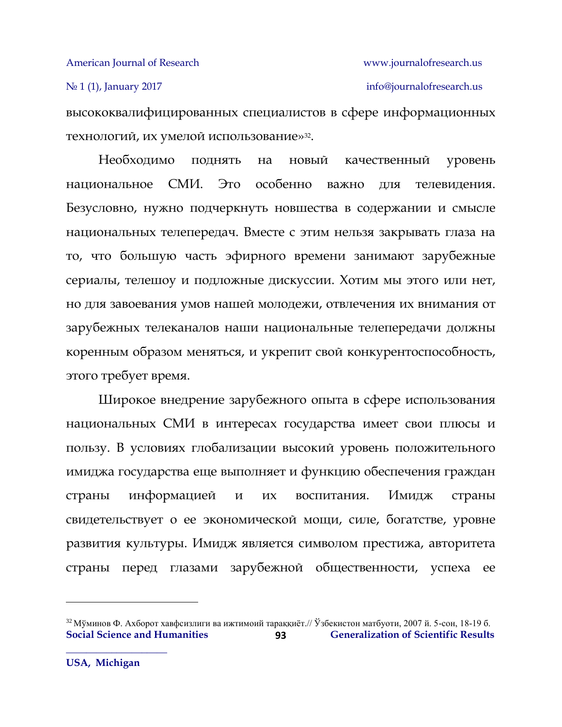# № 1 (1), January 2017 info[@journalofresearch.u](http://journalofresearch.asia/)s

высококвалифицированных специалистов в сфере информационных технологий, их умелой использование»32.

Необходимо поднять на новый качественный уровень национальное СМИ. Это особенно важно для телевидения. Безусловно, нужно подчеркнуть новшества в содержании и смысле национальных телепередач. Вместе с этим нельзя закрывать глаза на то, что большую часть эфирного времени занимают зарубежные сериалы, телешоу и подложные дискуссии. Хотим мы этого или нет, но для завоевания умов нашей молодежи, отвлечения их внимания от зарубежных телеканалов наши национальные телепередачи должны коренным образом меняться, и укрепит свой конкурентоспособность, этого требует время.

Широкое внедрение зарубежного опыта в сфере использования национальных СМИ в интересах государства имеет свои плюсы и пользу. В условиях глобализации высокий уровень положительного имиджа государства еще выполняет и функцию обеспечения граждан страны информацией и их воспитания. Имидж страны свидетельствует о ее экономической мощи, силе, богатстве, уровне развития культуры. Имидж является символом престижа, авторитета страны перед глазами зарубежной общественности, успеха ее

 $\overline{a}$ 

**Social Science and Humanities 623 Ceneralization of Scientific Results 93** <sup>32</sup> Мўминов Ф. Ахборот хавфсизлиги ва ижтимоий тараққиёт.// Ўзбекистон матбуоти, 2007 й. 5-сон, 18-19 б.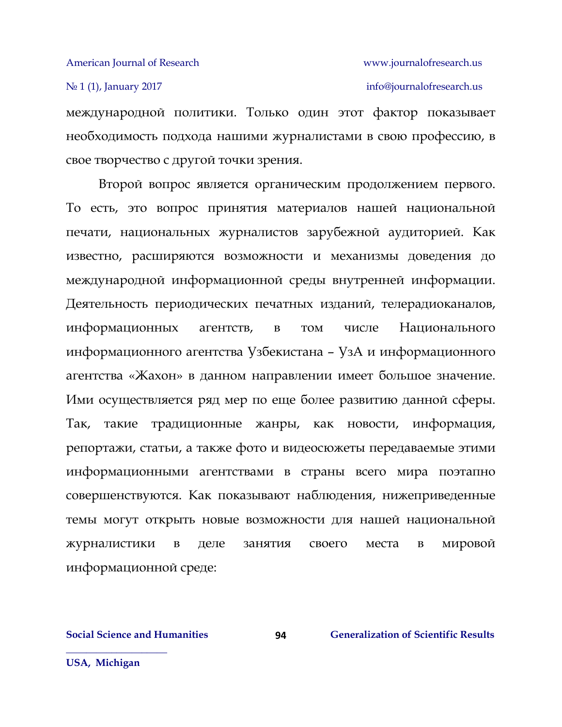## N<u>∘</u> 1 (1), January 2017 **info[@journalofresearch.u](http://journalofresearch.asia/)s**

международной политики. Только один этот фактор показывает необходимость подхода нашими журналистами в свою профессию, в свое творчество с другой точки зрения.

Второй вопрос является органическим продолжением первого. То есть, это вопрос принятия материалов нашей национальной печати, национальных журналистов зарубежной аудиторией. Как известно, расширяются возможности и механизмы доведения до международной информационной среды внутренней информации. Деятельность периодических печатных изданий, телерадиоканалов, информационных агентств, в том числе Национального информационного агентства Узбекистана – УзА и информационного агентства «Жахон» в данном направлении имеет большое значение. Ими осуществляется ряд мер по еще более развитию данной сферы. Так, такие традиционные жанры, как новости, информация, репортажи, статьи, а также фото и видеосюжеты передаваемые этими информационными агентствами в страны всего мира поэтапно совершенствуются. Как показывают наблюдения, нижеприведенные темы могут открыть новые возможности для нашей национальной журналистики в деле занятия своего места в мировой информационной среде:

**Social Science and Humanities 6 (1944)** Generalization of Scientific Results

**USA, Michigan**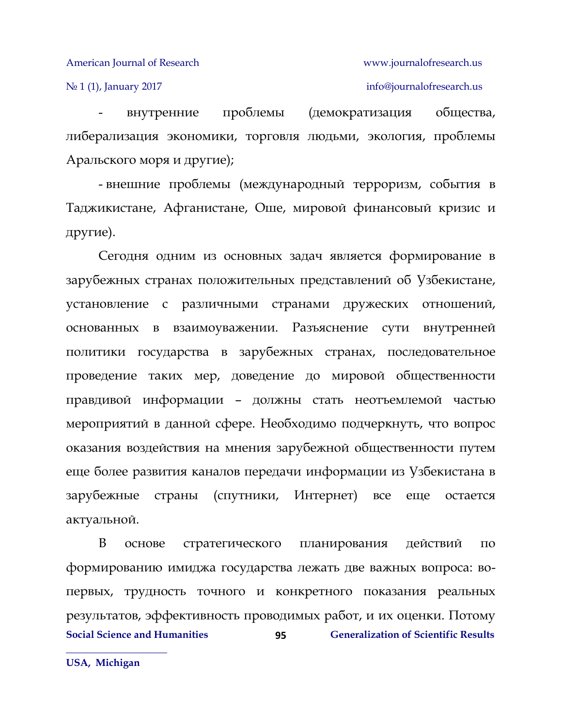## No 1 (1), January 2017 info[@journalofresearch.u](http://journalofresearch.asia/)s

- внутренние проблемы (демократизация общества, либерализация экономики, торговля людьми, экология, проблемы Аральского моря и другие);

- внешние проблемы (международный терроризм, события в Таджикистане, Афганистане, Оше, мировой финансовый кризис и другие).

Сегодня одним из основных задач является формирование в зарубежных странах положительных представлений об Узбекистане, установление с различными странами дружеских отношений, основанных в взаимоуважении. Разъяснение сути внутренней политики государства в зарубежных странах, последовательное проведение таких мер, доведение до мировой общественности правдивой информации – должны стать неотъемлемой частью мероприятий в данной сфере. Необходимо подчеркнуть, что вопрос оказания воздействия на мнения зарубежной общественности путем еще более развития каналов передачи информации из Узбекистана в зарубежные страны (спутники, Интернет) все еще остается актуальной.

**Social Science and Humanities 6 (Generalization of Scientific Results 95** В основе стратегического планирования действий по формированию имиджа государства лежать две важных вопроса: вопервых, трудность точного и конкретного показания реальных результатов, эффективность проводимых работ, и их оценки. Потому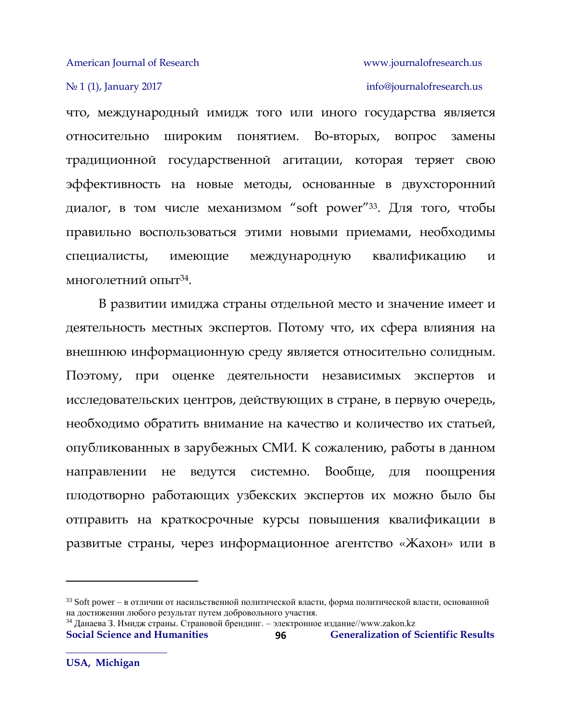## № 1 (1), January 2017 info[@journalofresearch.u](http://journalofresearch.asia/)s

что, международный имидж того или иного государства является относительно широким понятием. Во-вторых, вопрос замены традиционной государственной агитации, которая теряет свою эффективность на новые методы, основанные в двухсторонний диалог, в том числе механизмом "soft power"33. Для того, чтобы правильно воспользоваться этими новыми приемами, необходимы специалисты, имеющие международную квалификацию и многолетний опыт $^{34}$ .

В развитии имиджа страны отдельной место и значение имеет и деятельность местных экспертов. Потому что, их сфера влияния на внешнюю информационную среду является относительно солидным. Поэтому, при оценке деятельности независимых экспертов и исследовательских центров, действующих в стране, в первую очередь, необходимо обратить внимание на качество и количество их статьей, опубликованных в зарубежных СМИ. К сожалению, работы в данном направлении не ведутся системно. Вообще, для поощрения плодотворно работающих узбекских экспертов их можно было бы отправить на краткосрочные курсы повышения квалификации в развитые страны, через информационное агентство «Жахон» или в

**96** <sup>34</sup> Данаева З. Имидж страны. Страновой брендинг. – электронное издание//www.zakon.kz

 $\overline{\phantom{a}}$ 

<sup>&</sup>lt;sup>33</sup> Soft power – в отличии от насильственной политической власти, форма политической власти, основанной на достижении любого результат путем добровольного участия.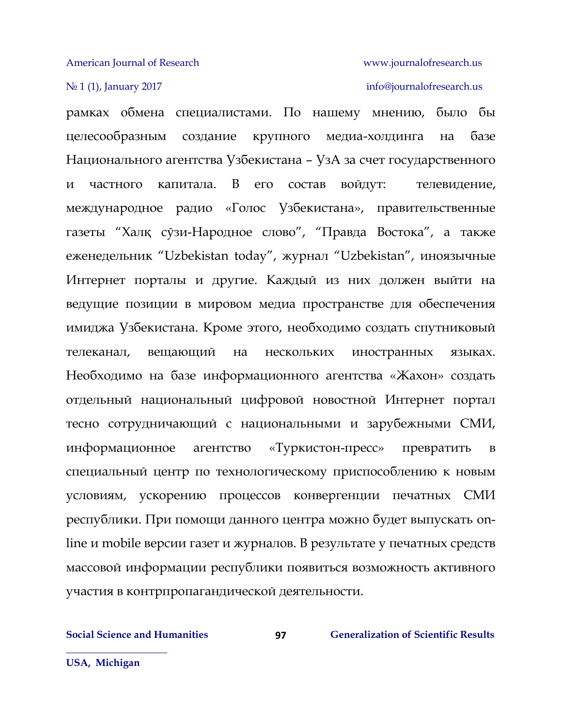## No 1 (1), January 2017 info[@journalofresearch.u](http://journalofresearch.asia/)s

рамках обмена специалистами. По нашему мнению, было бы целесообразным создание крупного медиа-холдинга на базе Национального агентства Узбекистана – УзА за счет государственного и частного капитала. В его состав войдут: телевидение, международное радио «Голос Узбекистана», правительственные газеты "Халқ сўзи-Народное слово", "Правда Востока", а также еженедельник "Uzbekistan today", журнал "Uzbekistan", иноязычные Интернет порталы и другие. Каждый из них должен выйти на ведущие позиции в мировом медиа пространстве для обеспечения имиджа Узбекистана. Кроме этого, необходимо создать спутниковый телеканал, вещающий на нескольких иностранных языках. Необходимо на базе информационного агентства «Жахон» создать отдельный национальный цифровой новостной Интернет портал тесно сотрудничающий с национальными и зарубежными СМИ, информационное агентство «Туркистон-пресс» превратить в специальный центр по технологическому приспособлению к новым условиям, ускорению процессов конвергенции печатных СМИ республики. При помощи данного центра можно будет выпускать online и mobile версии газет и журналов. В результате у печатных средств массовой информации республики появиться возможность активного участия в контрпропагандической деятельности.

**97**

**USA, Michigan**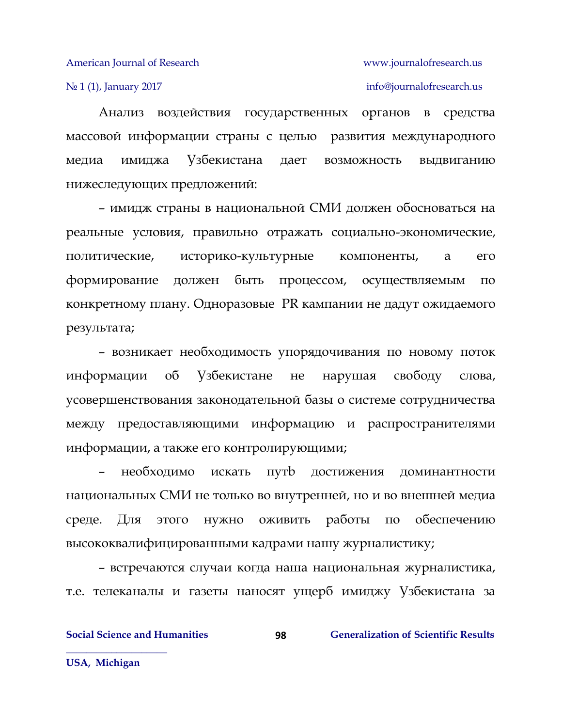No 1 (1), January 2017 info[@journalofresearch.u](http://journalofresearch.asia/)s

Анализ воздействия государственных органов в средства массовой информации страны с целью развития международного медиа имиджа Узбекистана дает возможность выдвиганию нижеследующих предложений:

– имидж страны в национальной СМИ должен обосноваться на реальные условия, правильно отражать социально-экономические, политические, историко-культурные компоненты, а его формирование должен быть процессом, осуществляемым по конкретному плану. Одноразовые PR кампании не дадут ожидаемого результата;

– возникает необходимость упорядочивания по новому поток информации об Узбекистане не нарушая свободу слова, усовершенствования законодательной базы о системе сотрудничества между предоставляющими информацию и распространителями информации, а также его контролирующими;

– необходимо искать путb достижения доминантности национальных СМИ не только во внутренней, но и во внешней медиа среде. Для этого нужно оживить работы по обеспечению высококвалифицированными кадрами нашу журналистику;

– встречаются случаи когда наша национальная журналистика, т.е. телеканалы и газеты наносят ущерб имиджу Узбекистана за

**98**

**Social Science and Humanities 628 Ceneralization of Scientific Results** 

**USA, Michigan**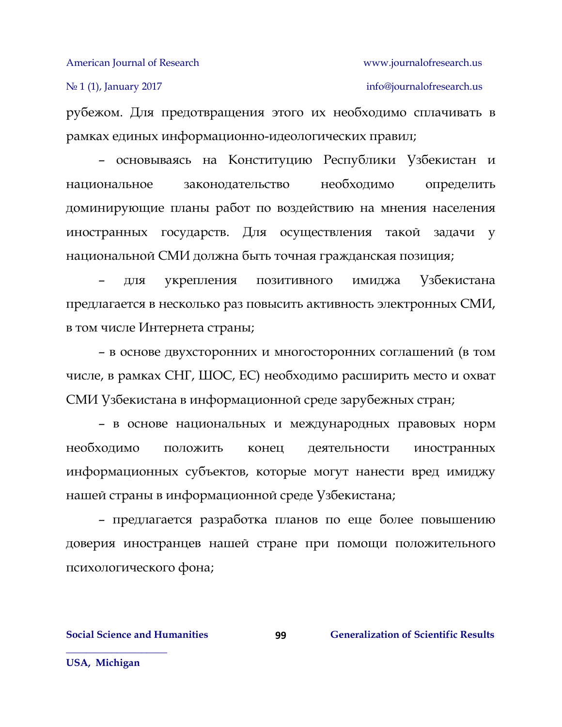No 1 (1), January 2017 info[@journalofresearch.u](http://journalofresearch.asia/)s

рубежом. Для предотвращения этого их необходимо сплачивать в рамках единых информационно-идеологических правил;

– основываясь на Конституцию Республики Узбекистан и национальное законодательство необходимо определить доминирующие планы работ по воздействию на мнения населения иностранных государств. Для осуществления такой задачи у национальной СМИ должна быть точная гражданская позиция;

– для укрепления позитивного имиджа Узбекистана предлагается в несколько раз повысить активность электронных СМИ, в том числе Интернета страны;

– в основе двухсторонних и многосторонних соглашений (в том числе, в рамках СНГ, ШОС, ЕС) необходимо расширить место и охват СМИ Узбекистана в информационной среде зарубежных стран;

– в основе национальных и международных правовых норм необходимо положить конец деятельности иностранных информационных субъектов, которые могут нанести вред имиджу нашей страны в информационной среде Узбекистана;

– предлагается разработка планов по еще более повышению доверия иностранцев нашей стране при помощи положительного психологического фона;

**Social Science and Humanities 6.6 (Generalization of Scientific Results**) **Generalization of Scientific Results** 

**USA, Michigan**

**\_\_\_\_\_\_\_\_\_\_\_\_\_\_\_\_\_\_\_\_**

**99**